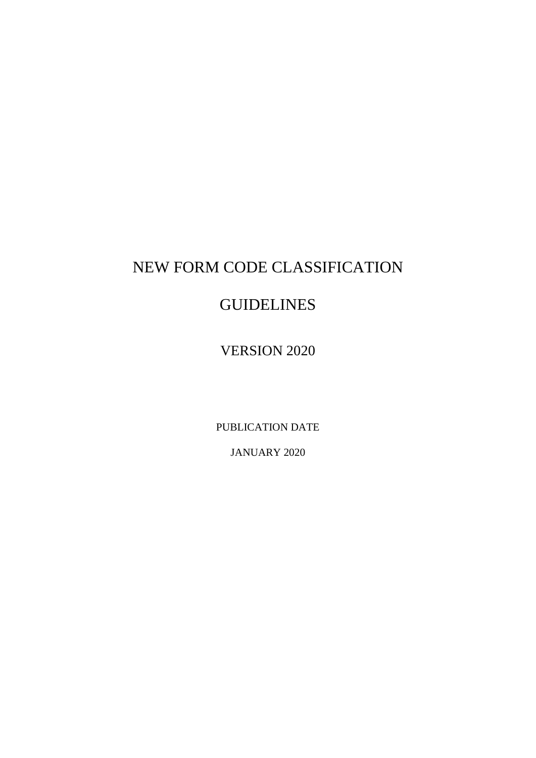# NEW FORM CODE CLASSIFICATION

# **GUIDELINES**

VERSION 2020

PUBLICATION DATE

JANUARY 2020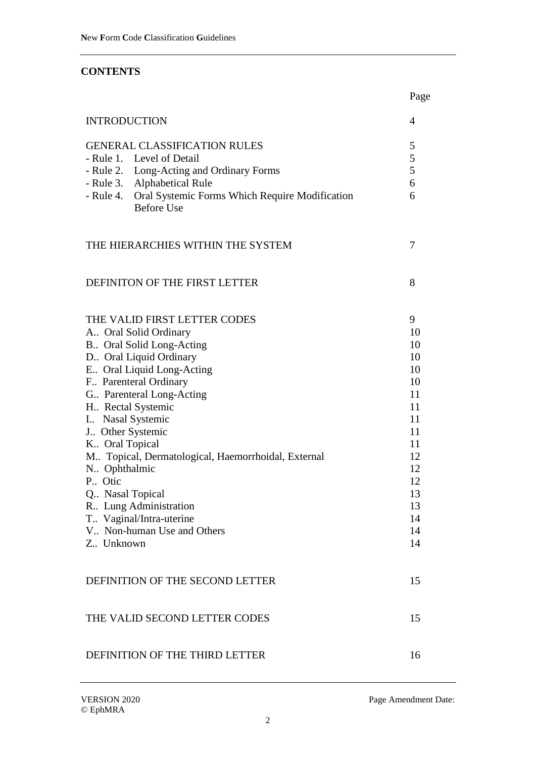# **CONTENTS**

|                                                                               | Page     |
|-------------------------------------------------------------------------------|----------|
| <b>INTRODUCTION</b>                                                           | 4        |
| <b>GENERAL CLASSIFICATION RULES</b>                                           | 5        |
| - Rule 1. Level of Detail                                                     | 5        |
| - Rule 2. Long-Acting and Ordinary Forms                                      | 5        |
| - Rule 3. Alphabetical Rule                                                   | 6        |
| - Rule 4. Oral Systemic Forms Which Require Modification<br><b>Before Use</b> | 6        |
| THE HIERARCHIES WITHIN THE SYSTEM                                             | 7        |
| DEFINITON OF THE FIRST LETTER                                                 | 8        |
| THE VALID FIRST LETTER CODES                                                  | 9        |
| A Oral Solid Ordinary                                                         | 10       |
| B. Oral Solid Long-Acting                                                     | 10       |
| D. Oral Liquid Ordinary                                                       | 10       |
| E Oral Liquid Long-Acting                                                     | 10       |
| F Parenteral Ordinary                                                         | 10       |
| G. Parenteral Long-Acting                                                     | 11       |
| H Rectal Systemic                                                             | 11       |
| I Nasal Systemic                                                              | 11       |
| J Other Systemic                                                              | 11       |
| K Oral Topical                                                                | 11<br>12 |
| M Topical, Dermatological, Haemorrhoidal, External<br>N. Ophthalmic           | 12       |
| P. Otic                                                                       | 12       |
| Q Nasal Topical                                                               | 13       |
| R. Lung Administration                                                        | 13       |
| T Vaginal/Intra-uterine                                                       | 14       |
| V Non-human Use and Others                                                    | 14       |
| Z., Unknown                                                                   | 14       |
| DEFINITION OF THE SECOND LETTER                                               | 15       |
| THE VALID SECOND LETTER CODES                                                 | 15       |
| DEFINITION OF THE THIRD LETTER                                                | 16       |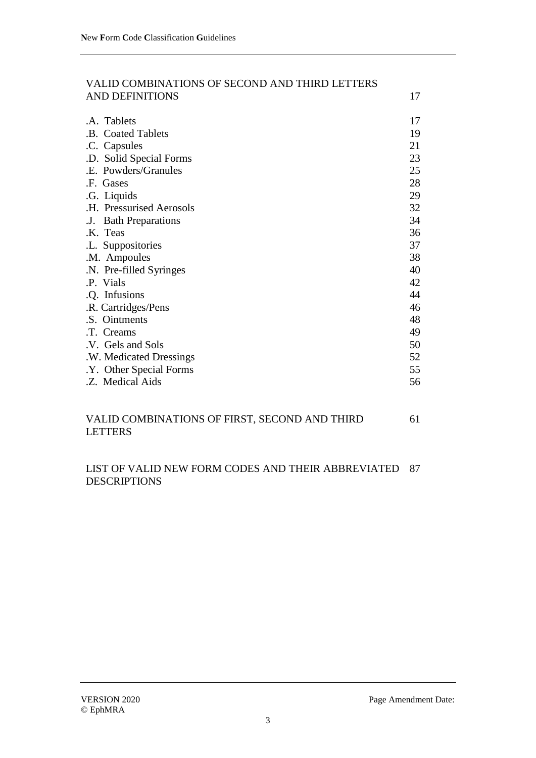| VALID COMBINATIONS OF SECOND AND THIRD LETTERS |    |
|------------------------------------------------|----|
| <b>AND DEFINITIONS</b>                         | 17 |
|                                                |    |
| .A. Tablets                                    | 17 |
| .B. Coated Tablets                             | 19 |
| .C. Capsules                                   | 21 |
| .D. Solid Special Forms                        | 23 |
| .E. Powders/Granules                           | 25 |
| .F. Gases                                      | 28 |
| .G. Liquids                                    | 29 |
| .H. Pressurised Aerosols                       | 32 |
| <b>Bath Preparations</b><br>.J.                | 34 |
| .K. Teas                                       | 36 |
| .L. Suppositories                              | 37 |
| .M. Ampoules                                   | 38 |
| .N. Pre-filled Syringes                        | 40 |
| .P. Vials                                      | 42 |
| .Q. Infusions                                  | 44 |
| .R. Cartridges/Pens                            | 46 |
| .S. Ointments                                  | 48 |
| .T. Creams                                     | 49 |
| .V. Gels and Sols                              | 50 |
| .W. Medicated Dressings                        | 52 |
| .Y. Other Special Forms                        | 55 |
| .Z. Medical Aids                               | 56 |
| VALID COMBINATIONS OF FIRST, SECOND AND THIRD  | 61 |

# LETTERS

#### LIST OF VALID NEW FORM CODES AND THEIR ABBREVIATED 87DESCRIPTIONS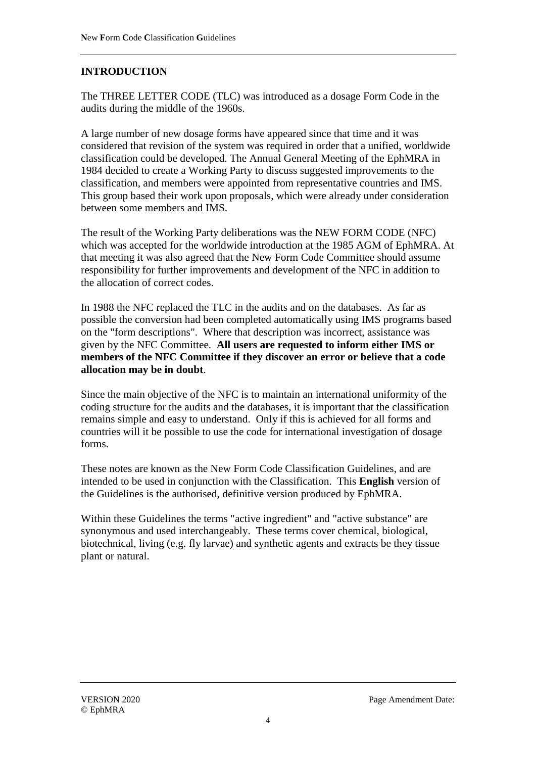# **INTRODUCTION**

The THREE LETTER CODE (TLC) was introduced as a dosage Form Code in the audits during the middle of the 1960s.

A large number of new dosage forms have appeared since that time and it was considered that revision of the system was required in order that a unified, worldwide classification could be developed. The Annual General Meeting of the EphMRA in 1984 decided to create a Working Party to discuss suggested improvements to the classification, and members were appointed from representative countries and IMS. This group based their work upon proposals, which were already under consideration between some members and IMS.

The result of the Working Party deliberations was the NEW FORM CODE (NFC) which was accepted for the worldwide introduction at the 1985 AGM of EphMRA. At that meeting it was also agreed that the New Form Code Committee should assume responsibility for further improvements and development of the NFC in addition to the allocation of correct codes.

In 1988 the NFC replaced the TLC in the audits and on the databases. As far as possible the conversion had been completed automatically using IMS programs based on the "form descriptions". Where that description was incorrect, assistance was given by the NFC Committee. **All users are requested to inform either IMS or members of the NFC Committee if they discover an error or believe that a code allocation may be in doubt**.

Since the main objective of the NFC is to maintain an international uniformity of the coding structure for the audits and the databases, it is important that the classification remains simple and easy to understand. Only if this is achieved for all forms and countries will it be possible to use the code for international investigation of dosage forms.

These notes are known as the New Form Code Classification Guidelines, and are intended to be used in conjunction with the Classification. This **English** version of the Guidelines is the authorised, definitive version produced by EphMRA.

Within these Guidelines the terms "active ingredient" and "active substance" are synonymous and used interchangeably. These terms cover chemical, biological, biotechnical, living (e.g. fly larvae) and synthetic agents and extracts be they tissue plant or natural.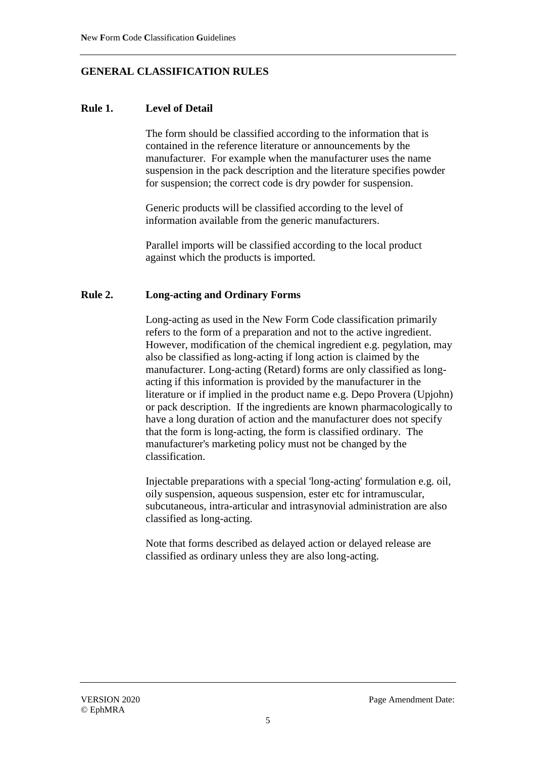# **GENERAL CLASSIFICATION RULES**

## **Rule 1. Level of Detail**

The form should be classified according to the information that is contained in the reference literature or announcements by the manufacturer. For example when the manufacturer uses the name suspension in the pack description and the literature specifies powder for suspension; the correct code is dry powder for suspension.

Generic products will be classified according to the level of information available from the generic manufacturers.

Parallel imports will be classified according to the local product against which the products is imported.

#### **Rule 2. Long-acting and Ordinary Forms**

Long-acting as used in the New Form Code classification primarily refers to the form of a preparation and not to the active ingredient. However, modification of the chemical ingredient e.g. pegylation, may also be classified as long-acting if long action is claimed by the manufacturer. Long-acting (Retard) forms are only classified as longacting if this information is provided by the manufacturer in the literature or if implied in the product name e.g. Depo Provera (Upjohn) or pack description. If the ingredients are known pharmacologically to have a long duration of action and the manufacturer does not specify that the form is long-acting, the form is classified ordinary. The manufacturer's marketing policy must not be changed by the classification.

Injectable preparations with a special 'long-acting' formulation e.g. oil, oily suspension, aqueous suspension, ester etc for intramuscular, subcutaneous, intra-articular and intrasynovial administration are also classified as long-acting.

Note that forms described as delayed action or delayed release are classified as ordinary unless they are also long-acting.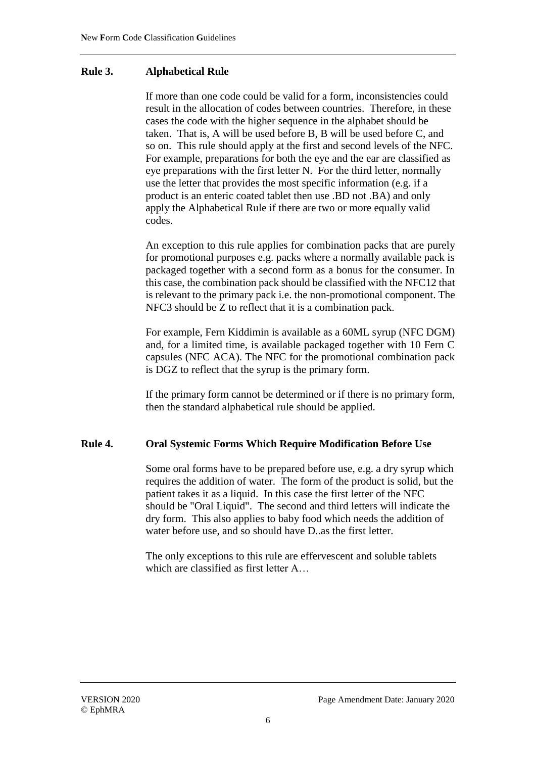#### **Rule 3. Alphabetical Rule**

If more than one code could be valid for a form, inconsistencies could result in the allocation of codes between countries. Therefore, in these cases the code with the higher sequence in the alphabet should be taken. That is, A will be used before B, B will be used before C, and so on. This rule should apply at the first and second levels of the NFC. For example, preparations for both the eye and the ear are classified as eye preparations with the first letter N. For the third letter, normally use the letter that provides the most specific information (e.g. if a product is an enteric coated tablet then use .BD not .BA) and only apply the Alphabetical Rule if there are two or more equally valid codes.

An exception to this rule applies for combination packs that are purely for promotional purposes e.g. packs where a normally available pack is packaged together with a second form as a bonus for the consumer. In this case, the combination pack should be classified with the NFC12 that is relevant to the primary pack i.e. the non-promotional component. The NFC3 should be Z to reflect that it is a combination pack.

For example, Fern Kiddimin is available as a 60ML syrup (NFC DGM) and, for a limited time, is available packaged together with 10 Fern C capsules (NFC ACA). The NFC for the promotional combination pack is DGZ to reflect that the syrup is the primary form.

If the primary form cannot be determined or if there is no primary form, then the standard alphabetical rule should be applied.

#### **Rule 4. Oral Systemic Forms Which Require Modification Before Use**

Some oral forms have to be prepared before use, e.g. a dry syrup which requires the addition of water. The form of the product is solid, but the patient takes it as a liquid. In this case the first letter of the NFC should be "Oral Liquid". The second and third letters will indicate the dry form. This also applies to baby food which needs the addition of water before use, and so should have D..as the first letter.

The only exceptions to this rule are effervescent and soluble tablets which are classified as first letter A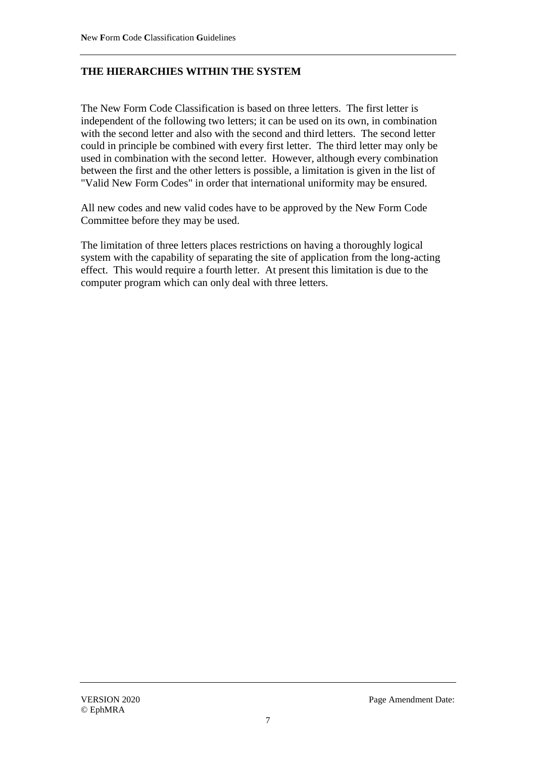# **THE HIERARCHIES WITHIN THE SYSTEM**

The New Form Code Classification is based on three letters. The first letter is independent of the following two letters; it can be used on its own, in combination with the second letter and also with the second and third letters. The second letter could in principle be combined with every first letter. The third letter may only be used in combination with the second letter. However, although every combination between the first and the other letters is possible, a limitation is given in the list of "Valid New Form Codes" in order that international uniformity may be ensured.

All new codes and new valid codes have to be approved by the New Form Code Committee before they may be used.

The limitation of three letters places restrictions on having a thoroughly logical system with the capability of separating the site of application from the long-acting effect. This would require a fourth letter. At present this limitation is due to the computer program which can only deal with three letters.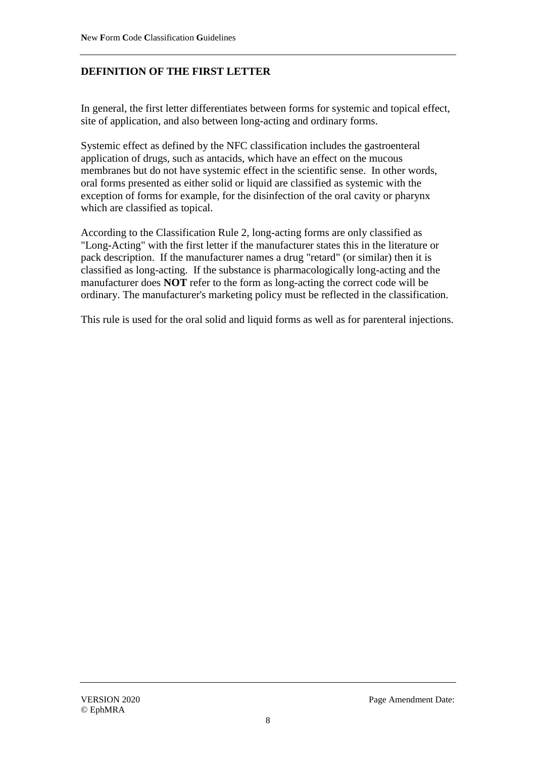# **DEFINITION OF THE FIRST LETTER**

In general, the first letter differentiates between forms for systemic and topical effect, site of application, and also between long-acting and ordinary forms.

Systemic effect as defined by the NFC classification includes the gastroenteral application of drugs, such as antacids, which have an effect on the mucous membranes but do not have systemic effect in the scientific sense. In other words, oral forms presented as either solid or liquid are classified as systemic with the exception of forms for example, for the disinfection of the oral cavity or pharynx which are classified as topical.

According to the Classification Rule 2, long-acting forms are only classified as "Long-Acting" with the first letter if the manufacturer states this in the literature or pack description. If the manufacturer names a drug "retard" (or similar) then it is classified as long-acting. If the substance is pharmacologically long-acting and the manufacturer does **NOT** refer to the form as long-acting the correct code will be ordinary. The manufacturer's marketing policy must be reflected in the classification.

This rule is used for the oral solid and liquid forms as well as for parenteral injections.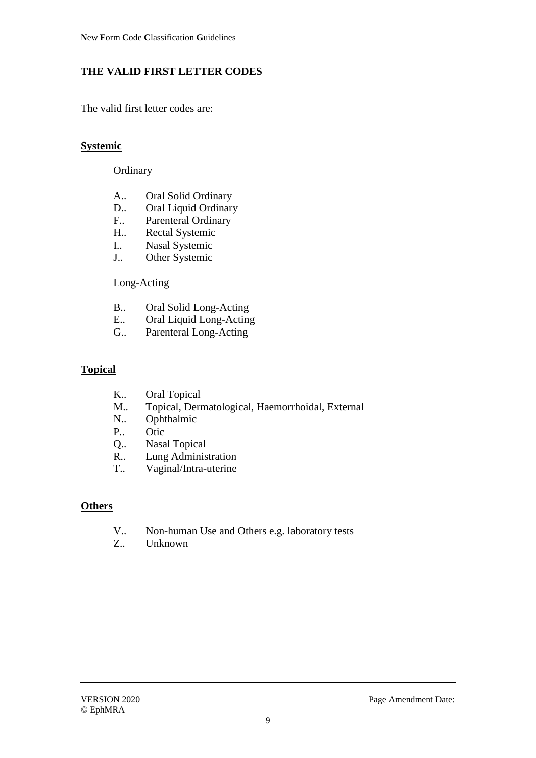# **THE VALID FIRST LETTER CODES**

The valid first letter codes are:

#### **Systemic**

#### **Ordinary**

- A.. Oral Solid Ordinary
- D.. Oral Liquid Ordinary
- F.. Parenteral Ordinary
- H.. Rectal Systemic
- I.. Nasal Systemic
- J.. Other Systemic

#### Long-Acting

- B.. Oral Solid Long-Acting
- E.. Oral Liquid Long-Acting
- G.. Parenteral Long-Acting

#### **Topical**

- K.. Oral Topical
- M.. Topical, Dermatological, Haemorrhoidal, External
- N.. Ophthalmic
- P.. Otic
- Q.. Nasal Topical
- R.. Lung Administration<br>T.. Vaginal/Intra-uterine
- Vaginal/Intra-uterine

#### **Others**

- V.. Non-human Use and Others e.g. laboratory tests
- Z.. Unknown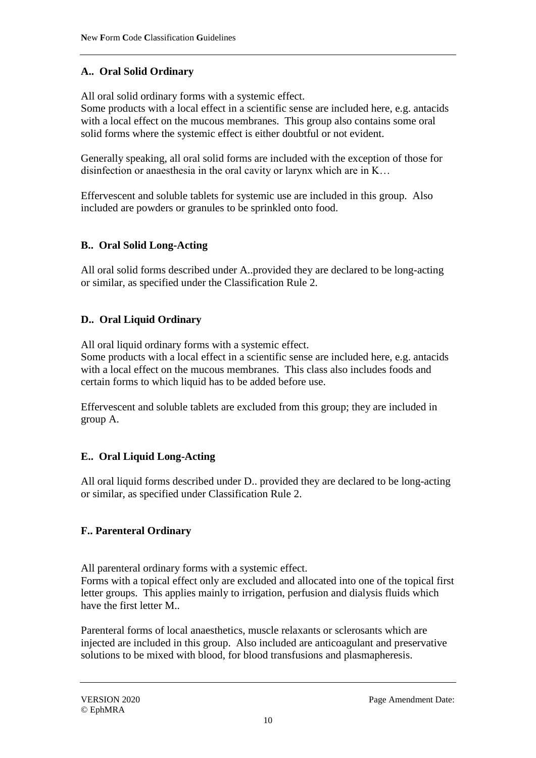# **A.. Oral Solid Ordinary**

All oral solid ordinary forms with a systemic effect.

Some products with a local effect in a scientific sense are included here, e.g. antacids with a local effect on the mucous membranes. This group also contains some oral solid forms where the systemic effect is either doubtful or not evident.

Generally speaking, all oral solid forms are included with the exception of those for disinfection or anaesthesia in the oral cavity or larynx which are in K…

Effervescent and soluble tablets for systemic use are included in this group. Also included are powders or granules to be sprinkled onto food.

# **B.. Oral Solid Long-Acting**

All oral solid forms described under A..provided they are declared to be long-acting or similar, as specified under the Classification Rule 2.

# **D.. Oral Liquid Ordinary**

All oral liquid ordinary forms with a systemic effect.

Some products with a local effect in a scientific sense are included here, e.g. antacids with a local effect on the mucous membranes. This class also includes foods and certain forms to which liquid has to be added before use.

Effervescent and soluble tablets are excluded from this group; they are included in group A.

# **E.. Oral Liquid Long-Acting**

All oral liquid forms described under D.. provided they are declared to be long-acting or similar, as specified under Classification Rule 2.

# **F.. Parenteral Ordinary**

All parenteral ordinary forms with a systemic effect.

Forms with a topical effect only are excluded and allocated into one of the topical first letter groups. This applies mainly to irrigation, perfusion and dialysis fluids which have the first letter M..

Parenteral forms of local anaesthetics, muscle relaxants or sclerosants which are injected are included in this group. Also included are anticoagulant and preservative solutions to be mixed with blood, for blood transfusions and plasmapheresis.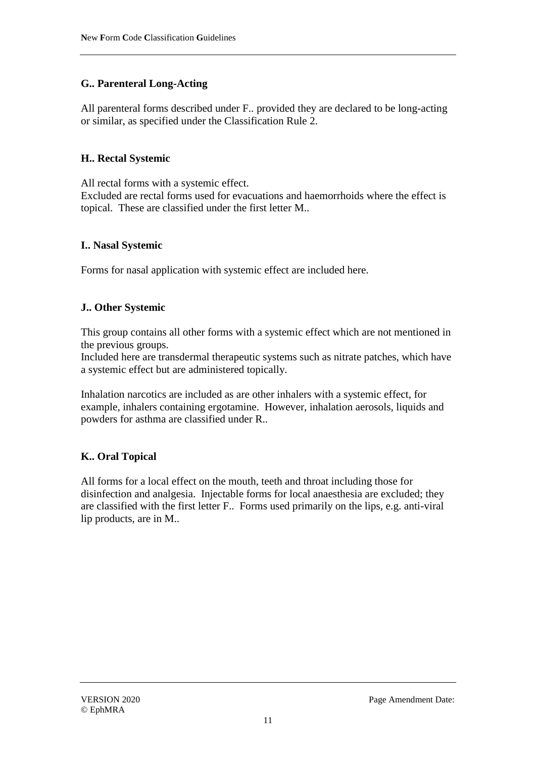# **G.. Parenteral Long-Acting**

All parenteral forms described under F.. provided they are declared to be long-acting or similar, as specified under the Classification Rule 2.

# **H.. Rectal Systemic**

All rectal forms with a systemic effect. Excluded are rectal forms used for evacuations and haemorrhoids where the effect is topical. These are classified under the first letter M..

# **I.. Nasal Systemic**

Forms for nasal application with systemic effect are included here.

#### **J.. Other Systemic**

This group contains all other forms with a systemic effect which are not mentioned in the previous groups.

Included here are transdermal therapeutic systems such as nitrate patches, which have a systemic effect but are administered topically.

Inhalation narcotics are included as are other inhalers with a systemic effect, for example, inhalers containing ergotamine. However, inhalation aerosols, liquids and powders for asthma are classified under R..

# **K.. Oral Topical**

All forms for a local effect on the mouth, teeth and throat including those for disinfection and analgesia. Injectable forms for local anaesthesia are excluded; they are classified with the first letter F.. Forms used primarily on the lips, e.g. anti-viral lip products, are in M..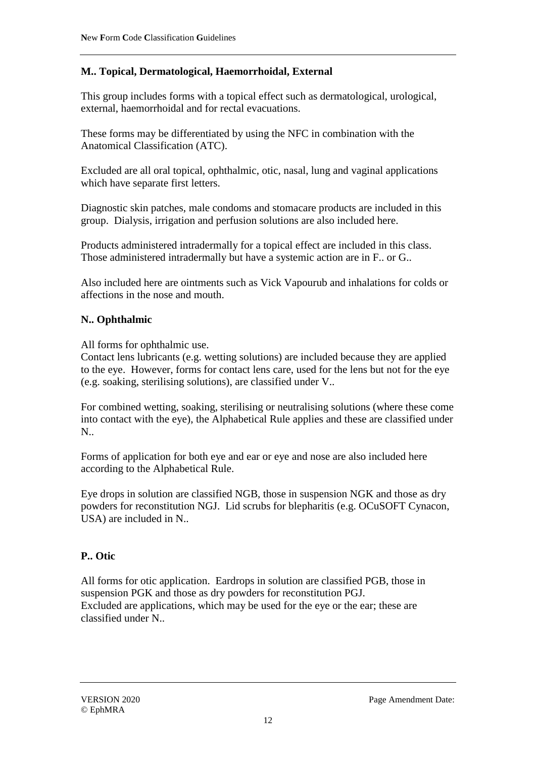# **M.. Topical, Dermatological, Haemorrhoidal, External**

This group includes forms with a topical effect such as dermatological, urological, external, haemorrhoidal and for rectal evacuations.

These forms may be differentiated by using the NFC in combination with the Anatomical Classification (ATC).

Excluded are all oral topical, ophthalmic, otic, nasal, lung and vaginal applications which have separate first letters.

Diagnostic skin patches, male condoms and stomacare products are included in this group. Dialysis, irrigation and perfusion solutions are also included here.

Products administered intradermally for a topical effect are included in this class. Those administered intradermally but have a systemic action are in F.. or G..

Also included here are ointments such as Vick Vapourub and inhalations for colds or affections in the nose and mouth.

# **N.. Ophthalmic**

All forms for ophthalmic use.

Contact lens lubricants (e.g. wetting solutions) are included because they are applied to the eye. However, forms for contact lens care, used for the lens but not for the eye (e.g. soaking, sterilising solutions), are classified under V..

For combined wetting, soaking, sterilising or neutralising solutions (where these come into contact with the eye), the Alphabetical Rule applies and these are classified under N..

Forms of application for both eye and ear or eye and nose are also included here according to the Alphabetical Rule.

Eye drops in solution are classified NGB, those in suspension NGK and those as dry powders for reconstitution NGJ. Lid scrubs for blepharitis (e.g. OCuSOFT Cynacon, USA) are included in N..

# **P.. Otic**

All forms for otic application. Eardrops in solution are classified PGB, those in suspension PGK and those as dry powders for reconstitution PGJ. Excluded are applications, which may be used for the eye or the ear; these are classified under N..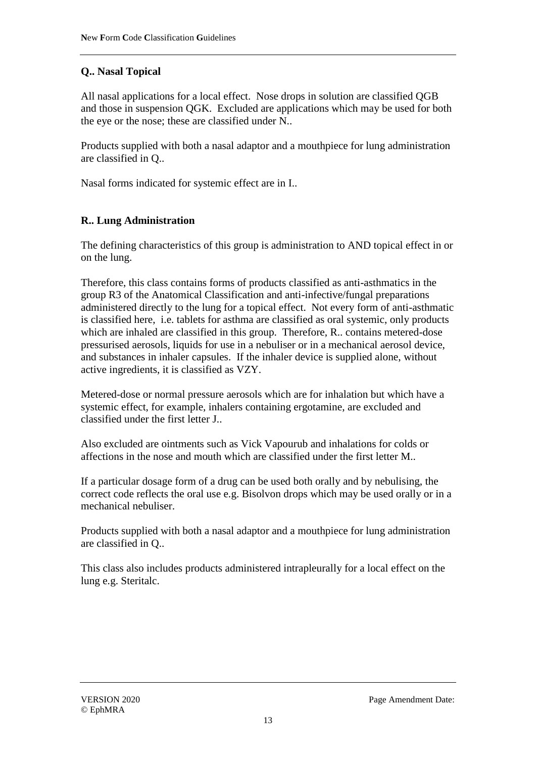# **Q.. Nasal Topical**

All nasal applications for a local effect. Nose drops in solution are classified QGB and those in suspension QGK. Excluded are applications which may be used for both the eye or the nose; these are classified under N..

Products supplied with both a nasal adaptor and a mouthpiece for lung administration are classified in Q..

Nasal forms indicated for systemic effect are in I..

# **R.. Lung Administration**

The defining characteristics of this group is administration to AND topical effect in or on the lung.

Therefore, this class contains forms of products classified as anti-asthmatics in the group R3 of the Anatomical Classification and anti-infective/fungal preparations administered directly to the lung for a topical effect. Not every form of anti-asthmatic is classified here, i.e. tablets for asthma are classified as oral systemic, only products which are inhaled are classified in this group. Therefore, R.. contains metered-dose pressurised aerosols, liquids for use in a nebuliser or in a mechanical aerosol device, and substances in inhaler capsules. If the inhaler device is supplied alone, without active ingredients, it is classified as VZY.

Metered-dose or normal pressure aerosols which are for inhalation but which have a systemic effect, for example, inhalers containing ergotamine, are excluded and classified under the first letter J..

Also excluded are ointments such as Vick Vapourub and inhalations for colds or affections in the nose and mouth which are classified under the first letter M..

If a particular dosage form of a drug can be used both orally and by nebulising, the correct code reflects the oral use e.g. Bisolvon drops which may be used orally or in a mechanical nebuliser.

Products supplied with both a nasal adaptor and a mouthpiece for lung administration are classified in Q..

This class also includes products administered intrapleurally for a local effect on the lung e.g. Steritalc.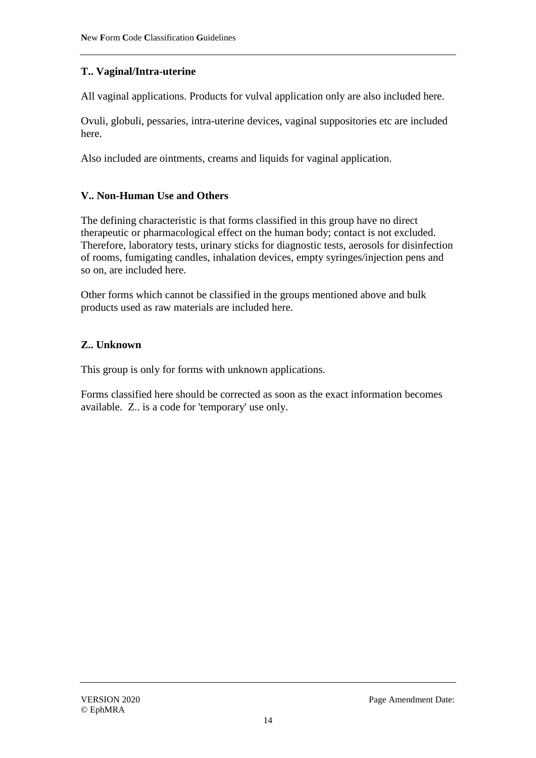# **T.. Vaginal/Intra-uterine**

All vaginal applications. Products for vulval application only are also included here.

Ovuli, globuli, pessaries, intra-uterine devices, vaginal suppositories etc are included here.

Also included are ointments, creams and liquids for vaginal application.

# **V.. Non-Human Use and Others**

The defining characteristic is that forms classified in this group have no direct therapeutic or pharmacological effect on the human body; contact is not excluded. Therefore, laboratory tests, urinary sticks for diagnostic tests, aerosols for disinfection of rooms, fumigating candles, inhalation devices, empty syringes/injection pens and so on, are included here.

Other forms which cannot be classified in the groups mentioned above and bulk products used as raw materials are included here.

# **Z.. Unknown**

This group is only for forms with unknown applications.

Forms classified here should be corrected as soon as the exact information becomes available. Z.. is a code for 'temporary' use only.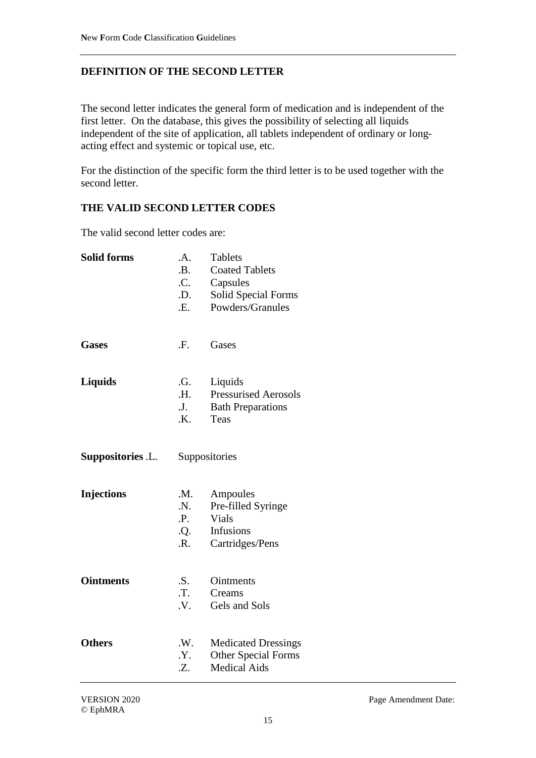# **DEFINITION OF THE SECOND LETTER**

The second letter indicates the general form of medication and is independent of the first letter. On the database, this gives the possibility of selecting all liquids independent of the site of application, all tablets independent of ordinary or longacting effect and systemic or topical use, etc.

For the distinction of the specific form the third letter is to be used together with the second letter.

#### **THE VALID SECOND LETTER CODES**

The valid second letter codes are:

| <b>Solid forms</b>       | .A.<br>.B.<br>.C.<br>.D.<br>.E.           | <b>Tablets</b><br><b>Coated Tablets</b><br>Capsules<br>Solid Special Forms<br>Powders/Granules |
|--------------------------|-------------------------------------------|------------------------------------------------------------------------------------------------|
| <b>Gases</b>             | .F.                                       | Gases                                                                                          |
| <b>Liquids</b>           | .G.<br><b>H.</b><br>J.<br>.K.             | Liquids<br><b>Pressurised Aerosols</b><br><b>Bath Preparations</b><br>Teas                     |
| <b>Suppositories .L.</b> | Suppositories                             |                                                                                                |
| <b>Injections</b>        | .M.<br>.N.<br>.P.<br>Q.<br>$\mathbf{R}$ . | Ampoules<br>Pre-filled Syringe<br>Vials<br>Infusions<br>Cartridges/Pens                        |
| <b>Ointments</b>         | .S.<br>.T.<br>.V.                         | <b>Ointments</b><br>Creams<br>Gels and Sols                                                    |
| <b>Others</b>            | .W.<br>.Y.<br>.Z.                         | <b>Medicated Dressings</b><br><b>Other Special Forms</b><br><b>Medical Aids</b>                |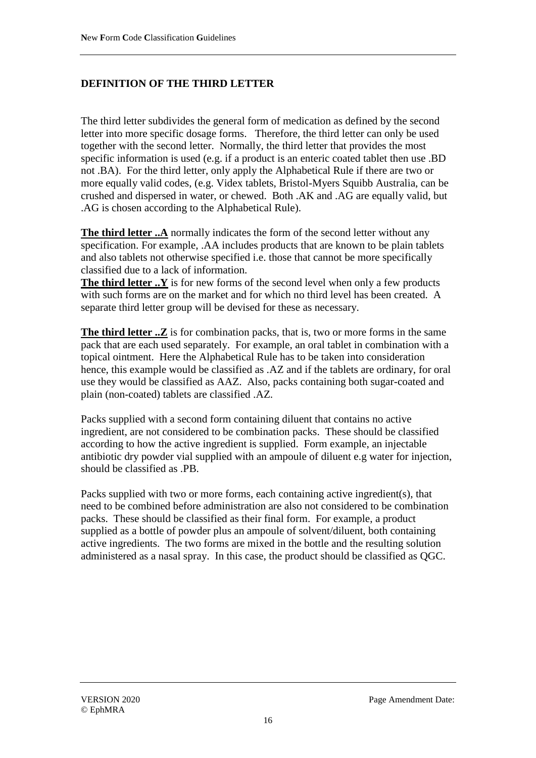#### **DEFINITION OF THE THIRD LETTER**

The third letter subdivides the general form of medication as defined by the second letter into more specific dosage forms. Therefore, the third letter can only be used together with the second letter. Normally, the third letter that provides the most specific information is used (e.g. if a product is an enteric coated tablet then use .BD not .BA). For the third letter, only apply the Alphabetical Rule if there are two or more equally valid codes, (e.g. Videx tablets, Bristol-Myers Squibb Australia, can be crushed and dispersed in water, or chewed. Both .AK and .AG are equally valid, but .AG is chosen according to the Alphabetical Rule).

**The third letter ..A** normally indicates the form of the second letter without any specification. For example, .AA includes products that are known to be plain tablets and also tablets not otherwise specified i.e. those that cannot be more specifically classified due to a lack of information.

**The third letter ..Y** is for new forms of the second level when only a few products with such forms are on the market and for which no third level has been created. A separate third letter group will be devised for these as necessary.

**The third letter ...** Z is for combination packs, that is, two or more forms in the same pack that are each used separately. For example, an oral tablet in combination with a topical ointment. Here the Alphabetical Rule has to be taken into consideration hence, this example would be classified as .AZ and if the tablets are ordinary, for oral use they would be classified as AAZ. Also, packs containing both sugar-coated and plain (non-coated) tablets are classified .AZ.

Packs supplied with a second form containing diluent that contains no active ingredient, are not considered to be combination packs. These should be classified according to how the active ingredient is supplied. Form example, an injectable antibiotic dry powder vial supplied with an ampoule of diluent e.g water for injection, should be classified as .PB.

Packs supplied with two or more forms, each containing active ingredient(s), that need to be combined before administration are also not considered to be combination packs. These should be classified as their final form. For example, a product supplied as a bottle of powder plus an ampoule of solvent/diluent, both containing active ingredients. The two forms are mixed in the bottle and the resulting solution administered as a nasal spray. In this case, the product should be classified as QGC.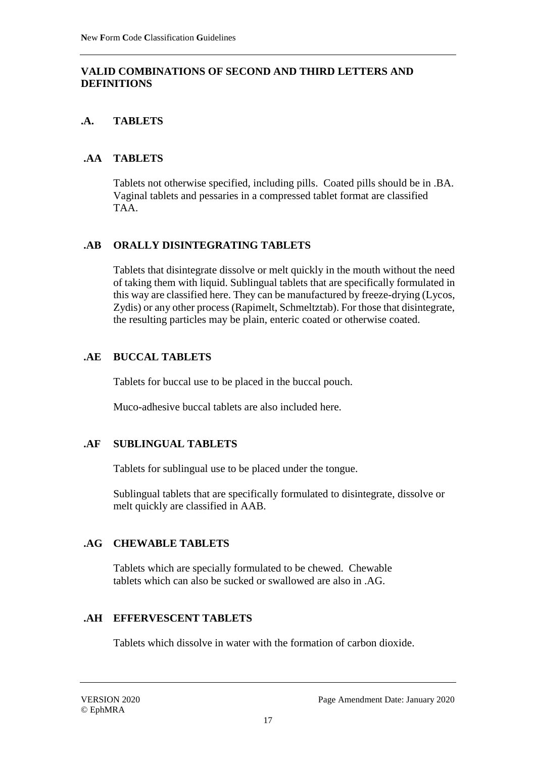#### **VALID COMBINATIONS OF SECOND AND THIRD LETTERS AND DEFINITIONS**

# **.A. TABLETS**

#### **.AA TABLETS**

Tablets not otherwise specified, including pills. Coated pills should be in .BA. Vaginal tablets and pessaries in a compressed tablet format are classified TAA.

#### **.AB ORALLY DISINTEGRATING TABLETS**

Tablets that disintegrate dissolve or melt quickly in the mouth without the need of taking them with liquid. Sublingual tablets that are specifically formulated in this way are classified here. They can be manufactured by freeze-drying (Lycos, Zydis) or any other process (Rapimelt, Schmeltztab). For those that disintegrate, the resulting particles may be plain, enteric coated or otherwise coated.

#### **.AE BUCCAL TABLETS**

Tablets for buccal use to be placed in the buccal pouch.

Muco-adhesive buccal tablets are also included here.

# **.AF SUBLINGUAL TABLETS**

Tablets for sublingual use to be placed under the tongue.

Sublingual tablets that are specifically formulated to disintegrate, dissolve or melt quickly are classified in AAB.

# **.AG CHEWABLE TABLETS**

Tablets which are specially formulated to be chewed. Chewable tablets which can also be sucked or swallowed are also in .AG.

# **.AH EFFERVESCENT TABLETS**

Tablets which dissolve in water with the formation of carbon dioxide.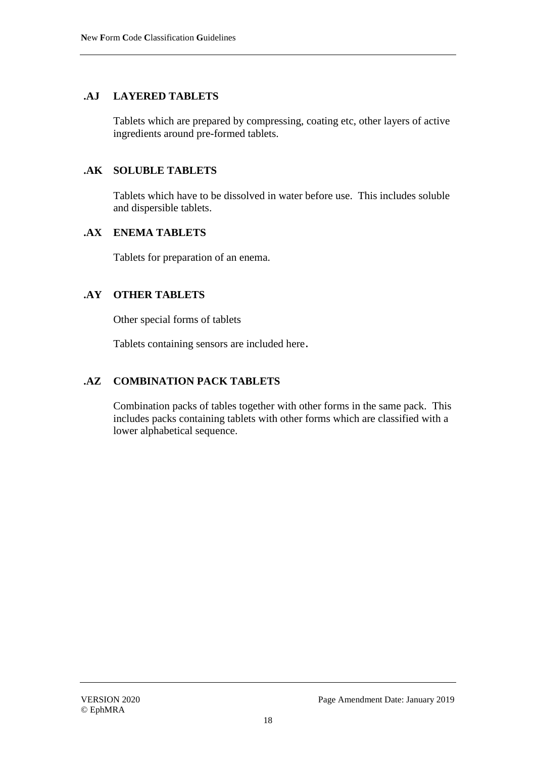#### **.AJ LAYERED TABLETS**

Tablets which are prepared by compressing, coating etc, other layers of active ingredients around pre-formed tablets.

#### **.AK SOLUBLE TABLETS**

Tablets which have to be dissolved in water before use. This includes soluble and dispersible tablets.

#### **.AX ENEMA TABLETS**

Tablets for preparation of an enema.

#### **.AY OTHER TABLETS**

Other special forms of tablets

Tablets containing sensors are included here.

# **.AZ COMBINATION PACK TABLETS**

Combination packs of tables together with other forms in the same pack. This includes packs containing tablets with other forms which are classified with a lower alphabetical sequence.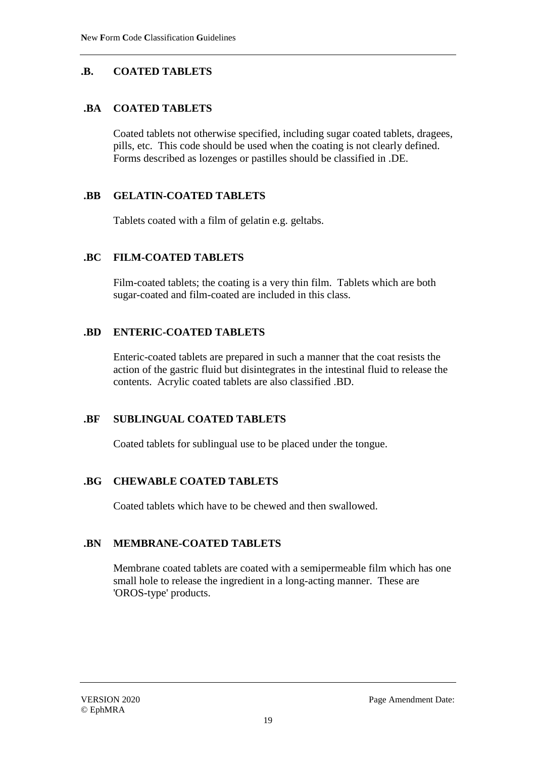# **.B. COATED TABLETS**

## **.BA COATED TABLETS**

Coated tablets not otherwise specified, including sugar coated tablets, dragees, pills, etc. This code should be used when the coating is not clearly defined. Forms described as lozenges or pastilles should be classified in .DE.

# **.BB GELATIN-COATED TABLETS**

Tablets coated with a film of gelatin e.g. geltabs.

#### **.BC FILM-COATED TABLETS**

Film-coated tablets; the coating is a very thin film. Tablets which are both sugar-coated and film-coated are included in this class.

#### **.BD ENTERIC-COATED TABLETS**

Enteric-coated tablets are prepared in such a manner that the coat resists the action of the gastric fluid but disintegrates in the intestinal fluid to release the contents. Acrylic coated tablets are also classified .BD.

#### **.BF SUBLINGUAL COATED TABLETS**

Coated tablets for sublingual use to be placed under the tongue.

# **.BG CHEWABLE COATED TABLETS**

Coated tablets which have to be chewed and then swallowed.

#### **.BN MEMBRANE-COATED TABLETS**

Membrane coated tablets are coated with a semipermeable film which has one small hole to release the ingredient in a long-acting manner. These are 'OROS-type' products.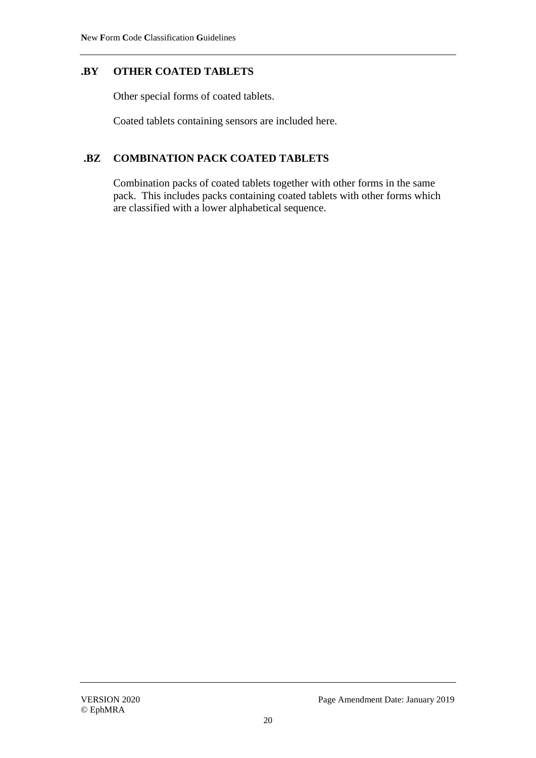# **.BY OTHER COATED TABLETS**

Other special forms of coated tablets.

Coated tablets containing sensors are included here.

# **.BZ COMBINATION PACK COATED TABLETS**

Combination packs of coated tablets together with other forms in the same pack. This includes packs containing coated tablets with other forms which are classified with a lower alphabetical sequence.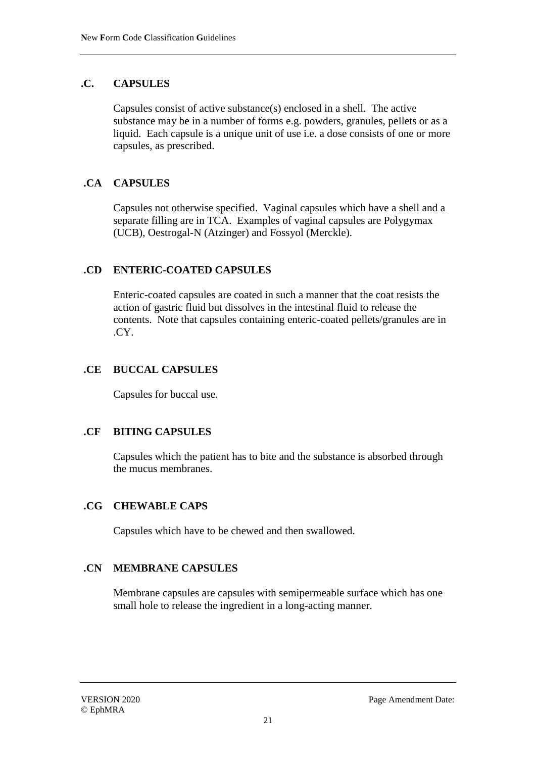#### **.C. CAPSULES**

Capsules consist of active substance(s) enclosed in a shell. The active substance may be in a number of forms e.g. powders, granules, pellets or as a liquid. Each capsule is a unique unit of use i.e. a dose consists of one or more capsules, as prescribed.

# **.CA CAPSULES**

Capsules not otherwise specified. Vaginal capsules which have a shell and a separate filling are in TCA. Examples of vaginal capsules are Polygymax (UCB), Oestrogal-N (Atzinger) and Fossyol (Merckle).

#### **.CD ENTERIC-COATED CAPSULES**

Enteric-coated capsules are coated in such a manner that the coat resists the action of gastric fluid but dissolves in the intestinal fluid to release the contents. Note that capsules containing enteric-coated pellets/granules are in .CY.

#### **.CE BUCCAL CAPSULES**

Capsules for buccal use.

#### **.CF BITING CAPSULES**

Capsules which the patient has to bite and the substance is absorbed through the mucus membranes.

#### **.CG CHEWABLE CAPS**

Capsules which have to be chewed and then swallowed.

#### **.CN MEMBRANE CAPSULES**

Membrane capsules are capsules with semipermeable surface which has one small hole to release the ingredient in a long-acting manner.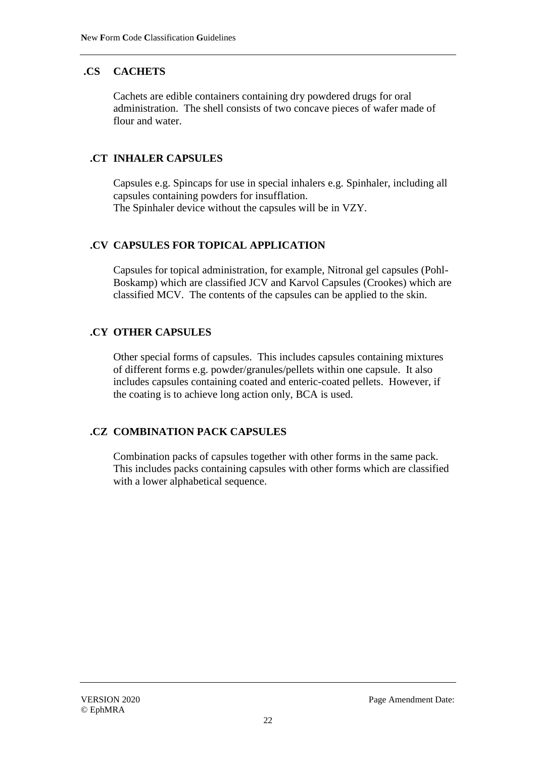# **.CS CACHETS**

Cachets are edible containers containing dry powdered drugs for oral administration. The shell consists of two concave pieces of wafer made of flour and water.

## **.CT INHALER CAPSULES**

Capsules e.g. Spincaps for use in special inhalers e.g. Spinhaler, including all capsules containing powders for insufflation. The Spinhaler device without the capsules will be in VZY.

#### **.CV CAPSULES FOR TOPICAL APPLICATION**

Capsules for topical administration, for example, Nitronal gel capsules (Pohl-Boskamp) which are classified JCV and Karvol Capsules (Crookes) which are classified MCV. The contents of the capsules can be applied to the skin.

# **.CY OTHER CAPSULES**

Other special forms of capsules. This includes capsules containing mixtures of different forms e.g. powder/granules/pellets within one capsule. It also includes capsules containing coated and enteric-coated pellets. However, if the coating is to achieve long action only, BCA is used.

# **.CZ COMBINATION PACK CAPSULES**

Combination packs of capsules together with other forms in the same pack. This includes packs containing capsules with other forms which are classified with a lower alphabetical sequence.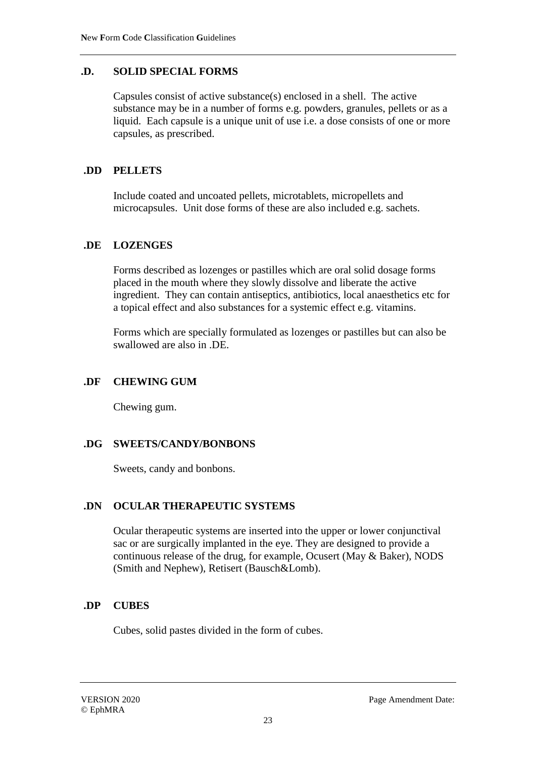#### **.D. SOLID SPECIAL FORMS**

Capsules consist of active substance(s) enclosed in a shell. The active substance may be in a number of forms e.g. powders, granules, pellets or as a liquid. Each capsule is a unique unit of use i.e. a dose consists of one or more capsules, as prescribed.

#### **.DD PELLETS**

Include coated and uncoated pellets, microtablets, micropellets and microcapsules. Unit dose forms of these are also included e.g. sachets.

#### **.DE LOZENGES**

Forms described as lozenges or pastilles which are oral solid dosage forms placed in the mouth where they slowly dissolve and liberate the active ingredient. They can contain antiseptics, antibiotics, local anaesthetics etc for a topical effect and also substances for a systemic effect e.g. vitamins.

Forms which are specially formulated as lozenges or pastilles but can also be swallowed are also in .DE.

#### **.DF CHEWING GUM**

Chewing gum.

#### **.DG SWEETS/CANDY/BONBONS**

Sweets, candy and bonbons.

#### **.DN OCULAR THERAPEUTIC SYSTEMS**

Ocular therapeutic systems are inserted into the upper or lower conjunctival sac or are surgically implanted in the eye. They are designed to provide a continuous release of the drug, for example, Ocusert (May & Baker), NODS (Smith and Nephew), Retisert (Bausch&Lomb).

# **.DP CUBES**

Cubes, solid pastes divided in the form of cubes.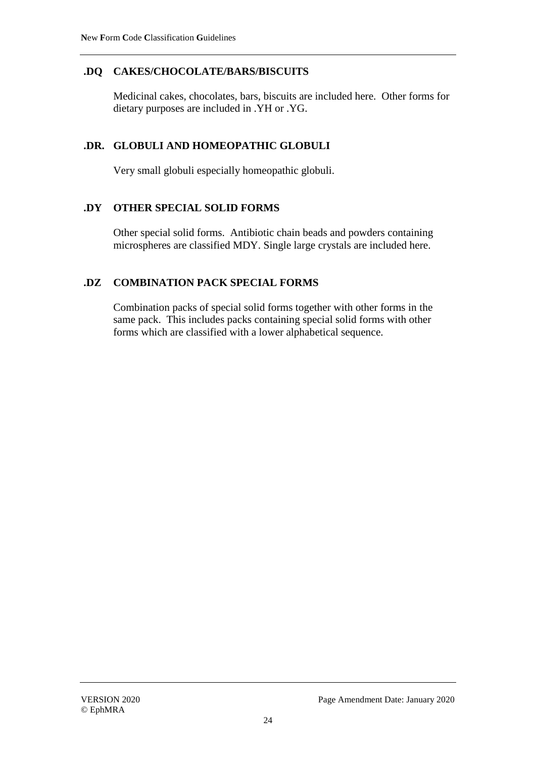## **.DQ CAKES/CHOCOLATE/BARS/BISCUITS**

Medicinal cakes, chocolates, bars, biscuits are included here. Other forms for dietary purposes are included in .YH or .YG.

#### **.DR. GLOBULI AND HOMEOPATHIC GLOBULI**

Very small globuli especially homeopathic globuli.

#### **.DY OTHER SPECIAL SOLID FORMS**

Other special solid forms. Antibiotic chain beads and powders containing microspheres are classified MDY. Single large crystals are included here.

# **.DZ COMBINATION PACK SPECIAL FORMS**

Combination packs of special solid forms together with other forms in the same pack. This includes packs containing special solid forms with other forms which are classified with a lower alphabetical sequence.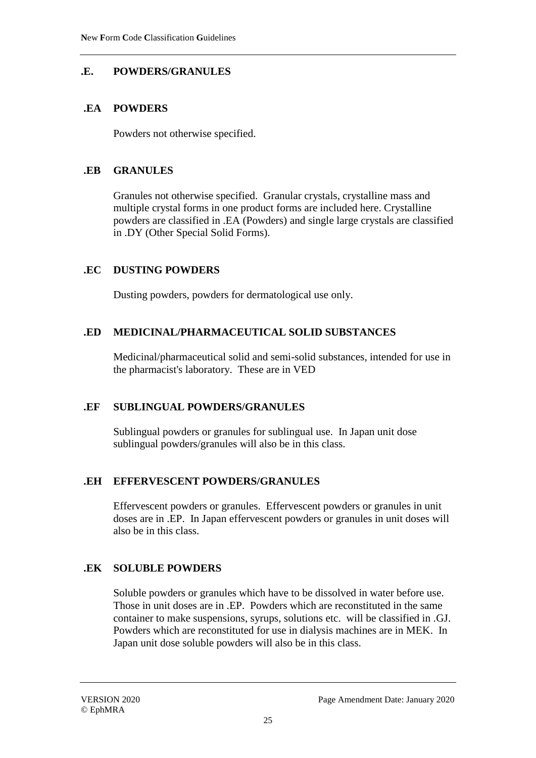# **.E. POWDERS/GRANULES**

## **.EA POWDERS**

Powders not otherwise specified.

## **.EB GRANULES**

Granules not otherwise specified. Granular crystals, crystalline mass and multiple crystal forms in one product forms are included here. Crystalline powders are classified in .EA (Powders) and single large crystals are classified in .DY (Other Special Solid Forms).

# **.EC DUSTING POWDERS**

Dusting powders, powders for dermatological use only.

# **.ED MEDICINAL/PHARMACEUTICAL SOLID SUBSTANCES**

Medicinal/pharmaceutical solid and semi-solid substances, intended for use in the pharmacist's laboratory. These are in VED

# **.EF SUBLINGUAL POWDERS/GRANULES**

Sublingual powders or granules for sublingual use. In Japan unit dose sublingual powders/granules will also be in this class.

# **.EH EFFERVESCENT POWDERS/GRANULES**

Effervescent powders or granules. Effervescent powders or granules in unit doses are in .EP. In Japan effervescent powders or granules in unit doses will also be in this class.

# **.EK SOLUBLE POWDERS**

Soluble powders or granules which have to be dissolved in water before use. Those in unit doses are in .EP. Powders which are reconstituted in the same container to make suspensions, syrups, solutions etc. will be classified in .GJ. Powders which are reconstituted for use in dialysis machines are in MEK. In Japan unit dose soluble powders will also be in this class.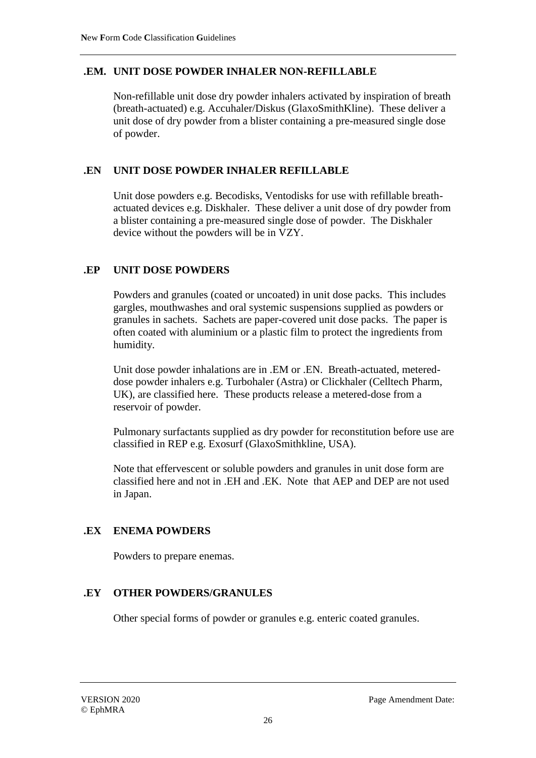#### **.EM. UNIT DOSE POWDER INHALER NON-REFILLABLE**

Non-refillable unit dose dry powder inhalers activated by inspiration of breath (breath-actuated) e.g. Accuhaler/Diskus (GlaxoSmithKline). These deliver a unit dose of dry powder from a blister containing a pre-measured single dose of powder.

#### **.EN UNIT DOSE POWDER INHALER REFILLABLE**

Unit dose powders e.g. Becodisks, Ventodisks for use with refillable breathactuated devices e.g. Diskhaler. These deliver a unit dose of dry powder from a blister containing a pre-measured single dose of powder. The Diskhaler device without the powders will be in VZY.

#### **.EP UNIT DOSE POWDERS**

Powders and granules (coated or uncoated) in unit dose packs. This includes gargles, mouthwashes and oral systemic suspensions supplied as powders or granules in sachets. Sachets are paper-covered unit dose packs. The paper is often coated with aluminium or a plastic film to protect the ingredients from humidity.

Unit dose powder inhalations are in .EM or .EN. Breath-actuated, metereddose powder inhalers e.g. Turbohaler (Astra) or Clickhaler (Celltech Pharm, UK), are classified here. These products release a metered-dose from a reservoir of powder.

Pulmonary surfactants supplied as dry powder for reconstitution before use are classified in REP e.g. Exosurf (GlaxoSmithkline, USA).

Note that effervescent or soluble powders and granules in unit dose form are classified here and not in .EH and .EK. Note that AEP and DEP are not used in Japan.

#### **.EX ENEMA POWDERS**

Powders to prepare enemas.

#### **.EY OTHER POWDERS/GRANULES**

Other special forms of powder or granules e.g. enteric coated granules.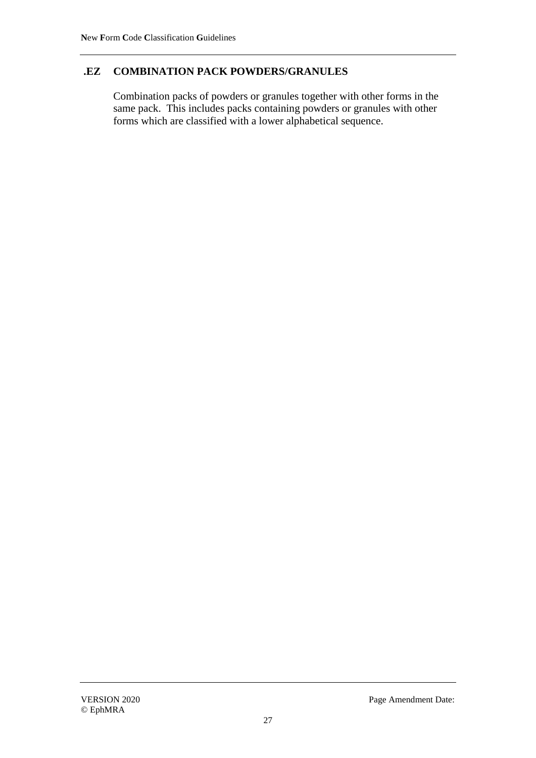# **.EZ COMBINATION PACK POWDERS/GRANULES**

Combination packs of powders or granules together with other forms in the same pack. This includes packs containing powders or granules with other forms which are classified with a lower alphabetical sequence.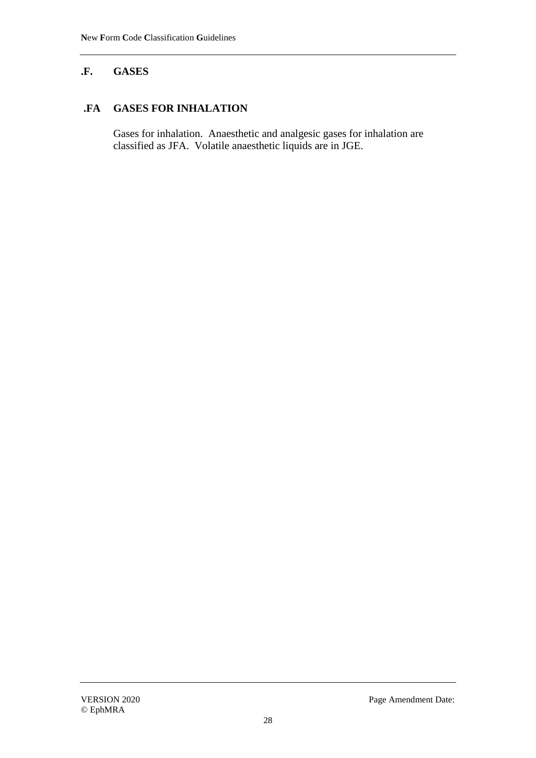# **.F. GASES**

## **.FA GASES FOR INHALATION**

Gases for inhalation. Anaesthetic and analgesic gases for inhalation are classified as JFA. Volatile anaesthetic liquids are in JGE.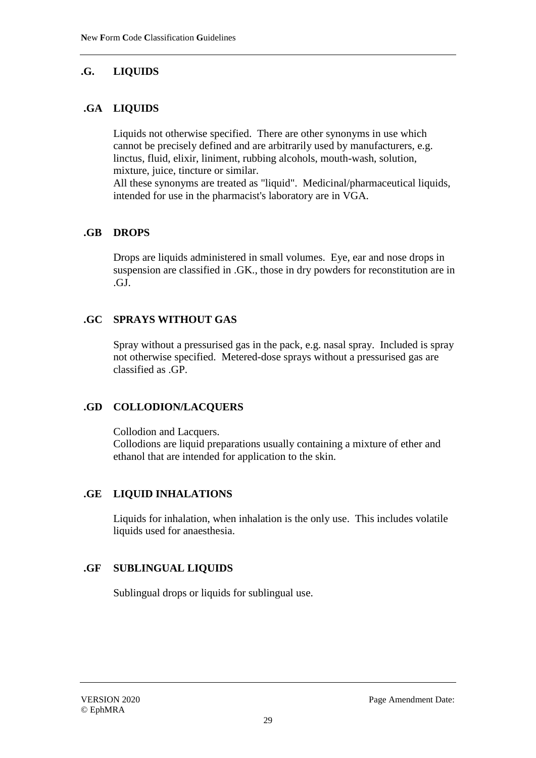# **.G. LIQUIDS**

# **.GA LIQUIDS**

Liquids not otherwise specified. There are other synonyms in use which cannot be precisely defined and are arbitrarily used by manufacturers, e.g. linctus, fluid, elixir, liniment, rubbing alcohols, mouth-wash, solution, mixture, juice, tincture or similar.

All these synonyms are treated as "liquid". Medicinal/pharmaceutical liquids, intended for use in the pharmacist's laboratory are in VGA.

#### **.GB DROPS**

Drops are liquids administered in small volumes. Eye, ear and nose drops in suspension are classified in .GK., those in dry powders for reconstitution are in .GJ.

#### **.GC SPRAYS WITHOUT GAS**

Spray without a pressurised gas in the pack, e.g. nasal spray. Included is spray not otherwise specified. Metered-dose sprays without a pressurised gas are classified as .GP.

# **.GD COLLODION/LACQUERS**

Collodion and Lacquers. Collodions are liquid preparations usually containing a mixture of ether and ethanol that are intended for application to the skin.

# **.GE LIQUID INHALATIONS**

Liquids for inhalation, when inhalation is the only use. This includes volatile liquids used for anaesthesia.

# **.GF SUBLINGUAL LIQUIDS**

Sublingual drops or liquids for sublingual use.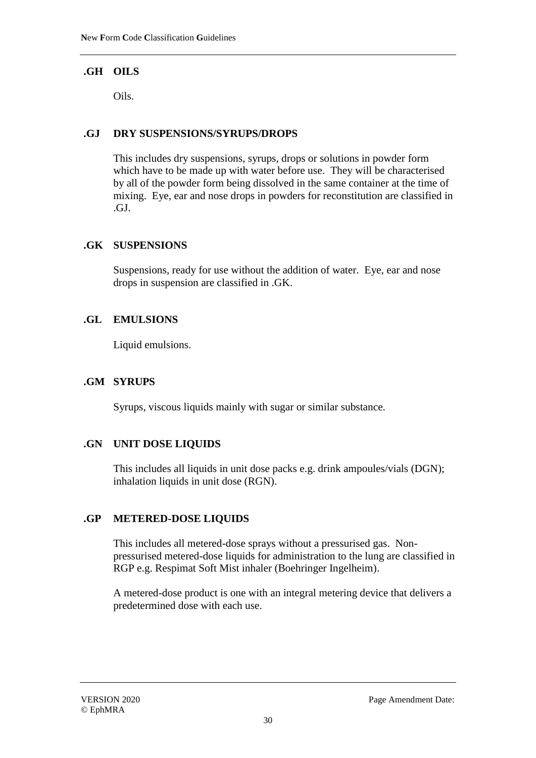# **.GH OILS**

Oils.

#### **.GJ DRY SUSPENSIONS/SYRUPS/DROPS**

This includes dry suspensions, syrups, drops or solutions in powder form which have to be made up with water before use. They will be characterised by all of the powder form being dissolved in the same container at the time of mixing. Eye, ear and nose drops in powders for reconstitution are classified in .GJ.

#### **.GK SUSPENSIONS**

Suspensions, ready for use without the addition of water. Eye, ear and nose drops in suspension are classified in .GK.

#### **.GL EMULSIONS**

Liquid emulsions.

## **.GM SYRUPS**

Syrups, viscous liquids mainly with sugar or similar substance.

# **.GN UNIT DOSE LIQUIDS**

This includes all liquids in unit dose packs e.g. drink ampoules/vials (DGN); inhalation liquids in unit dose (RGN).

#### **.GP METERED-DOSE LIQUIDS**

This includes all metered-dose sprays without a pressurised gas. Nonpressurised metered-dose liquids for administration to the lung are classified in RGP e.g. Respimat Soft Mist inhaler (Boehringer Ingelheim).

A metered-dose product is one with an integral metering device that delivers a predetermined dose with each use.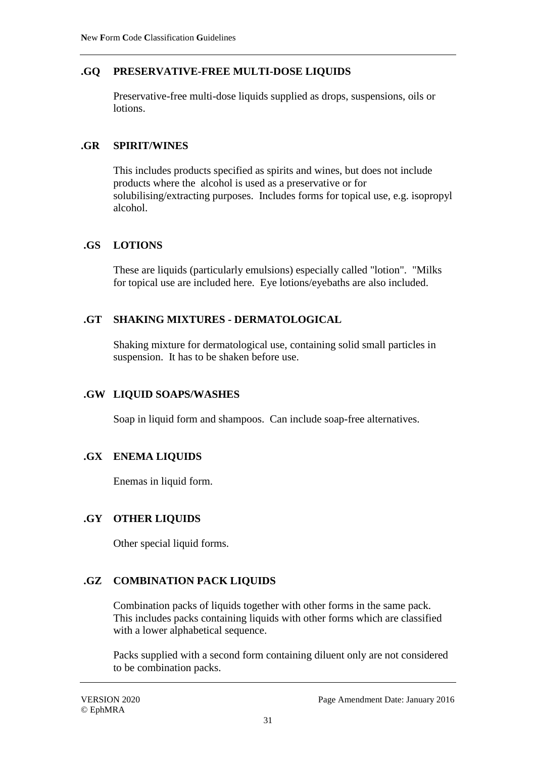## **.GQ PRESERVATIVE-FREE MULTI-DOSE LIQUIDS**

Preservative-free multi-dose liquids supplied as drops, suspensions, oils or lotions.

#### **.GR SPIRIT/WINES**

This includes products specified as spirits and wines, but does not include products where the alcohol is used as a preservative or for solubilising/extracting purposes. Includes forms for topical use, e.g. isopropyl alcohol.

#### **.GS LOTIONS**

These are liquids (particularly emulsions) especially called "lotion". "Milks for topical use are included here. Eye lotions/eyebaths are also included.

#### **.GT SHAKING MIXTURES - DERMATOLOGICAL**

Shaking mixture for dermatological use, containing solid small particles in suspension. It has to be shaken before use.

#### **.GW LIQUID SOAPS/WASHES**

Soap in liquid form and shampoos. Can include soap-free alternatives.

#### **.GX ENEMA LIQUIDS**

Enemas in liquid form.

#### **.GY OTHER LIQUIDS**

Other special liquid forms.

# **.GZ COMBINATION PACK LIQUIDS**

Combination packs of liquids together with other forms in the same pack. This includes packs containing liquids with other forms which are classified with a lower alphabetical sequence.

Packs supplied with a second form containing diluent only are not considered to be combination packs.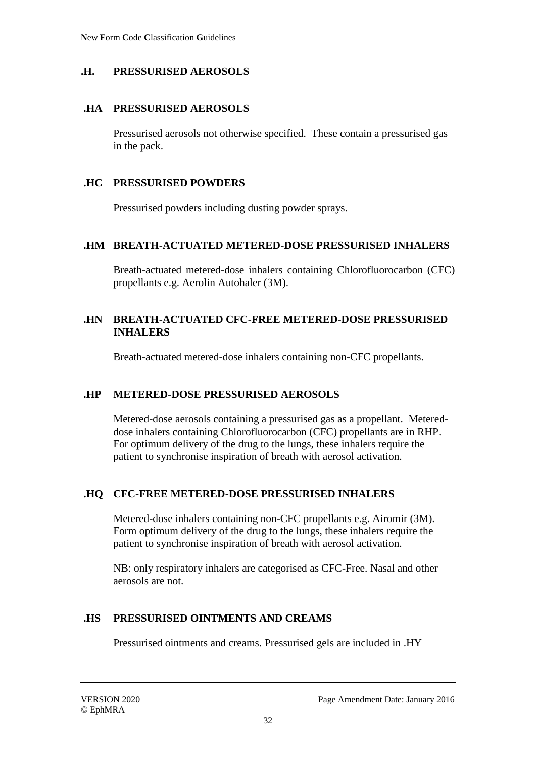#### **.H. PRESSURISED AEROSOLS**

#### **.HA PRESSURISED AEROSOLS**

Pressurised aerosols not otherwise specified. These contain a pressurised gas in the pack.

#### **.HC PRESSURISED POWDERS**

Pressurised powders including dusting powder sprays.

#### **.HM BREATH-ACTUATED METERED-DOSE PRESSURISED INHALERS**

Breath-actuated metered-dose inhalers containing Chlorofluorocarbon (CFC) propellants e.g. Aerolin Autohaler (3M).

#### **.HN BREATH-ACTUATED CFC-FREE METERED-DOSE PRESSURISED INHALERS**

Breath-actuated metered-dose inhalers containing non-CFC propellants.

#### **.HP METERED-DOSE PRESSURISED AEROSOLS**

Metered-dose aerosols containing a pressurised gas as a propellant. Metereddose inhalers containing Chlorofluorocarbon (CFC) propellants are in RHP. For optimum delivery of the drug to the lungs, these inhalers require the patient to synchronise inspiration of breath with aerosol activation.

#### **.HQ CFC-FREE METERED-DOSE PRESSURISED INHALERS**

Metered-dose inhalers containing non-CFC propellants e.g. Airomir (3M). Form optimum delivery of the drug to the lungs, these inhalers require the patient to synchronise inspiration of breath with aerosol activation.

NB: only respiratory inhalers are categorised as CFC-Free. Nasal and other aerosols are not.

#### **.HS PRESSURISED OINTMENTS AND CREAMS**

Pressurised ointments and creams. Pressurised gels are included in .HY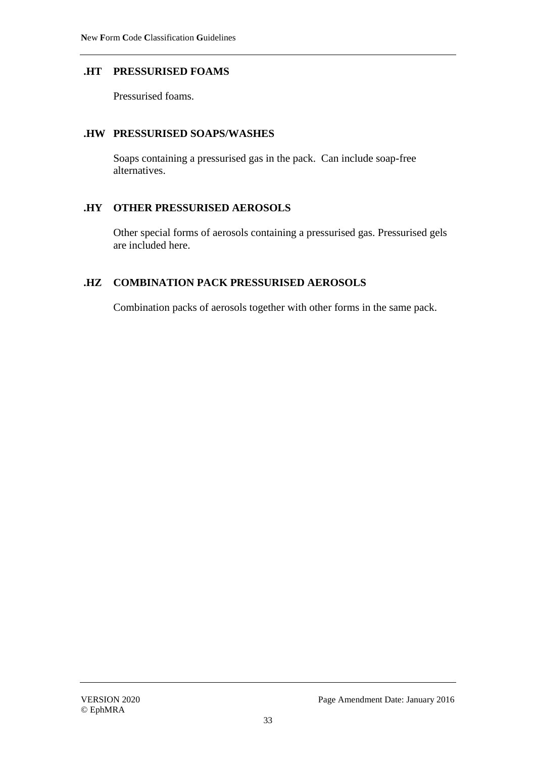#### **.HT PRESSURISED FOAMS**

Pressurised foams.

#### **.HW PRESSURISED SOAPS/WASHES**

Soaps containing a pressurised gas in the pack. Can include soap-free alternatives.

#### **.HY OTHER PRESSURISED AEROSOLS**

Other special forms of aerosols containing a pressurised gas. Pressurised gels are included here.

# **.HZ COMBINATION PACK PRESSURISED AEROSOLS**

Combination packs of aerosols together with other forms in the same pack.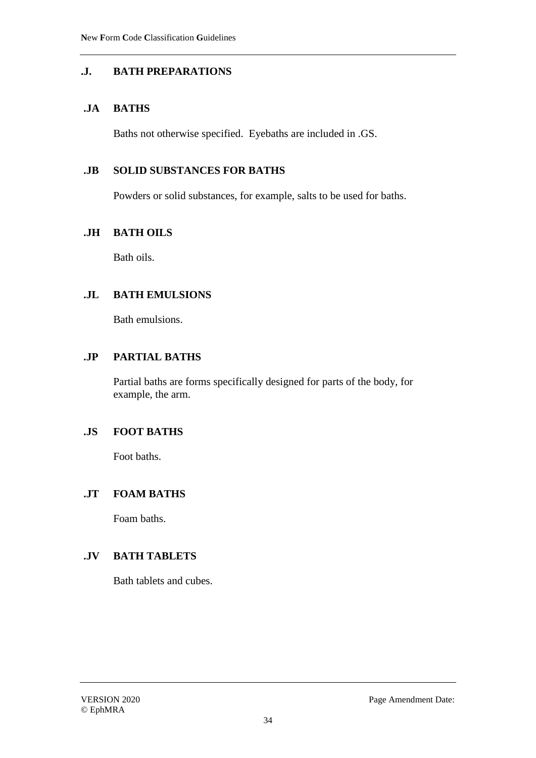## **.J. BATH PREPARATIONS**

#### **.JA BATHS**

Baths not otherwise specified. Eyebaths are included in .GS.

#### **.JB SOLID SUBSTANCES FOR BATHS**

Powders or solid substances, for example, salts to be used for baths.

#### **.JH BATH OILS**

Bath oils.

#### **.JL BATH EMULSIONS**

Bath emulsions.

## **.JP PARTIAL BATHS**

Partial baths are forms specifically designed for parts of the body, for example, the arm.

# **.JS FOOT BATHS**

Foot baths.

# **.JT FOAM BATHS**

Foam baths.

# **.JV BATH TABLETS**

Bath tablets and cubes.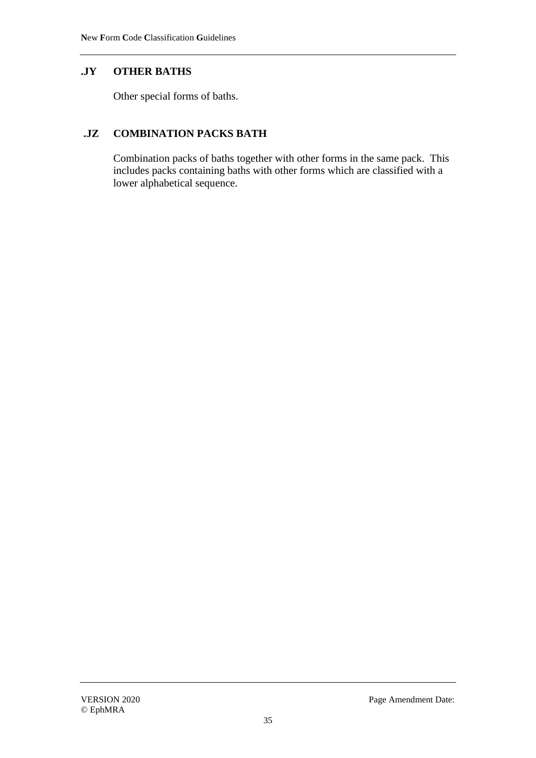# **.JY OTHER BATHS**

Other special forms of baths.

# **.JZ COMBINATION PACKS BATH**

Combination packs of baths together with other forms in the same pack. This includes packs containing baths with other forms which are classified with a lower alphabetical sequence.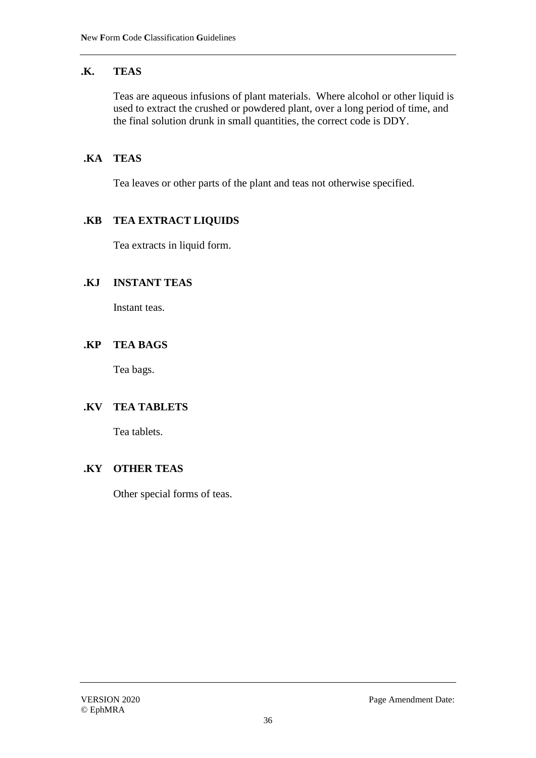## **.K. TEAS**

Teas are aqueous infusions of plant materials. Where alcohol or other liquid is used to extract the crushed or powdered plant, over a long period of time, and the final solution drunk in small quantities, the correct code is DDY.

## **.KA TEAS**

Tea leaves or other parts of the plant and teas not otherwise specified.

#### **.KB TEA EXTRACT LIQUIDS**

Tea extracts in liquid form.

#### **.KJ INSTANT TEAS**

Instant teas.

#### **.KP TEA BAGS**

Tea bags.

# **.KV TEA TABLETS**

Tea tablets.

#### **.KY OTHER TEAS**

Other special forms of teas.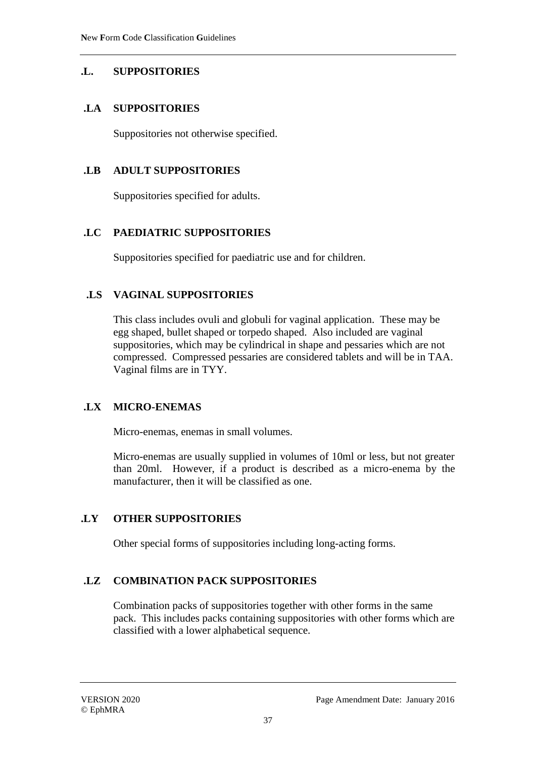## **.L. SUPPOSITORIES**

### **.LA SUPPOSITORIES**

Suppositories not otherwise specified.

### **.LB ADULT SUPPOSITORIES**

Suppositories specified for adults.

### **.LC PAEDIATRIC SUPPOSITORIES**

Suppositories specified for paediatric use and for children.

### **.LS VAGINAL SUPPOSITORIES**

This class includes ovuli and globuli for vaginal application. These may be egg shaped, bullet shaped or torpedo shaped. Also included are vaginal suppositories, which may be cylindrical in shape and pessaries which are not compressed. Compressed pessaries are considered tablets and will be in TAA. Vaginal films are in TYY.

## **.LX MICRO-ENEMAS**

Micro-enemas, enemas in small volumes.

Micro-enemas are usually supplied in volumes of 10ml or less, but not greater than 20ml. However, if a product is described as a micro-enema by the manufacturer, then it will be classified as one.

## **.LY OTHER SUPPOSITORIES**

Other special forms of suppositories including long-acting forms.

## **.LZ COMBINATION PACK SUPPOSITORIES**

Combination packs of suppositories together with other forms in the same pack. This includes packs containing suppositories with other forms which are classified with a lower alphabetical sequence.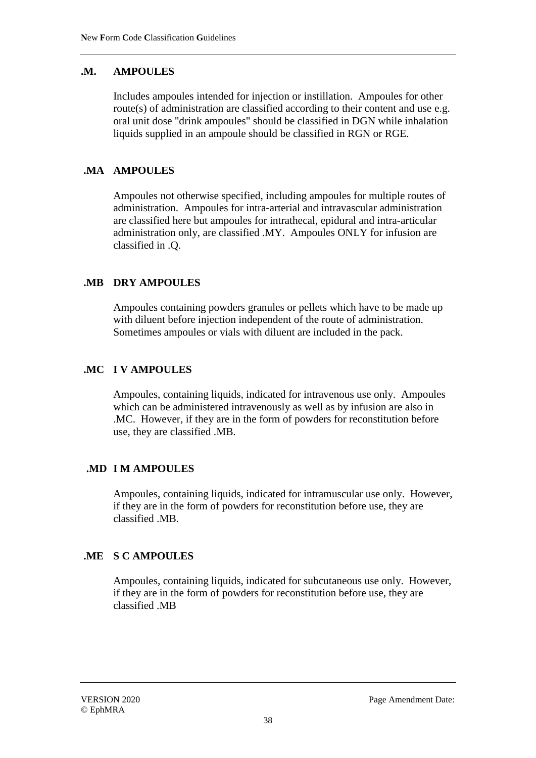## **.M. AMPOULES**

Includes ampoules intended for injection or instillation. Ampoules for other route(s) of administration are classified according to their content and use e.g. oral unit dose "drink ampoules" should be classified in DGN while inhalation liquids supplied in an ampoule should be classified in RGN or RGE.

## **.MA AMPOULES**

Ampoules not otherwise specified, including ampoules for multiple routes of administration. Ampoules for intra-arterial and intravascular administration are classified here but ampoules for intrathecal, epidural and intra-articular administration only, are classified .MY. Ampoules ONLY for infusion are classified in .Q.

## **.MB DRY AMPOULES**

Ampoules containing powders granules or pellets which have to be made up with diluent before injection independent of the route of administration. Sometimes ampoules or vials with diluent are included in the pack.

## **.MC I V AMPOULES**

Ampoules, containing liquids, indicated for intravenous use only. Ampoules which can be administered intravenously as well as by infusion are also in .MC. However, if they are in the form of powders for reconstitution before use, they are classified .MB.

## **.MD I M AMPOULES**

Ampoules, containing liquids, indicated for intramuscular use only. However, if they are in the form of powders for reconstitution before use, they are classified .MB.

## **.ME S C AMPOULES**

Ampoules, containing liquids, indicated for subcutaneous use only. However, if they are in the form of powders for reconstitution before use, they are classified .MB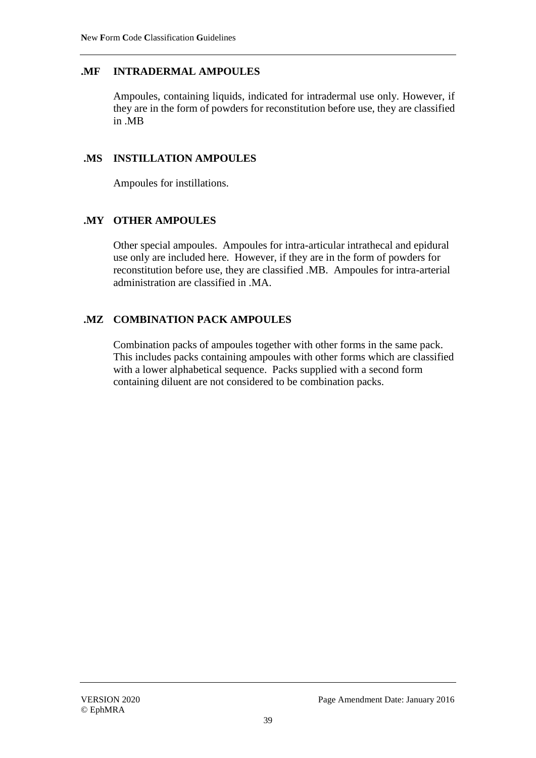### **.MF INTRADERMAL AMPOULES**

Ampoules, containing liquids, indicated for intradermal use only. However, if they are in the form of powders for reconstitution before use, they are classified in .MB

#### **.MS INSTILLATION AMPOULES**

Ampoules for instillations.

#### **.MY OTHER AMPOULES**

Other special ampoules. Ampoules for intra-articular intrathecal and epidural use only are included here. However, if they are in the form of powders for reconstitution before use, they are classified .MB. Ampoules for intra-arterial administration are classified in .MA.

### **.MZ COMBINATION PACK AMPOULES**

Combination packs of ampoules together with other forms in the same pack. This includes packs containing ampoules with other forms which are classified with a lower alphabetical sequence. Packs supplied with a second form containing diluent are not considered to be combination packs.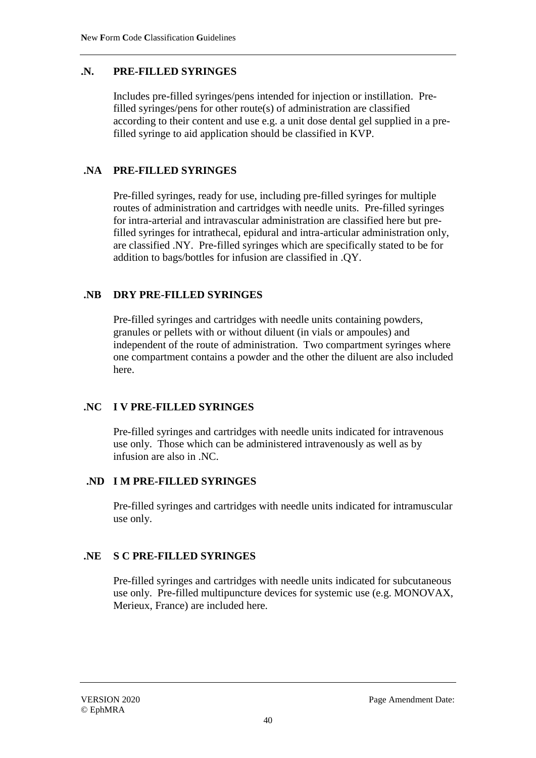### **.N. PRE-FILLED SYRINGES**

Includes pre-filled syringes/pens intended for injection or instillation. Prefilled syringes/pens for other route(s) of administration are classified according to their content and use e.g. a unit dose dental gel supplied in a prefilled syringe to aid application should be classified in KVP.

### **.NA PRE-FILLED SYRINGES**

Pre-filled syringes, ready for use, including pre-filled syringes for multiple routes of administration and cartridges with needle units. Pre-filled syringes for intra-arterial and intravascular administration are classified here but prefilled syringes for intrathecal, epidural and intra-articular administration only, are classified .NY. Pre-filled syringes which are specifically stated to be for addition to bags/bottles for infusion are classified in .QY.

### **.NB DRY PRE-FILLED SYRINGES**

Pre-filled syringes and cartridges with needle units containing powders, granules or pellets with or without diluent (in vials or ampoules) and independent of the route of administration. Two compartment syringes where one compartment contains a powder and the other the diluent are also included here.

#### **.NC I V PRE-FILLED SYRINGES**

Pre-filled syringes and cartridges with needle units indicated for intravenous use only. Those which can be administered intravenously as well as by infusion are also in .NC.

### **.ND I M PRE-FILLED SYRINGES**

Pre-filled syringes and cartridges with needle units indicated for intramuscular use only.

#### **.NE S C PRE-FILLED SYRINGES**

Pre-filled syringes and cartridges with needle units indicated for subcutaneous use only. Pre-filled multipuncture devices for systemic use (e.g. MONOVAX, Merieux, France) are included here.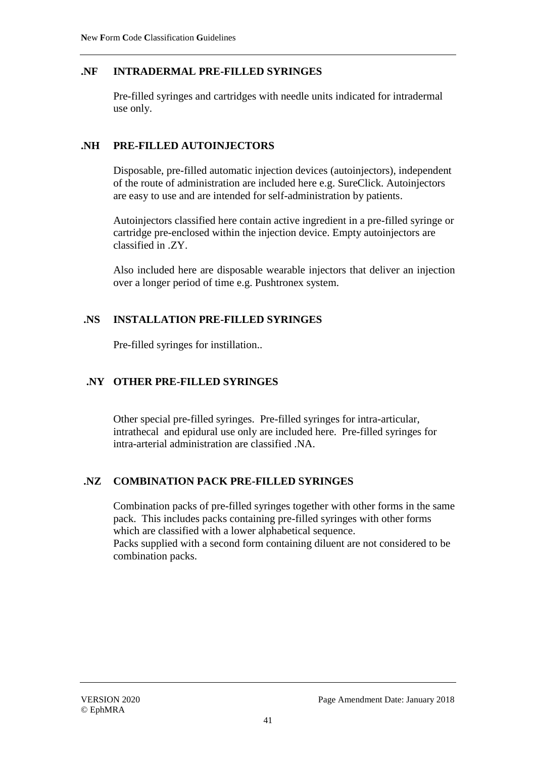### **.NF INTRADERMAL PRE-FILLED SYRINGES**

Pre-filled syringes and cartridges with needle units indicated for intradermal use only.

### **.NH PRE-FILLED AUTOINJECTORS**

Disposable, pre-filled automatic injection devices (autoinjectors), independent of the route of administration are included here e.g. SureClick. Autoinjectors are easy to use and are intended for self-administration by patients.

Autoinjectors classified here contain active ingredient in a pre-filled syringe or cartridge pre-enclosed within the injection device. Empty autoinjectors are classified in .ZY.

Also included here are disposable wearable injectors that deliver an injection over a longer period of time e.g. Pushtronex system.

### **.NS INSTALLATION PRE-FILLED SYRINGES**

Pre-filled syringes for instillation..

### **.NY OTHER PRE-FILLED SYRINGES**

Other special pre-filled syringes. Pre-filled syringes for intra-articular, intrathecal and epidural use only are included here. Pre-filled syringes for intra-arterial administration are classified .NA.

#### **.NZ COMBINATION PACK PRE-FILLED SYRINGES**

Combination packs of pre-filled syringes together with other forms in the same pack. This includes packs containing pre-filled syringes with other forms which are classified with a lower alphabetical sequence. Packs supplied with a second form containing diluent are not considered to be combination packs.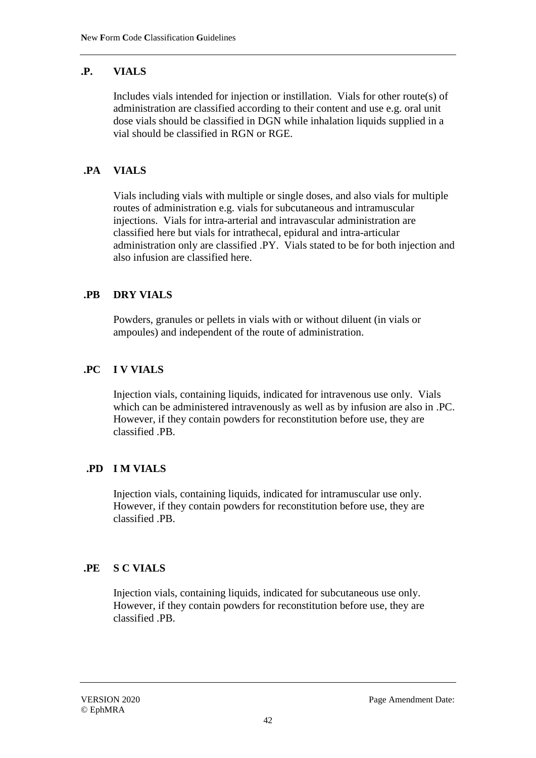## **.P. VIALS**

Includes vials intended for injection or instillation. Vials for other route(s) of administration are classified according to their content and use e.g. oral unit dose vials should be classified in DGN while inhalation liquids supplied in a vial should be classified in RGN or RGE.

## **.PA VIALS**

Vials including vials with multiple or single doses, and also vials for multiple routes of administration e.g. vials for subcutaneous and intramuscular injections. Vials for intra-arterial and intravascular administration are classified here but vials for intrathecal, epidural and intra-articular administration only are classified .PY. Vials stated to be for both injection and also infusion are classified here.

## **.PB DRY VIALS**

Powders, granules or pellets in vials with or without diluent (in vials or ampoules) and independent of the route of administration.

## **.PC I V VIALS**

Injection vials, containing liquids, indicated for intravenous use only. Vials which can be administered intravenously as well as by infusion are also in .PC. However, if they contain powders for reconstitution before use, they are classified .PB.

## **.PD I M VIALS**

Injection vials, containing liquids, indicated for intramuscular use only. However, if they contain powders for reconstitution before use, they are classified .PB.

## **.PE S C VIALS**

Injection vials, containing liquids, indicated for subcutaneous use only. However, if they contain powders for reconstitution before use, they are classified .PB.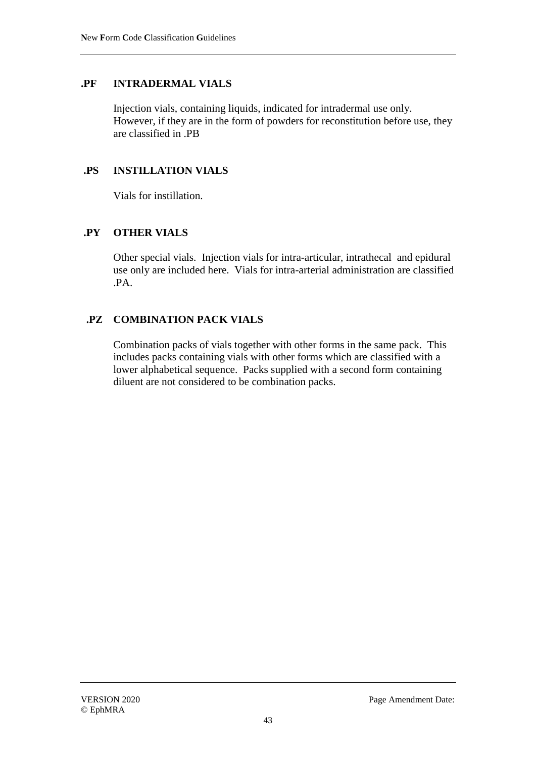#### **.PF INTRADERMAL VIALS**

Injection vials, containing liquids, indicated for intradermal use only. However, if they are in the form of powders for reconstitution before use, they are classified in .PB

#### **.PS INSTILLATION VIALS**

Vials for instillation.

#### **.PY OTHER VIALS**

Other special vials. Injection vials for intra-articular, intrathecal and epidural use only are included here. Vials for intra-arterial administration are classified .PA.

#### **.PZ COMBINATION PACK VIALS**

Combination packs of vials together with other forms in the same pack. This includes packs containing vials with other forms which are classified with a lower alphabetical sequence. Packs supplied with a second form containing diluent are not considered to be combination packs.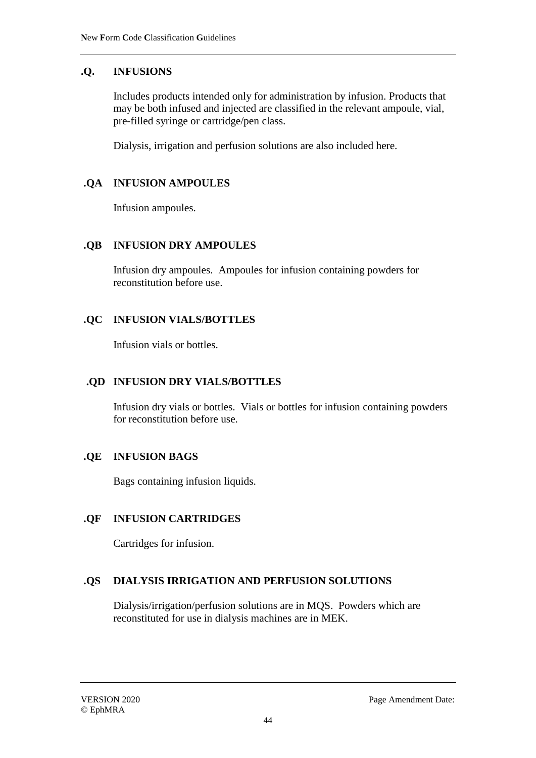## **.Q. INFUSIONS**

Includes products intended only for administration by infusion. Products that may be both infused and injected are classified in the relevant ampoule, vial, pre-filled syringe or cartridge/pen class.

Dialysis, irrigation and perfusion solutions are also included here.

### **.QA INFUSION AMPOULES**

Infusion ampoules.

#### **.QB INFUSION DRY AMPOULES**

Infusion dry ampoules. Ampoules for infusion containing powders for reconstitution before use.

#### **.QC INFUSION VIALS/BOTTLES**

Infusion vials or bottles.

### **.QD INFUSION DRY VIALS/BOTTLES**

Infusion dry vials or bottles. Vials or bottles for infusion containing powders for reconstitution before use.

#### **.QE INFUSION BAGS**

Bags containing infusion liquids.

#### **.QF INFUSION CARTRIDGES**

Cartridges for infusion.

#### **.QS DIALYSIS IRRIGATION AND PERFUSION SOLUTIONS**

Dialysis/irrigation/perfusion solutions are in MQS. Powders which are reconstituted for use in dialysis machines are in MEK.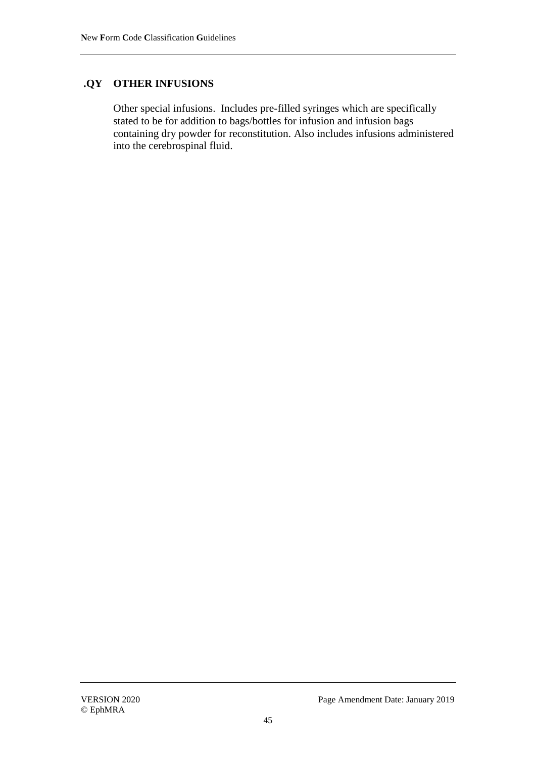### **.QY OTHER INFUSIONS**

Other special infusions. Includes pre-filled syringes which are specifically stated to be for addition to bags/bottles for infusion and infusion bags containing dry powder for reconstitution. Also includes infusions administered into the cerebrospinal fluid.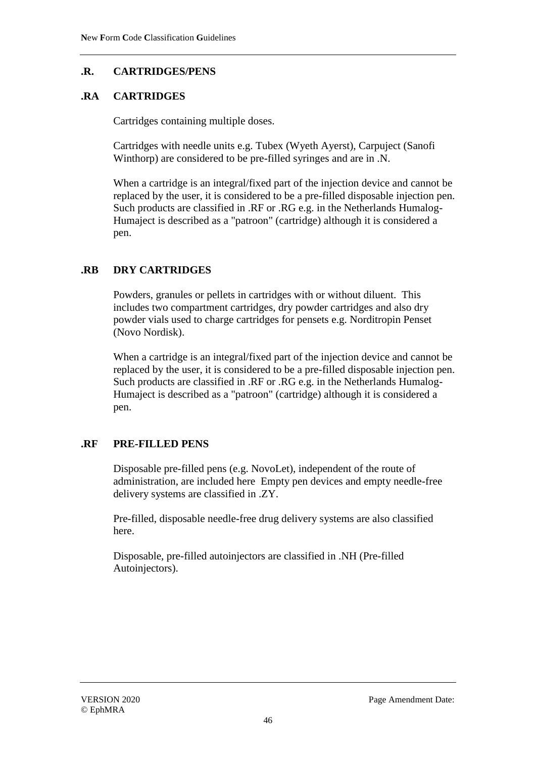## **.R. CARTRIDGES/PENS**

### **.RA CARTRIDGES**

Cartridges containing multiple doses.

Cartridges with needle units e.g. Tubex (Wyeth Ayerst), Carpuject (Sanofi Winthorp) are considered to be pre-filled syringes and are in .N.

When a cartridge is an integral/fixed part of the injection device and cannot be replaced by the user, it is considered to be a pre-filled disposable injection pen. Such products are classified in .RF or .RG e.g. in the Netherlands Humalog-Humaject is described as a "patroon" (cartridge) although it is considered a pen.

## **.RB DRY CARTRIDGES**

Powders, granules or pellets in cartridges with or without diluent. This includes two compartment cartridges, dry powder cartridges and also dry powder vials used to charge cartridges for pensets e.g. Norditropin Penset (Novo Nordisk).

When a cartridge is an integral/fixed part of the injection device and cannot be replaced by the user, it is considered to be a pre-filled disposable injection pen. Such products are classified in .RF or .RG e.g. in the Netherlands Humalog-Humaject is described as a "patroon" (cartridge) although it is considered a pen.

## **.RF PRE-FILLED PENS**

Disposable pre-filled pens (e.g. NovoLet), independent of the route of administration, are included here Empty pen devices and empty needle-free delivery systems are classified in .ZY.

Pre-filled, disposable needle-free drug delivery systems are also classified here.

Disposable, pre-filled autoinjectors are classified in .NH (Pre-filled Autoinjectors).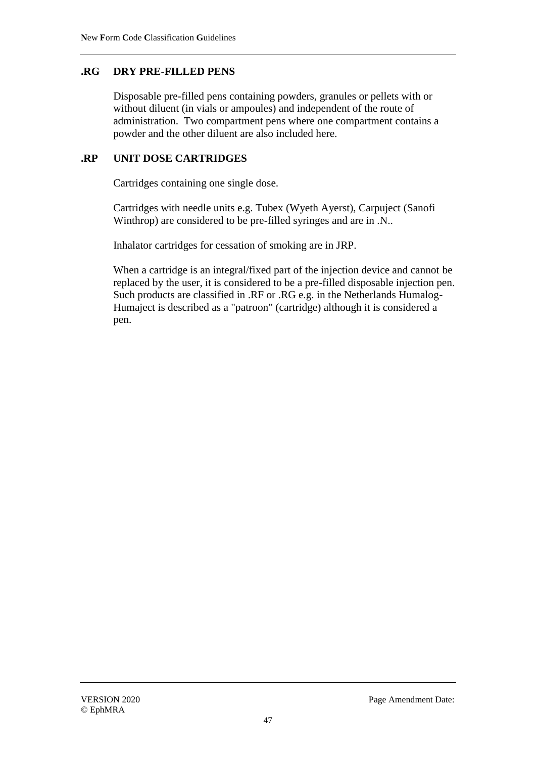### **.RG DRY PRE-FILLED PENS**

Disposable pre-filled pens containing powders, granules or pellets with or without diluent (in vials or ampoules) and independent of the route of administration. Two compartment pens where one compartment contains a powder and the other diluent are also included here.

### **.RP UNIT DOSE CARTRIDGES**

Cartridges containing one single dose.

Cartridges with needle units e.g. Tubex (Wyeth Ayerst), Carpuject (Sanofi Winthrop) are considered to be pre-filled syringes and are in .N..

Inhalator cartridges for cessation of smoking are in JRP.

When a cartridge is an integral/fixed part of the injection device and cannot be replaced by the user, it is considered to be a pre-filled disposable injection pen. Such products are classified in .RF or .RG e.g. in the Netherlands Humalog-Humaject is described as a "patroon" (cartridge) although it is considered a pen.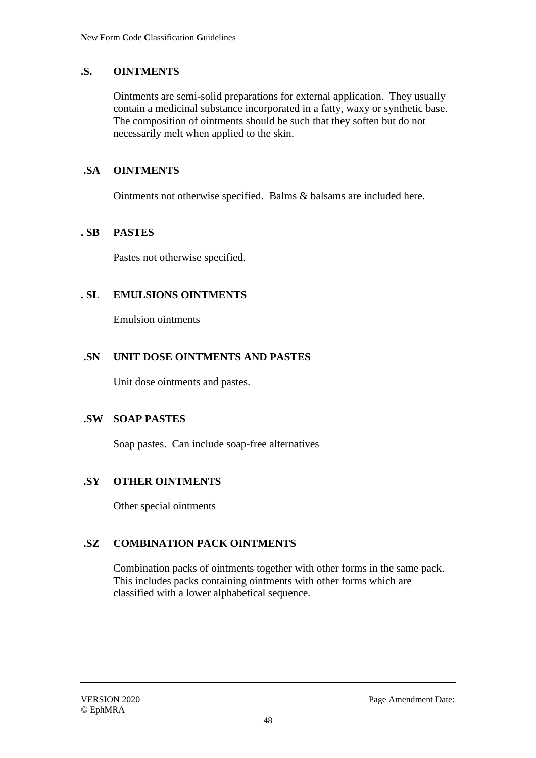### **.S. OINTMENTS**

Ointments are semi-solid preparations for external application. They usually contain a medicinal substance incorporated in a fatty, waxy or synthetic base. The composition of ointments should be such that they soften but do not necessarily melt when applied to the skin.

### **.SA OINTMENTS**

Ointments not otherwise specified. Balms & balsams are included here.

#### **. SB PASTES**

Pastes not otherwise specified.

#### **. SL EMULSIONS OINTMENTS**

Emulsion ointments

#### **.SN UNIT DOSE OINTMENTS AND PASTES**

Unit dose ointments and pastes.

#### **.SW SOAP PASTES**

Soap pastes. Can include soap-free alternatives

## **.SY OTHER OINTMENTS**

Other special ointments

## **.SZ COMBINATION PACK OINTMENTS**

Combination packs of ointments together with other forms in the same pack. This includes packs containing ointments with other forms which are classified with a lower alphabetical sequence.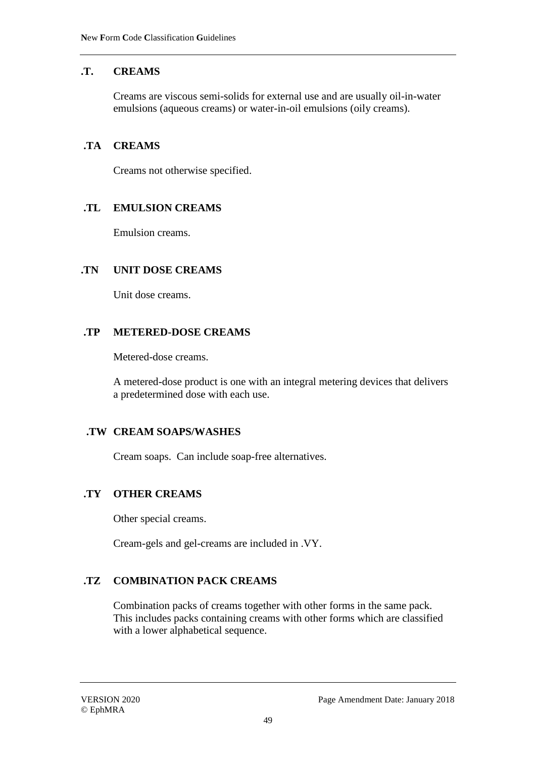## **.T. CREAMS**

Creams are viscous semi-solids for external use and are usually oil-in-water emulsions (aqueous creams) or water-in-oil emulsions (oily creams).

### **.TA CREAMS**

Creams not otherwise specified.

### **.TL EMULSION CREAMS**

Emulsion creams.

#### **.TN UNIT DOSE CREAMS**

Unit dose creams.

### **.TP METERED-DOSE CREAMS**

Metered-dose creams.

A metered-dose product is one with an integral metering devices that delivers a predetermined dose with each use.

#### **.TW CREAM SOAPS/WASHES**

Cream soaps. Can include soap-free alternatives.

## **.TY OTHER CREAMS**

Other special creams.

Cream-gels and gel-creams are included in .VY.

## **.TZ COMBINATION PACK CREAMS**

Combination packs of creams together with other forms in the same pack. This includes packs containing creams with other forms which are classified with a lower alphabetical sequence.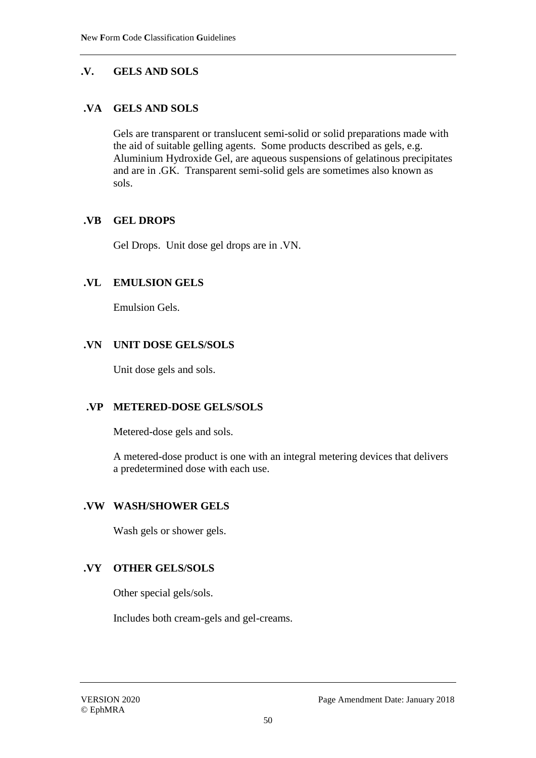## **.V. GELS AND SOLS**

### **.VA GELS AND SOLS**

Gels are transparent or translucent semi-solid or solid preparations made with the aid of suitable gelling agents. Some products described as gels, e.g. Aluminium Hydroxide Gel, are aqueous suspensions of gelatinous precipitates and are in .GK. Transparent semi-solid gels are sometimes also known as sols.

### **.VB GEL DROPS**

Gel Drops. Unit dose gel drops are in .VN.

### **.VL EMULSION GELS**

Emulsion Gels.

### **.VN UNIT DOSE GELS/SOLS**

Unit dose gels and sols.

## **.VP METERED-DOSE GELS/SOLS**

Metered-dose gels and sols.

A metered-dose product is one with an integral metering devices that delivers a predetermined dose with each use.

#### **.VW WASH/SHOWER GELS**

Wash gels or shower gels.

#### **.VY OTHER GELS/SOLS**

Other special gels/sols.

Includes both cream-gels and gel-creams.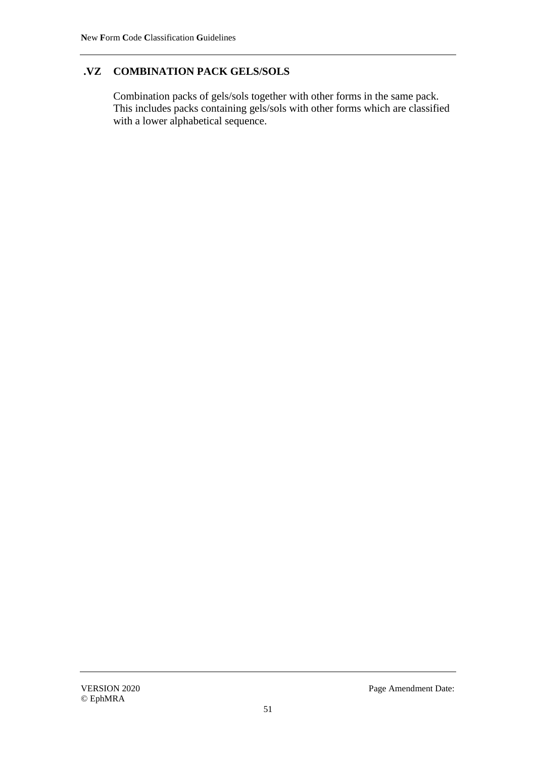## **.VZ COMBINATION PACK GELS/SOLS**

Combination packs of gels/sols together with other forms in the same pack. This includes packs containing gels/sols with other forms which are classified with a lower alphabetical sequence.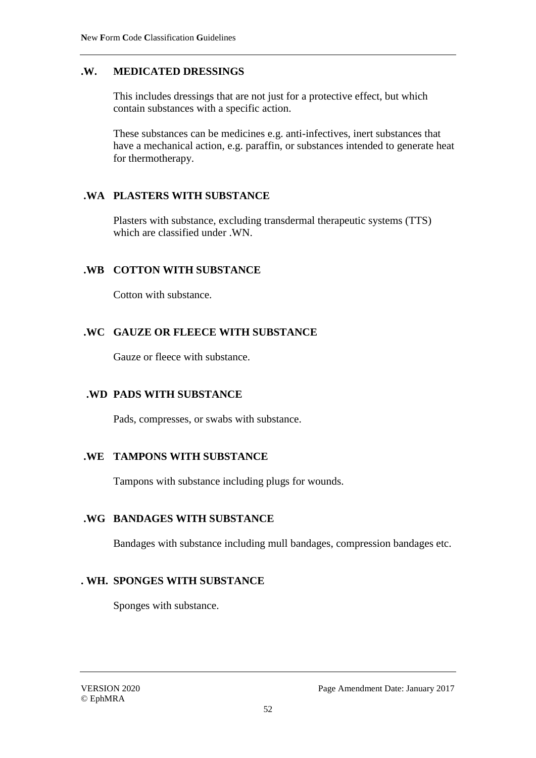### **.W. MEDICATED DRESSINGS**

This includes dressings that are not just for a protective effect, but which contain substances with a specific action.

These substances can be medicines e.g. anti-infectives, inert substances that have a mechanical action, e.g. paraffin, or substances intended to generate heat for thermotherapy.

### **.WA PLASTERS WITH SUBSTANCE**

Plasters with substance, excluding transdermal therapeutic systems (TTS) which are classified under .WN.

### **.WB COTTON WITH SUBSTANCE**

Cotton with substance.

### **.WC GAUZE OR FLEECE WITH SUBSTANCE**

Gauze or fleece with substance.

#### **.WD PADS WITH SUBSTANCE**

Pads, compresses, or swabs with substance.

#### **.WE TAMPONS WITH SUBSTANCE**

Tampons with substance including plugs for wounds.

#### **.WG BANDAGES WITH SUBSTANCE**

Bandages with substance including mull bandages, compression bandages etc.

#### **. WH. SPONGES WITH SUBSTANCE**

Sponges with substance.

© EphMRA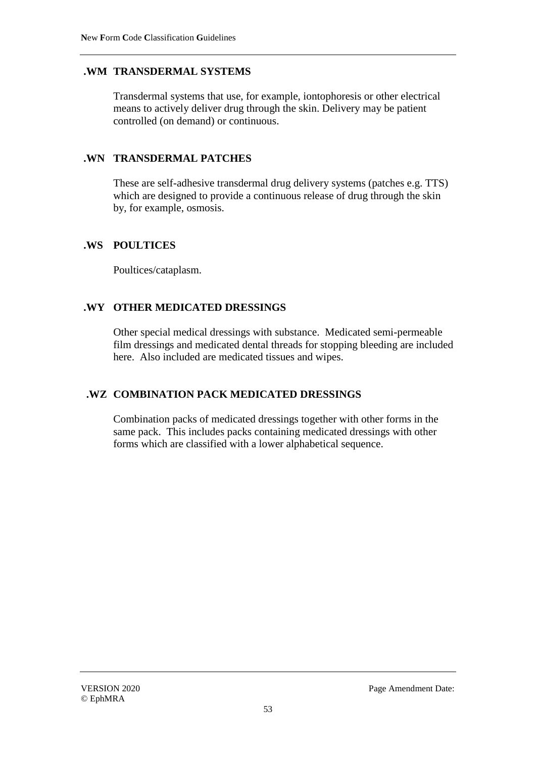## **.WM TRANSDERMAL SYSTEMS**

Transdermal systems that use, for example, iontophoresis or other electrical means to actively deliver drug through the skin. Delivery may be patient controlled (on demand) or continuous.

### **.WN TRANSDERMAL PATCHES**

These are self-adhesive transdermal drug delivery systems (patches e.g. TTS) which are designed to provide a continuous release of drug through the skin by, for example, osmosis.

#### **.WS POULTICES**

Poultices/cataplasm.

### **.WY OTHER MEDICATED DRESSINGS**

Other special medical dressings with substance. Medicated semi-permeable film dressings and medicated dental threads for stopping bleeding are included here. Also included are medicated tissues and wipes.

## **.WZ COMBINATION PACK MEDICATED DRESSINGS**

Combination packs of medicated dressings together with other forms in the same pack. This includes packs containing medicated dressings with other forms which are classified with a lower alphabetical sequence.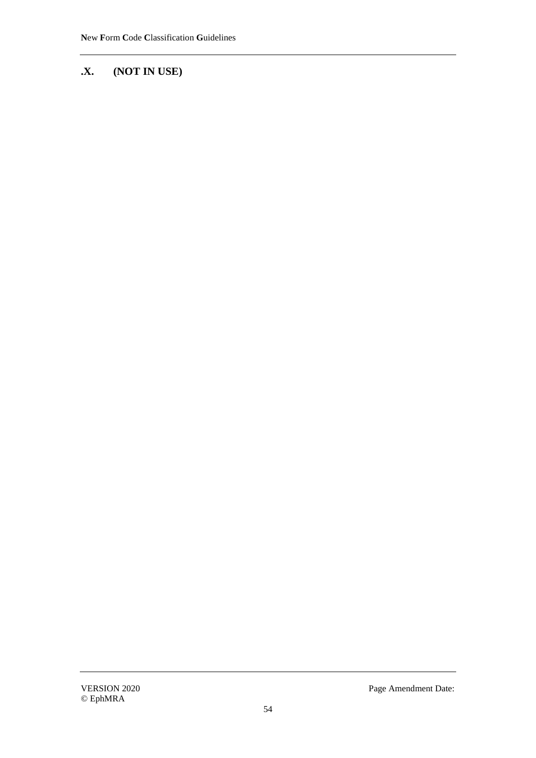# **.X. (NOT IN USE)**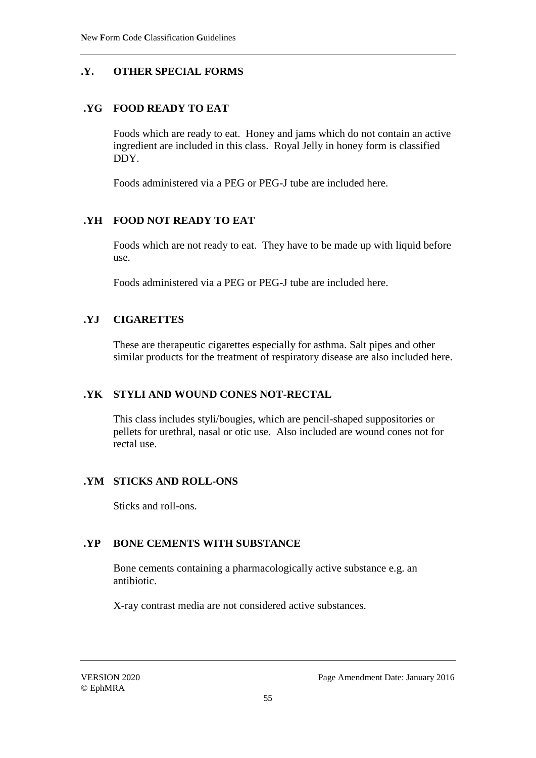## **.Y. OTHER SPECIAL FORMS**

### **.YG FOOD READY TO EAT**

Foods which are ready to eat. Honey and jams which do not contain an active ingredient are included in this class. Royal Jelly in honey form is classified DDY.

Foods administered via a PEG or PEG-J tube are included here.

## **.YH FOOD NOT READY TO EAT**

Foods which are not ready to eat. They have to be made up with liquid before use.

Foods administered via a PEG or PEG-J tube are included here.

### **.YJ CIGARETTES**

These are therapeutic cigarettes especially for asthma. Salt pipes and other similar products for the treatment of respiratory disease are also included here.

#### **.YK STYLI AND WOUND CONES NOT-RECTAL**

This class includes styli/bougies, which are pencil-shaped suppositories or pellets for urethral, nasal or otic use. Also included are wound cones not for rectal use.

#### **.YM STICKS AND ROLL-ONS**

Sticks and roll-ons.

## **.YP BONE CEMENTS WITH SUBSTANCE**

Bone cements containing a pharmacologically active substance e.g. an antibiotic.

X-ray contrast media are not considered active substances.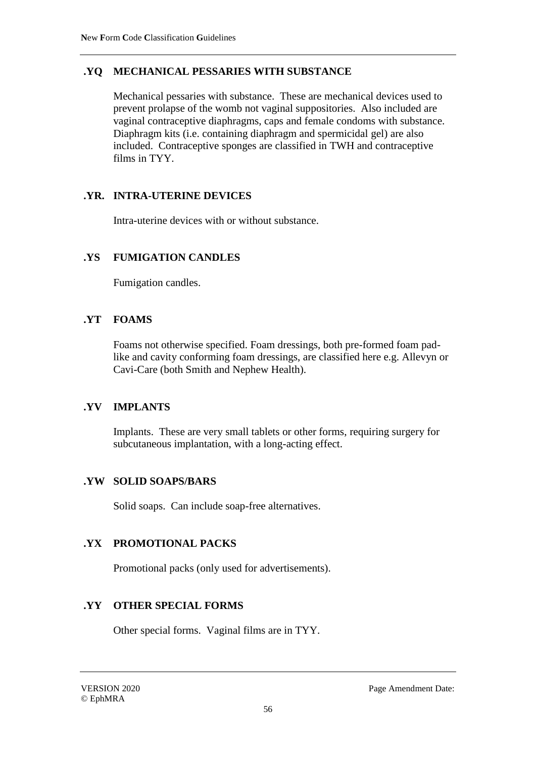## **.YQ MECHANICAL PESSARIES WITH SUBSTANCE**

Mechanical pessaries with substance. These are mechanical devices used to prevent prolapse of the womb not vaginal suppositories. Also included are vaginal contraceptive diaphragms, caps and female condoms with substance. Diaphragm kits (i.e. containing diaphragm and spermicidal gel) are also included. Contraceptive sponges are classified in TWH and contraceptive films in TYY.

## **.YR. INTRA-UTERINE DEVICES**

Intra-uterine devices with or without substance.

### **.YS FUMIGATION CANDLES**

Fumigation candles.

### **.YT FOAMS**

Foams not otherwise specified. Foam dressings, both pre-formed foam padlike and cavity conforming foam dressings, are classified here e.g. Allevyn or Cavi-Care (both Smith and Nephew Health).

#### **.YV IMPLANTS**

Implants. These are very small tablets or other forms, requiring surgery for subcutaneous implantation, with a long-acting effect.

#### **.YW SOLID SOAPS/BARS**

Solid soaps. Can include soap-free alternatives.

## **.YX PROMOTIONAL PACKS**

Promotional packs (only used for advertisements).

## **.YY OTHER SPECIAL FORMS**

Other special forms. Vaginal films are in TYY.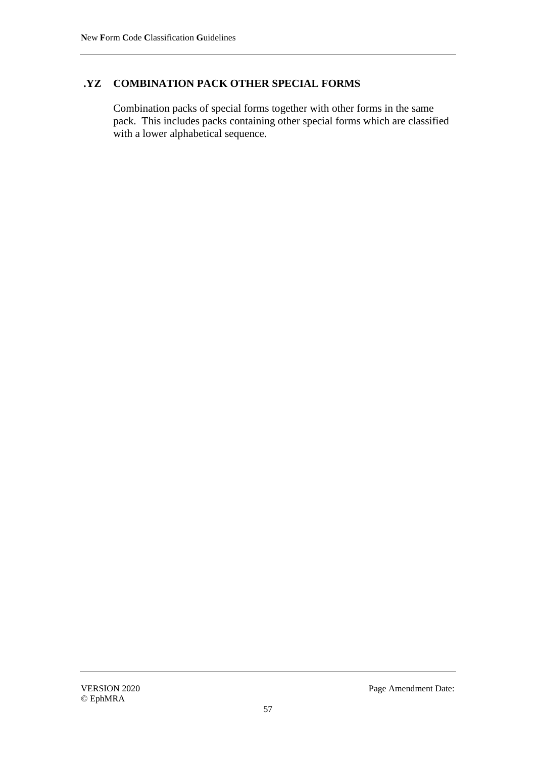#### **.YZ COMBINATION PACK OTHER SPECIAL FORMS**

Combination packs of special forms together with other forms in the same pack. This includes packs containing other special forms which are classified with a lower alphabetical sequence.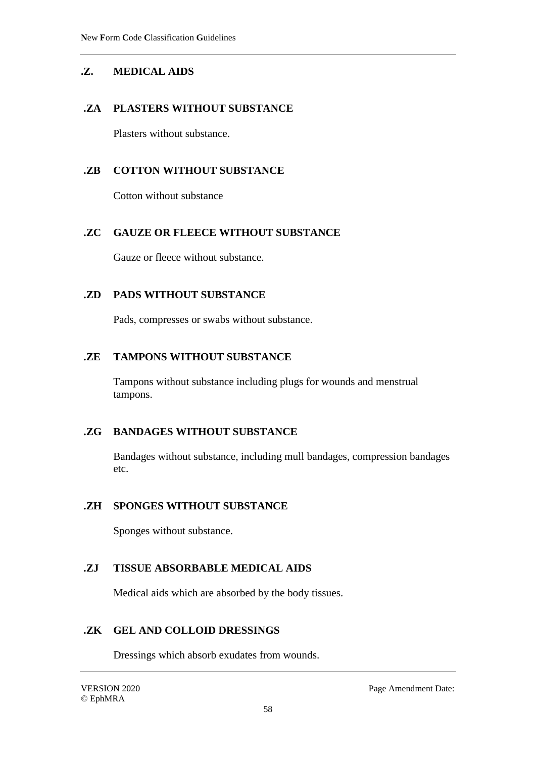## **.Z. MEDICAL AIDS**

### **.ZA PLASTERS WITHOUT SUBSTANCE**

Plasters without substance.

### **.ZB COTTON WITHOUT SUBSTANCE**

Cotton without substance

#### **.ZC GAUZE OR FLEECE WITHOUT SUBSTANCE**

Gauze or fleece without substance.

#### **.ZD PADS WITHOUT SUBSTANCE**

Pads, compresses or swabs without substance.

#### **.ZE TAMPONS WITHOUT SUBSTANCE**

Tampons without substance including plugs for wounds and menstrual tampons.

#### **.ZG BANDAGES WITHOUT SUBSTANCE**

Bandages without substance, including mull bandages, compression bandages etc.

#### **.ZH SPONGES WITHOUT SUBSTANCE**

Sponges without substance.

#### **.ZJ TISSUE ABSORBABLE MEDICAL AIDS**

Medical aids which are absorbed by the body tissues.

#### **.ZK GEL AND COLLOID DRESSINGS**

Dressings which absorb exudates from wounds.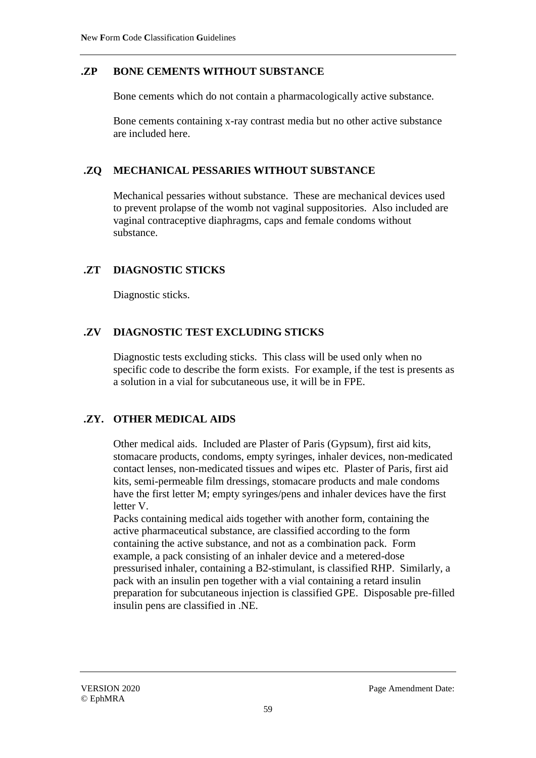### **.ZP BONE CEMENTS WITHOUT SUBSTANCE**

Bone cements which do not contain a pharmacologically active substance.

Bone cements containing x-ray contrast media but no other active substance are included here.

### **.ZQ MECHANICAL PESSARIES WITHOUT SUBSTANCE**

Mechanical pessaries without substance. These are mechanical devices used to prevent prolapse of the womb not vaginal suppositories. Also included are vaginal contraceptive diaphragms, caps and female condoms without substance.

## **.ZT DIAGNOSTIC STICKS**

Diagnostic sticks.

## **.ZV DIAGNOSTIC TEST EXCLUDING STICKS**

Diagnostic tests excluding sticks. This class will be used only when no specific code to describe the form exists. For example, if the test is presents as a solution in a vial for subcutaneous use, it will be in FPE.

#### **.ZY. OTHER MEDICAL AIDS**

Other medical aids. Included are Plaster of Paris (Gypsum), first aid kits, stomacare products, condoms, empty syringes, inhaler devices, non-medicated contact lenses, non-medicated tissues and wipes etc. Plaster of Paris, first aid kits, semi-permeable film dressings, stomacare products and male condoms have the first letter M; empty syringes/pens and inhaler devices have the first letter V.

Packs containing medical aids together with another form, containing the active pharmaceutical substance, are classified according to the form containing the active substance, and not as a combination pack. Form example, a pack consisting of an inhaler device and a metered-dose pressurised inhaler, containing a B2-stimulant, is classified RHP. Similarly, a pack with an insulin pen together with a vial containing a retard insulin preparation for subcutaneous injection is classified GPE. Disposable pre-filled insulin pens are classified in .NE.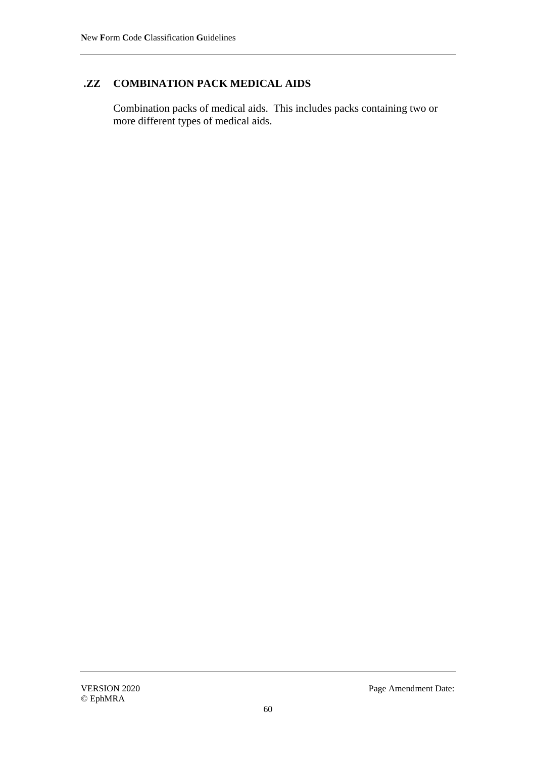## **.ZZ COMBINATION PACK MEDICAL AIDS**

Combination packs of medical aids. This includes packs containing two or more different types of medical aids.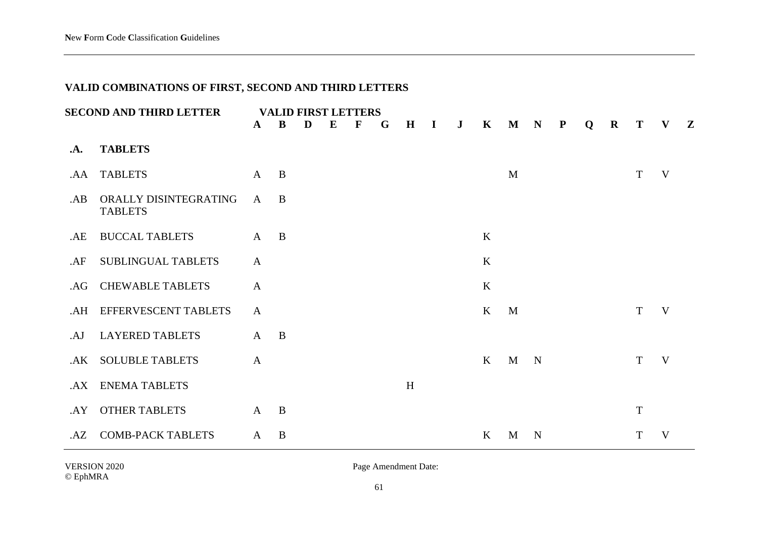## **VALID COMBINATIONS OF FIRST, SECOND AND THIRD LETTERS**

|              | <b>SECOND AND THIRD LETTER</b>          |              | <b>VALID FIRST LETTERS</b> |   |   |             |   |         |              |              |              |              |             |   |          |             |   |              |
|--------------|-----------------------------------------|--------------|----------------------------|---|---|-------------|---|---------|--------------|--------------|--------------|--------------|-------------|---|----------|-------------|---|--------------|
|              |                                         | $\mathbf{A}$ | B                          | D | E | $\mathbf F$ | G | $\bf H$ | $\mathbf{I}$ | $\mathbf{J}$ | $\mathbf{K}$ |              | M N P       | Q | $\bf{R}$ | T           | V | $\mathbf{Z}$ |
| $\mathbf{A}$ | <b>TABLETS</b>                          |              |                            |   |   |             |   |         |              |              |              |              |             |   |          |             |   |              |
| .AA          | <b>TABLETS</b>                          | $\mathbf{A}$ | $\mathbf{B}$               |   |   |             |   |         |              |              |              | M            |             |   |          | T           | V |              |
| AB           | ORALLY DISINTEGRATING<br><b>TABLETS</b> | $\mathbf{A}$ | B                          |   |   |             |   |         |              |              |              |              |             |   |          |             |   |              |
| .AE          | <b>BUCCAL TABLETS</b>                   | $\mathbf{A}$ | B                          |   |   |             |   |         |              |              | K            |              |             |   |          |             |   |              |
| AF           | SUBLINGUAL TABLETS                      | $\mathbf{A}$ |                            |   |   |             |   |         |              |              | K            |              |             |   |          |             |   |              |
| .AG          | <b>CHEWABLE TABLETS</b>                 | $\mathbf{A}$ |                            |   |   |             |   |         |              |              | K            |              |             |   |          |             |   |              |
| .AH          | EFFERVESCENT TABLETS                    | $\mathbf{A}$ |                            |   |   |             |   |         |              |              | $\bf K$      | M            |             |   |          | T           | V |              |
| .AJ          | <b>LAYERED TABLETS</b>                  | $\mathbf{A}$ | B                          |   |   |             |   |         |              |              |              |              |             |   |          |             |   |              |
| .AK          | <b>SOLUBLE TABLETS</b>                  | $\mathbf{A}$ |                            |   |   |             |   |         |              |              | $\bf K$      | $\mathbf{M}$ | $\mathbf N$ |   |          | T           | V |              |
| AX           | <b>ENEMA TABLETS</b>                    |              |                            |   |   |             |   | H       |              |              |              |              |             |   |          |             |   |              |
| .AY          | <b>OTHER TABLETS</b>                    | $\mathbf{A}$ | $\mathbf{B}$               |   |   |             |   |         |              |              |              |              |             |   |          | $\mathbf T$ |   |              |
| AZ           | <b>COMB-PACK TABLETS</b>                | $\mathbf{A}$ | B                          |   |   |             |   |         |              |              | $\mathbf{K}$ | M            | N           |   |          | Т           | V |              |

VERSION 2020 Page Amendment Date:

61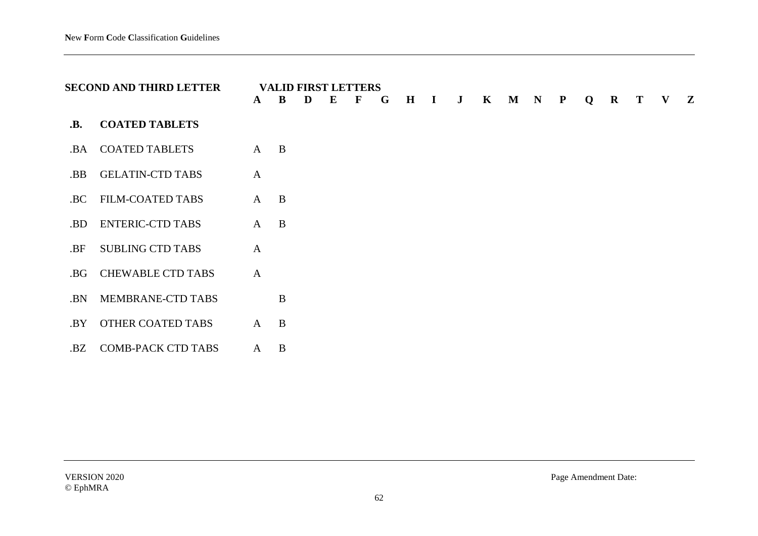|            | <b>SECOND AND THIRD LETTER</b> | $\mathbf{A}$   | B              | D | <b>VALID FIRST LETTERS</b><br>E | F | G | $\bf H$ | $\mathbf I$ | $\mathbf{J}$ | $\mathbf{K}$ | $\mathbf M$ | $\mathbf N$ | ${\bf P}$ | Q | $\mathbf R$ | T | $\mathbf{V}$ | $\mathbf{Z}$ |
|------------|--------------------------------|----------------|----------------|---|---------------------------------|---|---|---------|-------------|--------------|--------------|-------------|-------------|-----------|---|-------------|---|--------------|--------------|
| <b>.B.</b> | <b>COATED TABLETS</b>          |                |                |   |                                 |   |   |         |             |              |              |             |             |           |   |             |   |              |              |
| .BA        | <b>COATED TABLETS</b>          | $A$ $B$        |                |   |                                 |   |   |         |             |              |              |             |             |           |   |             |   |              |              |
| .BB        | <b>GELATIN-CTD TABS</b>        | $\mathbf{A}$   |                |   |                                 |   |   |         |             |              |              |             |             |           |   |             |   |              |              |
| .BC        | <b>FILM-COATED TABS</b>        | $A$ $B$        |                |   |                                 |   |   |         |             |              |              |             |             |           |   |             |   |              |              |
| .BD        | <b>ENTERIC-CTD TABS</b>        | $\mathbf{A}$   | $\overline{B}$ |   |                                 |   |   |         |             |              |              |             |             |           |   |             |   |              |              |
| .BF        | <b>SUBLING CTD TABS</b>        | $\overline{A}$ |                |   |                                 |   |   |         |             |              |              |             |             |           |   |             |   |              |              |
| .BG        | <b>CHEWABLE CTD TABS</b>       | $\mathbf{A}$   |                |   |                                 |   |   |         |             |              |              |             |             |           |   |             |   |              |              |
| .BN        | MEMBRANE-CTD TABS              |                | B              |   |                                 |   |   |         |             |              |              |             |             |           |   |             |   |              |              |
| .BY        | <b>OTHER COATED TABS</b>       | $A$ $B$        |                |   |                                 |   |   |         |             |              |              |             |             |           |   |             |   |              |              |
| .BZ        | <b>COMB-PACK CTD TABS</b>      | A              | B              |   |                                 |   |   |         |             |              |              |             |             |           |   |             |   |              |              |

VERSION 2020 Page Amendment Date: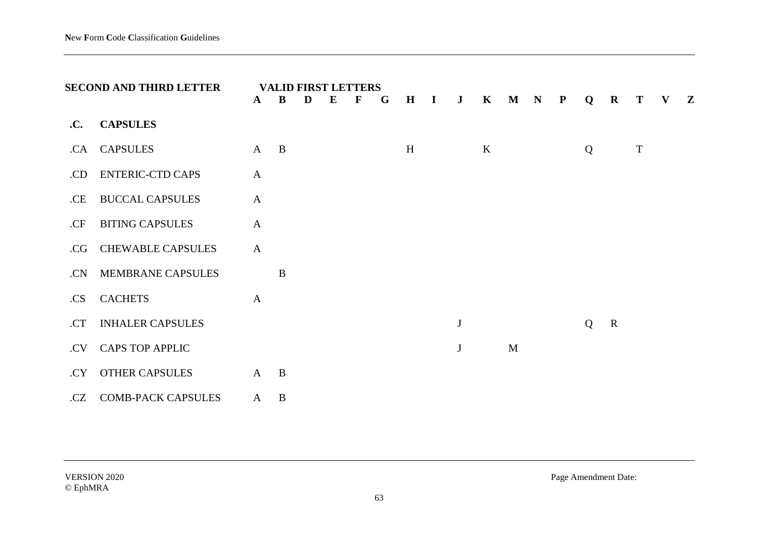|     | <b>SECOND AND THIRD LETTER</b> | A            | B            | D | E | <b>VALID FIRST LETTERS</b><br>$\mathbf F$ | G | $\mathbf H$ | $\mathbf{I}$ | $\mathbf{J}$ | $\mathbf{K}$ | $\mathbf M$ | $\mathbf N$ | $\mathbf{P}$ | Q | $\mathbf R$ | T           | V | $\mathbf{Z}$ |
|-----|--------------------------------|--------------|--------------|---|---|-------------------------------------------|---|-------------|--------------|--------------|--------------|-------------|-------------|--------------|---|-------------|-------------|---|--------------|
| .C. | <b>CAPSULES</b>                |              |              |   |   |                                           |   |             |              |              |              |             |             |              |   |             |             |   |              |
| .CA | <b>CAPSULES</b>                | $\mathbf{A}$ | $\mathbf{B}$ |   |   |                                           |   | H           |              |              | $\bf K$      |             |             |              | Q |             | $\mathbf T$ |   |              |
| .CD | <b>ENTERIC-CTD CAPS</b>        | $\mathbf{A}$ |              |   |   |                                           |   |             |              |              |              |             |             |              |   |             |             |   |              |
| .CE | <b>BUCCAL CAPSULES</b>         | $\mathbf{A}$ |              |   |   |                                           |   |             |              |              |              |             |             |              |   |             |             |   |              |
| .CF | <b>BITING CAPSULES</b>         | $\mathbf{A}$ |              |   |   |                                           |   |             |              |              |              |             |             |              |   |             |             |   |              |
| .CG | <b>CHEWABLE CAPSULES</b>       | $\mathbf{A}$ |              |   |   |                                           |   |             |              |              |              |             |             |              |   |             |             |   |              |
| .CN | <b>MEMBRANE CAPSULES</b>       |              | B            |   |   |                                           |   |             |              |              |              |             |             |              |   |             |             |   |              |
| .CS | <b>CACHETS</b>                 | $\mathbf{A}$ |              |   |   |                                           |   |             |              |              |              |             |             |              |   |             |             |   |              |
| .CT | <b>INHALER CAPSULES</b>        |              |              |   |   |                                           |   |             |              | $\bf J$      |              |             |             |              | Q | $\mathbf R$ |             |   |              |
| .CV | <b>CAPS TOP APPLIC</b>         |              |              |   |   |                                           |   |             |              | $\bf J$      |              | M           |             |              |   |             |             |   |              |
| .CY | <b>OTHER CAPSULES</b>          | $\mathbf{A}$ | $\mathbf{B}$ |   |   |                                           |   |             |              |              |              |             |             |              |   |             |             |   |              |
| .CZ | <b>COMB-PACK CAPSULES</b>      | $\mathbf{A}$ | $\bf{B}$     |   |   |                                           |   |             |              |              |              |             |             |              |   |             |             |   |              |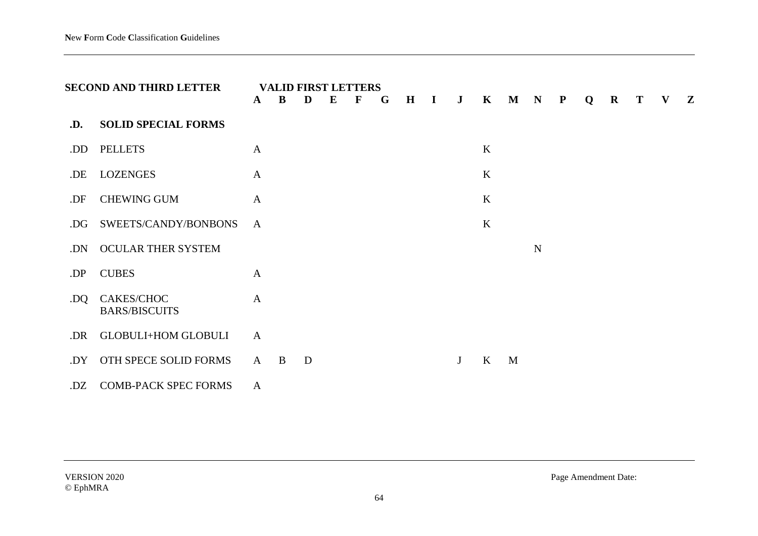|     | <b>SECOND AND THIRD LETTER</b>     | A            | B | D | E | <b>VALID FIRST LETTERS</b><br>$\mathbf F$ | G | $\mathbf H$ | $\mathbf{I}$ | $\mathbf{J}$ | $\mathbf{K}$ | $M$ $N$ |             | $\mathbf{P}$ | Q | $\mathbf R$ | $\bf{T}$ | $\mathbf{V}$ | $\mathbf{Z}$ |
|-----|------------------------------------|--------------|---|---|---|-------------------------------------------|---|-------------|--------------|--------------|--------------|---------|-------------|--------------|---|-------------|----------|--------------|--------------|
| .D. | <b>SOLID SPECIAL FORMS</b>         |              |   |   |   |                                           |   |             |              |              |              |         |             |              |   |             |          |              |              |
| .DD | <b>PELLETS</b>                     | A            |   |   |   |                                           |   |             |              |              | $\bf K$      |         |             |              |   |             |          |              |              |
| .DE | <b>LOZENGES</b>                    | $\mathbf{A}$ |   |   |   |                                           |   |             |              |              | K            |         |             |              |   |             |          |              |              |
| .DF | <b>CHEWING GUM</b>                 | $\mathbf{A}$ |   |   |   |                                           |   |             |              |              | K            |         |             |              |   |             |          |              |              |
| .DG | SWEETS/CANDY/BONBONS               | $\mathbf{A}$ |   |   |   |                                           |   |             |              |              | $\bf K$      |         |             |              |   |             |          |              |              |
| .DN | OCULAR THER SYSTEM                 |              |   |   |   |                                           |   |             |              |              |              |         | $\mathbf N$ |              |   |             |          |              |              |
| .DP | <b>CUBES</b>                       | $\mathbf{A}$ |   |   |   |                                           |   |             |              |              |              |         |             |              |   |             |          |              |              |
| .DQ | CAKES/CHOC<br><b>BARS/BISCUITS</b> | $\mathbf{A}$ |   |   |   |                                           |   |             |              |              |              |         |             |              |   |             |          |              |              |
| .DR | <b>GLOBULI+HOM GLOBULI</b>         | $\mathbf{A}$ |   |   |   |                                           |   |             |              |              |              |         |             |              |   |             |          |              |              |
| .DY | OTH SPECE SOLID FORMS              | A            | B | D |   |                                           |   |             |              | J            | $\mathbf{K}$ | M       |             |              |   |             |          |              |              |
| .DZ | <b>COMB-PACK SPEC FORMS</b>        | $\mathbf{A}$ |   |   |   |                                           |   |             |              |              |              |         |             |              |   |             |          |              |              |

© EphMRA

VERSION 2020 Page Amendment Date: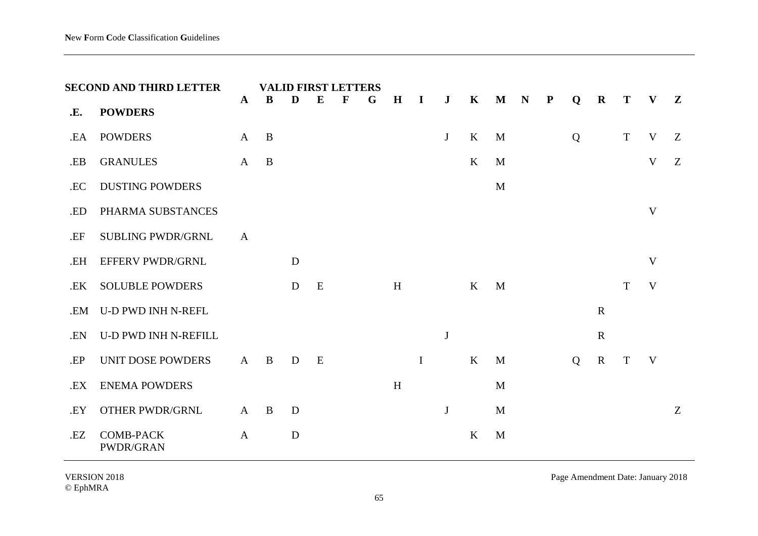|     | <b>SECOND AND THIRD LETTER</b> |              |              |   |   | <b>VALID FIRST LETTERS</b> |   |              |              |              |              |              |             |           |   |             |             |              |   |
|-----|--------------------------------|--------------|--------------|---|---|----------------------------|---|--------------|--------------|--------------|--------------|--------------|-------------|-----------|---|-------------|-------------|--------------|---|
| .E. | <b>POWDERS</b>                 | $\mathbf{A}$ | B            | D | E | $\mathbf F$                | G | $\mathbf H$  | $\bf{I}$     | $\bf J$      | $\mathbf K$  | $\mathbf M$  | $\mathbf N$ | ${\bf P}$ | Q | $\mathbf R$ | T           | V            | Z |
| .EA | <b>POWDERS</b>                 | $\mathbf{A}$ | $\mathbf{B}$ |   |   |                            |   |              |              | J            | $\bf K$      | M            |             |           | Q |             | $\mathbf T$ | V            | Z |
| .EB | <b>GRANULES</b>                | $\mathbf{A}$ | $\mathbf{B}$ |   |   |                            |   |              |              |              | $\bf K$      | M            |             |           |   |             |             | $\mathbf{V}$ | Z |
| .EC | <b>DUSTING POWDERS</b>         |              |              |   |   |                            |   |              |              |              |              | M            |             |           |   |             |             |              |   |
| .ED | PHARMA SUBSTANCES              |              |              |   |   |                            |   |              |              |              |              |              |             |           |   |             |             | V            |   |
| .EF | <b>SUBLING PWDR/GRNL</b>       | $\mathbf{A}$ |              |   |   |                            |   |              |              |              |              |              |             |           |   |             |             |              |   |
| .EH | <b>EFFERV PWDR/GRNL</b>        |              |              | D |   |                            |   |              |              |              |              |              |             |           |   |             |             | V            |   |
| .EK | <b>SOLUBLE POWDERS</b>         |              |              | D | E |                            |   | H            |              |              | $\mathbf{K}$ | M            |             |           |   |             | T           | V            |   |
| .EM | <b>U-D PWD INH N-REFL</b>      |              |              |   |   |                            |   |              |              |              |              |              |             |           |   | $\mathbf R$ |             |              |   |
| .EN | <b>U-D PWD INH N-REFILL</b>    |              |              |   |   |                            |   |              |              | $\mathbf{J}$ |              |              |             |           |   | $\mathbf R$ |             |              |   |
| .EP | UNIT DOSE POWDERS              | $\mathbf{A}$ | $\mathbf{B}$ | D | E |                            |   |              | $\mathbf{I}$ |              | $\bf K$      | M            |             |           | Q | ${\bf R}$   | T           | V            |   |
| .EX | <b>ENEMA POWDERS</b>           |              |              |   |   |                            |   | $\, {\rm H}$ |              |              |              | $\mathbf{M}$ |             |           |   |             |             |              |   |
| .EY | <b>OTHER PWDR/GRNL</b>         | $\mathbf{A}$ | $\mathbf{B}$ | D |   |                            |   |              |              | $\bf J$      |              | M            |             |           |   |             |             |              | Z |
| .EZ | <b>COMB-PACK</b><br>PWDR/GRAN  | $\mathbf{A}$ |              | D |   |                            |   |              |              |              | K            | M            |             |           |   |             |             |              |   |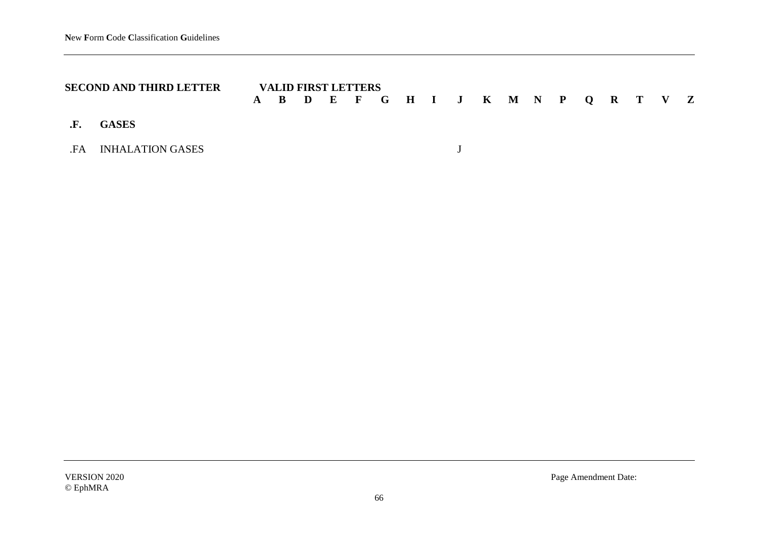| <b>SECOND AND THIRD LETTER</b> |  | <b>VALID FIRST LETTERS</b> |  |  |  |  |  |  |                                     |  |
|--------------------------------|--|----------------------------|--|--|--|--|--|--|-------------------------------------|--|
|                                |  |                            |  |  |  |  |  |  | A B D E F G H I J K M N P Q R T V Z |  |
| .F. GASES                      |  |                            |  |  |  |  |  |  |                                     |  |
| FA INHALATION GASES            |  |                            |  |  |  |  |  |  |                                     |  |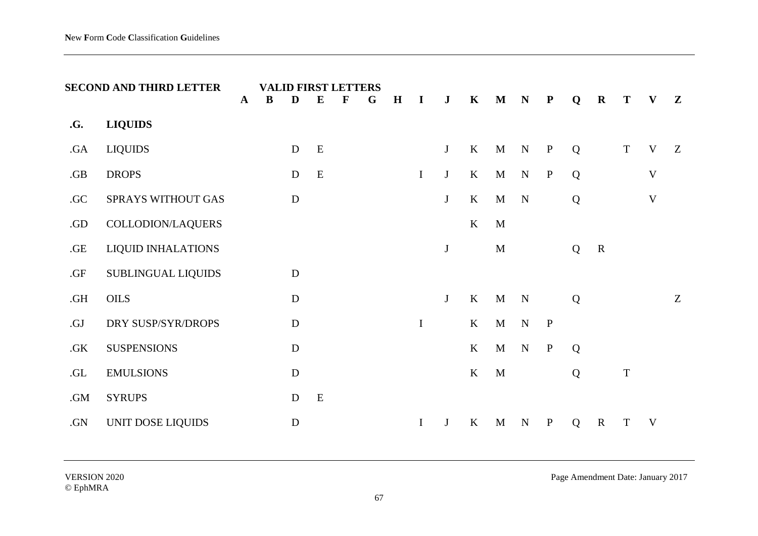|     | <b>SECOND AND THIRD LETTER</b> | <b>VALID FIRST LETTERS</b><br>$\mathbf{A}$<br>B<br>E<br>F<br>G<br>D |  |             |           |  | H | I | $\bf J$     | $\mathbf K$  | $\mathbf M$ | N            | $\mathbf P$ | Q            | $\mathbf R$ | T           | V           | $\mathbf{Z}$ |   |
|-----|--------------------------------|---------------------------------------------------------------------|--|-------------|-----------|--|---|---|-------------|--------------|-------------|--------------|-------------|--------------|-------------|-------------|-------------|--------------|---|
| .G. | <b>LIQUIDS</b>                 |                                                                     |  |             |           |  |   |   |             |              |             |              |             |              |             |             |             |              |   |
| .GA | <b>LIQUIDS</b>                 |                                                                     |  | D           | ${\bf E}$ |  |   |   |             | J            | $\rm K$     | $\mathbf{M}$ | ${\bf N}$   | $\, {\bf P}$ | Q           |             | $\mathbf T$ | V            | Z |
| .GB | <b>DROPS</b>                   |                                                                     |  | $\mathbf D$ | ${\bf E}$ |  |   |   | $\mathbf I$ | J            | $\bf K$     | $\mathbf M$  | N           | $\, {\bf P}$ | Q           |             |             | V            |   |
| .GC | SPRAYS WITHOUT GAS             |                                                                     |  | $\mathbf D$ |           |  |   |   |             | J            | $\bf K$     | M            | $\mathbf N$ |              | Q           |             |             | $\mathbf{V}$ |   |
| .GD | COLLODION/LAQUERS              |                                                                     |  |             |           |  |   |   |             |              | $\rm K$     | $\mathbf{M}$ |             |              |             |             |             |              |   |
| GE  | <b>LIQUID INHALATIONS</b>      |                                                                     |  |             |           |  |   |   |             | $\bf J$      |             | M            |             |              | Q           | $\mathbf R$ |             |              |   |
| .GF | SUBLINGUAL LIQUIDS             |                                                                     |  | $\mathbf D$ |           |  |   |   |             |              |             |              |             |              |             |             |             |              |   |
| .GH | OILS                           |                                                                     |  | $\mathbf D$ |           |  |   |   |             | J            | K           | $\mathbf{M}$ | $\mathbf N$ |              | Q           |             |             |              | Z |
| .GJ | DRY SUSP/SYR/DROPS             |                                                                     |  | $\mathbf D$ |           |  |   |   | $\mathbf I$ |              | K           | $\mathbf M$  | ${\bf N}$   | $\mathbf{P}$ |             |             |             |              |   |
| .GK | <b>SUSPENSIONS</b>             |                                                                     |  | $\mathbf D$ |           |  |   |   |             |              | K           | $\mathbf M$  | $\mathbf N$ | $\, {\bf P}$ | Q           |             |             |              |   |
| .GL | <b>EMULSIONS</b>               |                                                                     |  | ${\bf D}$   |           |  |   |   |             |              | $\bf K$     | $\mathbf{M}$ |             |              | Q           |             | $\mathbf T$ |              |   |
| .GM | <b>SYRUPS</b>                  |                                                                     |  | $\mathbf D$ | E         |  |   |   |             |              |             |              |             |              |             |             |             |              |   |
| .GN | UNIT DOSE LIQUIDS              |                                                                     |  | ${\bf D}$   |           |  |   |   | $\mathbf I$ | $\mathbf{J}$ | K           | $\mathbf M$  | $\mathbf N$ | $\mathbf P$  | Q           | $\mathbf R$ | T           | V            |   |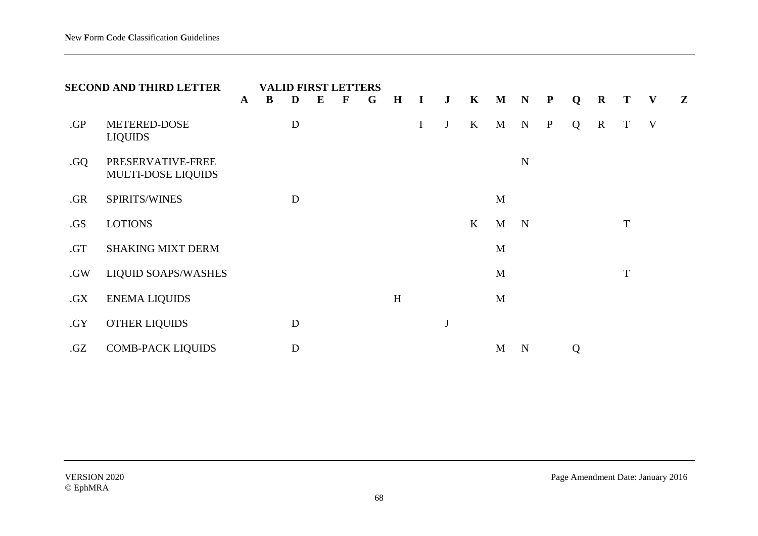|     | <b>SECOND AND THIRD LETTER</b>          | $\mathbf{A}$ | B | D         | E | <b>VALID FIRST LETTERS</b><br>$\mathbf F$ | G | $\mathbf H$ | $\mathbf I$ | $\mathbf{J}$ | $\mathbf{K}$ | M | $\mathbf N$ | $\mathbf{P}$ | Q | $\mathbf R$ | T           | $\mathbf{V}$ | $\mathbf{Z}$ |
|-----|-----------------------------------------|--------------|---|-----------|---|-------------------------------------------|---|-------------|-------------|--------------|--------------|---|-------------|--------------|---|-------------|-------------|--------------|--------------|
| .GP | METERED-DOSE<br><b>LIQUIDS</b>          |              |   | D         |   |                                           |   |             | $\bf{I}$    | $\mathbf J$  | $\bf K$      | M | $\mathbf N$ | $\mathbf{P}$ | Q | $\mathbf R$ | T           | V            |              |
| .GQ | PRESERVATIVE-FREE<br>MULTI-DOSE LIQUIDS |              |   |           |   |                                           |   |             |             |              |              |   | N           |              |   |             |             |              |              |
| .GR | SPIRITS/WINES                           |              |   | D         |   |                                           |   |             |             |              |              | M |             |              |   |             |             |              |              |
| .GS | <b>LOTIONS</b>                          |              |   |           |   |                                           |   |             |             |              | $\bf K$      | M | $\mathbf N$ |              |   |             | T           |              |              |
| .GT | <b>SHAKING MIXT DERM</b>                |              |   |           |   |                                           |   |             |             |              |              | M |             |              |   |             |             |              |              |
| .GW | <b>LIQUID SOAPS/WASHES</b>              |              |   |           |   |                                           |   |             |             |              |              | M |             |              |   |             | $\mathbf T$ |              |              |
| .GX | <b>ENEMA LIQUIDS</b>                    |              |   |           |   |                                           |   | H           |             |              |              | M |             |              |   |             |             |              |              |
| .GY | <b>OTHER LIQUIDS</b>                    |              |   | D         |   |                                           |   |             |             | $\bf J$      |              |   |             |              |   |             |             |              |              |
| .GZ | <b>COMB-PACK LIQUIDS</b>                |              |   | ${\bf D}$ |   |                                           |   |             |             |              |              | M | N           |              | Q |             |             |              |              |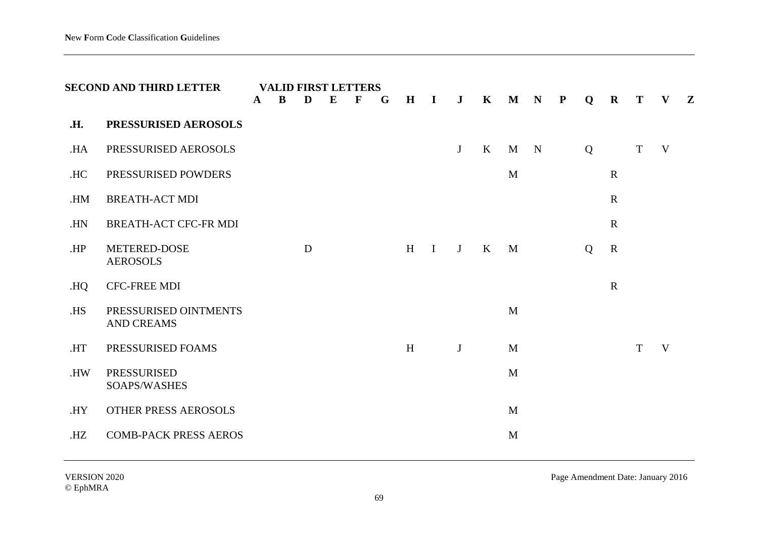|            | <b>SECOND AND THIRD LETTER</b>             | A | <b>VALID FIRST LETTERS</b><br>B | D | E | $\mathbf F$ | G | $\mathbf H$ | $\mathbf{I}$ | $\bf J$ | $\mathbf K$ | $\mathbf M$  | $\mathbf N$ | $\mathbf{P}$ | Q | $\mathbf R$ | T           | V | $\mathbf{Z}$ |
|------------|--------------------------------------------|---|---------------------------------|---|---|-------------|---|-------------|--------------|---------|-------------|--------------|-------------|--------------|---|-------------|-------------|---|--------------|
| <b>.H.</b> | PRESSURISED AEROSOLS                       |   |                                 |   |   |             |   |             |              |         |             |              |             |              |   |             |             |   |              |
| .HA        | PRESSURISED AEROSOLS                       |   |                                 |   |   |             |   |             |              | J       | $\bf K$     | M            | $\mathbf N$ |              | Q |             | $\mathbf T$ | V |              |
| .HC        | PRESSURISED POWDERS                        |   |                                 |   |   |             |   |             |              |         |             | M            |             |              |   | $\mathbf R$ |             |   |              |
| .HM        | <b>BREATH-ACT MDI</b>                      |   |                                 |   |   |             |   |             |              |         |             |              |             |              |   | $\mathbf R$ |             |   |              |
| .HN        | <b>BREATH-ACT CFC-FR MDI</b>               |   |                                 |   |   |             |   |             |              |         |             |              |             |              |   | $\mathbf R$ |             |   |              |
| .HP        | METERED-DOSE<br><b>AEROSOLS</b>            |   |                                 | D |   |             |   | H           | $\mathbf{I}$ | J       | $\bf K$     | M            |             |              | Q | $\mathbf R$ |             |   |              |
| HQ.        | <b>CFC-FREE MDI</b>                        |   |                                 |   |   |             |   |             |              |         |             |              |             |              |   | $\mathbf R$ |             |   |              |
| .HS        | PRESSURISED OINTMENTS<br><b>AND CREAMS</b> |   |                                 |   |   |             |   |             |              |         |             | $\mathbf{M}$ |             |              |   |             |             |   |              |
| .HT        | PRESSURISED FOAMS                          |   |                                 |   |   |             |   | H           |              | J       |             | M            |             |              |   |             | T           | V |              |
| .HW        | <b>PRESSURISED</b><br>SOAPS/WASHES         |   |                                 |   |   |             |   |             |              |         |             | $\mathbf{M}$ |             |              |   |             |             |   |              |
| .HY        | OTHER PRESS AEROSOLS                       |   |                                 |   |   |             |   |             |              |         |             | M            |             |              |   |             |             |   |              |
| HZ         | <b>COMB-PACK PRESS AEROS</b>               |   |                                 |   |   |             |   |             |              |         |             | M            |             |              |   |             |             |   |              |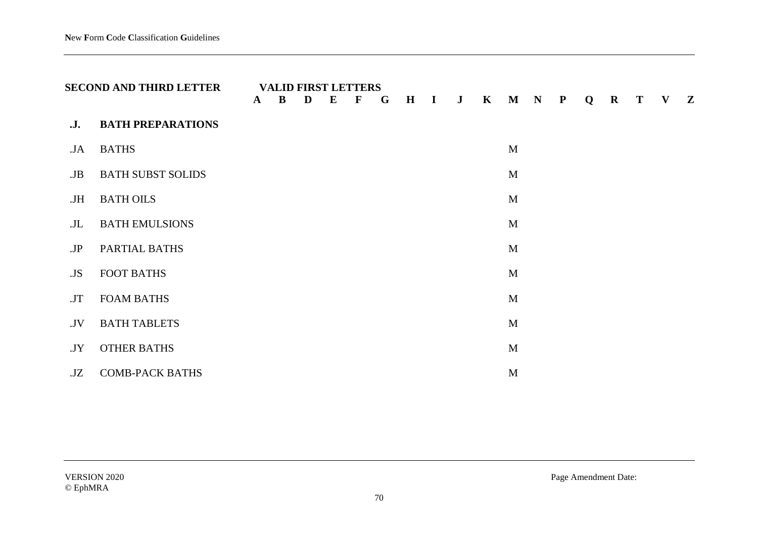|     | <b>SECOND AND THIRD LETTER</b> | $\mathbf{A}$ | <b>VALID FIRST LETTERS</b><br>$\bf{B}$ | D | $\bf{E}$ | $\mathbf F$ | G | H | $\mathbf{I}$ | $\mathbf{J}$ | $\mathbf{K}$ |   | M N P | Q | $\mathbf R$ | T | V | $\mathbf{Z}$ |
|-----|--------------------------------|--------------|----------------------------------------|---|----------|-------------|---|---|--------------|--------------|--------------|---|-------|---|-------------|---|---|--------------|
| .J. | <b>BATH PREPARATIONS</b>       |              |                                        |   |          |             |   |   |              |              |              |   |       |   |             |   |   |              |
| JA. | <b>BATHS</b>                   |              |                                        |   |          |             |   |   |              |              |              | M |       |   |             |   |   |              |
| JB  | <b>BATH SUBST SOLIDS</b>       |              |                                        |   |          |             |   |   |              |              |              | M |       |   |             |   |   |              |
| JH  | <b>BATH OILS</b>               |              |                                        |   |          |             |   |   |              |              |              | M |       |   |             |   |   |              |
| JL  | <b>BATH EMULSIONS</b>          |              |                                        |   |          |             |   |   |              |              |              | M |       |   |             |   |   |              |
| JP  | PARTIAL BATHS                  |              |                                        |   |          |             |   |   |              |              |              | M |       |   |             |   |   |              |
| .JS | <b>FOOT BATHS</b>              |              |                                        |   |          |             |   |   |              |              |              | M |       |   |             |   |   |              |
| .JT | <b>FOAM BATHS</b>              |              |                                        |   |          |             |   |   |              |              |              | M |       |   |             |   |   |              |
| .JV | <b>BATH TABLETS</b>            |              |                                        |   |          |             |   |   |              |              |              | M |       |   |             |   |   |              |
| JY  | <b>OTHER BATHS</b>             |              |                                        |   |          |             |   |   |              |              |              | M |       |   |             |   |   |              |
| JZ  | <b>COMB-PACK BATHS</b>         |              |                                        |   |          |             |   |   |              |              |              | M |       |   |             |   |   |              |

VERSION 2020 Page Amendment Date: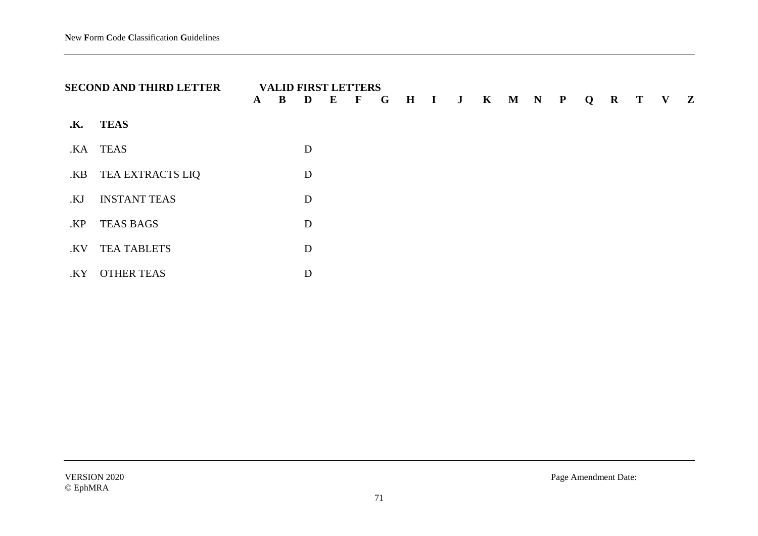|     | <b>SECOND AND THIRD LETTER</b> | $\mathbf{A}$ | B | <b>VALID FIRST LETTERS</b><br>D | $E$ F |  |  |  |  |  | G H I J K M N P Q R T V Z |  |
|-----|--------------------------------|--------------|---|---------------------------------|-------|--|--|--|--|--|---------------------------|--|
| .K. | TEAS                           |              |   |                                 |       |  |  |  |  |  |                           |  |
|     | .KA TEAS                       |              |   | D                               |       |  |  |  |  |  |                           |  |
| .KB | TEA EXTRACTS LIQ               |              |   | D                               |       |  |  |  |  |  |                           |  |
| .KJ | <b>INSTANT TEAS</b>            |              |   | D                               |       |  |  |  |  |  |                           |  |
| .KP | <b>TEAS BAGS</b>               |              |   | D                               |       |  |  |  |  |  |                           |  |
| .KV | <b>TEA TABLETS</b>             |              |   | D                               |       |  |  |  |  |  |                           |  |
| .KY | <b>OTHER TEAS</b>              |              |   | D                               |       |  |  |  |  |  |                           |  |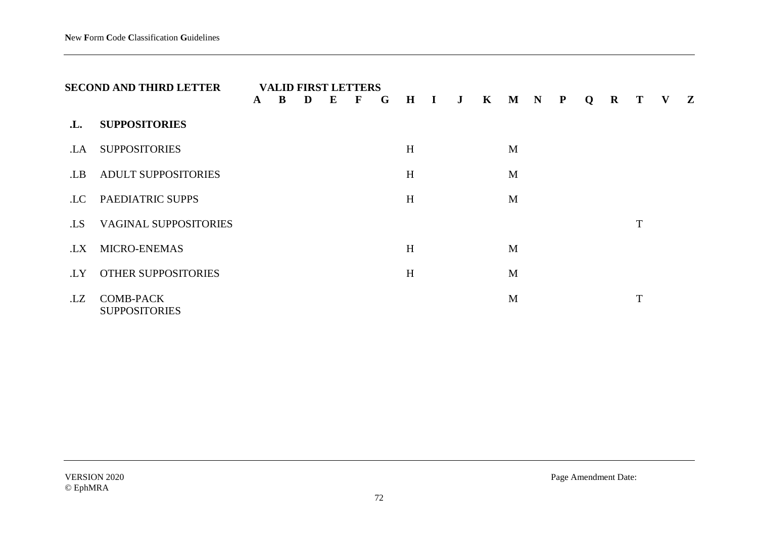|     | <b>SECOND AND THIRD LETTER</b>           | $\mathbf{A}$ | B | D | E | <b>VALID FIRST LETTERS</b><br>$\mathbf F$ | G | $H$ I | $\mathbf{J}$ | $K$ $M$ $N$ $P$ |  | Q | $\bf R$ | T | $\mathbf{V}$ | $\mathbf{Z}$ |
|-----|------------------------------------------|--------------|---|---|---|-------------------------------------------|---|-------|--------------|-----------------|--|---|---------|---|--------------|--------------|
| .L. | <b>SUPPOSITORIES</b>                     |              |   |   |   |                                           |   |       |              |                 |  |   |         |   |              |              |
| .LA | <b>SUPPOSITORIES</b>                     |              |   |   |   |                                           |   | H     |              | M               |  |   |         |   |              |              |
| .LB | <b>ADULT SUPPOSITORIES</b>               |              |   |   |   |                                           |   | H     |              | M               |  |   |         |   |              |              |
| .LC | PAEDIATRIC SUPPS                         |              |   |   |   |                                           |   | H     |              | M               |  |   |         |   |              |              |
| .LS | <b>VAGINAL SUPPOSITORIES</b>             |              |   |   |   |                                           |   |       |              |                 |  |   |         | T |              |              |
| .LX | <b>MICRO-ENEMAS</b>                      |              |   |   |   |                                           |   | H     |              | M               |  |   |         |   |              |              |
| .LY | OTHER SUPPOSITORIES                      |              |   |   |   |                                           |   | H     |              | M               |  |   |         |   |              |              |
| .LZ | <b>COMB-PACK</b><br><b>SUPPOSITORIES</b> |              |   |   |   |                                           |   |       |              | M               |  |   |         | T |              |              |

VERSION 2020 Page Amendment Date: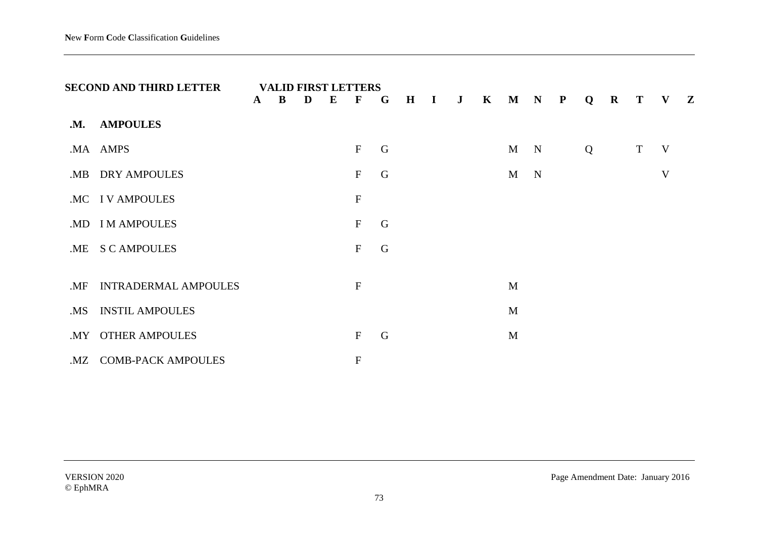|     | <b>SECOND AND THIRD LETTER</b> | $\mathbf{A}$ | $\bf{B}$ | D | ${\bf E}$ | <b>VALID FIRST LETTERS</b><br>$\mathbf{F}$ | $\mathbf G$ |  | $H$ $I$ $J$ $K$ $M$ $N$ $P$ |   |             | Q | $\mathbf R$ | $\bf{T}$ | V Z |  |
|-----|--------------------------------|--------------|----------|---|-----------|--------------------------------------------|-------------|--|-----------------------------|---|-------------|---|-------------|----------|-----|--|
| .M. | <b>AMPOULES</b>                |              |          |   |           |                                            |             |  |                             |   |             |   |             |          |     |  |
|     | .MA AMPS                       |              |          |   |           | $\boldsymbol{\mathrm{F}}$                  | G           |  |                             | M | $\mathbf N$ | Q |             | T        | V   |  |
|     | .MB DRY AMPOULES               |              |          |   |           | $\mathbf F$                                | G           |  |                             | M | $\mathbf N$ |   |             |          | V   |  |
|     | .MC IV AMPOULES                |              |          |   |           | ${\bf F}$                                  |             |  |                             |   |             |   |             |          |     |  |
|     | .MD I M AMPOULES               |              |          |   |           | $\mathbf{F}$                               | G           |  |                             |   |             |   |             |          |     |  |
| .ME | <b>S C AMPOULES</b>            |              |          |   |           | $\mathbf{F}$                               | G           |  |                             |   |             |   |             |          |     |  |
|     |                                |              |          |   |           |                                            |             |  |                             |   |             |   |             |          |     |  |
| .MF | <b>INTRADERMAL AMPOULES</b>    |              |          |   |           | ${\bf F}$                                  |             |  |                             | M |             |   |             |          |     |  |
| .MS | <b>INSTIL AMPOULES</b>         |              |          |   |           |                                            |             |  |                             | M |             |   |             |          |     |  |
| .MY | <b>OTHER AMPOULES</b>          |              |          |   |           | $\mathbf F$                                | G           |  |                             | M |             |   |             |          |     |  |
|     | .MZ COMB-PACK AMPOULES         |              |          |   |           | ${\bf F}$                                  |             |  |                             |   |             |   |             |          |     |  |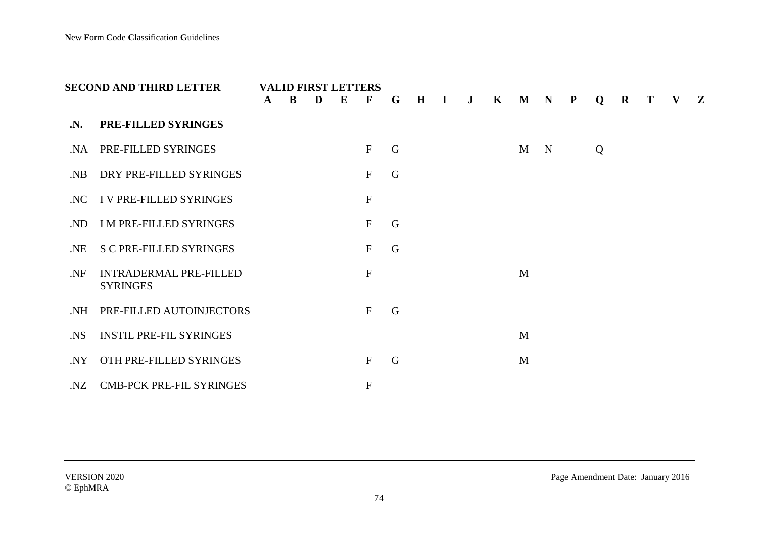|                | <b>SECOND AND THIRD LETTER</b>                   | $\mathbf{A}$ | B | D | <b>VALID FIRST LETTERS</b><br>$\bf{E}$ | $\mathbf{F}$              | $\mathbf{G}$ | $H$ I | $\mathbf{J}$ | $\mathbf{K}$ | $M \tN$ P |             | Q | $\mathbf{R}$ | $\bf{T}$ | V | $\mathbf{Z}$ |
|----------------|--------------------------------------------------|--------------|---|---|----------------------------------------|---------------------------|--------------|-------|--------------|--------------|-----------|-------------|---|--------------|----------|---|--------------|
| $\mathbf{N}$ . | PRE-FILLED SYRINGES                              |              |   |   |                                        |                           |              |       |              |              |           |             |   |              |          |   |              |
| NA.            | PRE-FILLED SYRINGES                              |              |   |   |                                        | $\mathbf F$               | G            |       |              |              | M         | $\mathbf N$ | Q |              |          |   |              |
| NB             | DRY PRE-FILLED SYRINGES                          |              |   |   |                                        | $\boldsymbol{\mathrm{F}}$ | G            |       |              |              |           |             |   |              |          |   |              |
| .NC            | I V PRE-FILLED SYRINGES                          |              |   |   |                                        | $\mathbf F$               |              |       |              |              |           |             |   |              |          |   |              |
| ND.            | <b>IM PRE-FILLED SYRINGES</b>                    |              |   |   |                                        | $\mathbf F$               | G            |       |              |              |           |             |   |              |          |   |              |
| .NE            | <b>S C PRE-FILLED SYRINGES</b>                   |              |   |   |                                        | $\mathbf F$               | $\mathsf G$  |       |              |              |           |             |   |              |          |   |              |
| .NF            | <b>INTRADERMAL PRE-FILLED</b><br><b>SYRINGES</b> |              |   |   |                                        | $\mathbf F$               |              |       |              |              | M         |             |   |              |          |   |              |
| NH.            | PRE-FILLED AUTOINJECTORS                         |              |   |   |                                        | $\mathbf F$               | $\mathsf G$  |       |              |              |           |             |   |              |          |   |              |
| . <b>NS</b>    | <b>INSTIL PRE-FIL SYRINGES</b>                   |              |   |   |                                        |                           |              |       |              |              | M         |             |   |              |          |   |              |
| NY.            | OTH PRE-FILLED SYRINGES                          |              |   |   |                                        | $\mathbf F$               | G            |       |              |              | M         |             |   |              |          |   |              |
|                | .NZ CMB-PCK PRE-FIL SYRINGES                     |              |   |   |                                        | ${\bf F}$                 |              |       |              |              |           |             |   |              |          |   |              |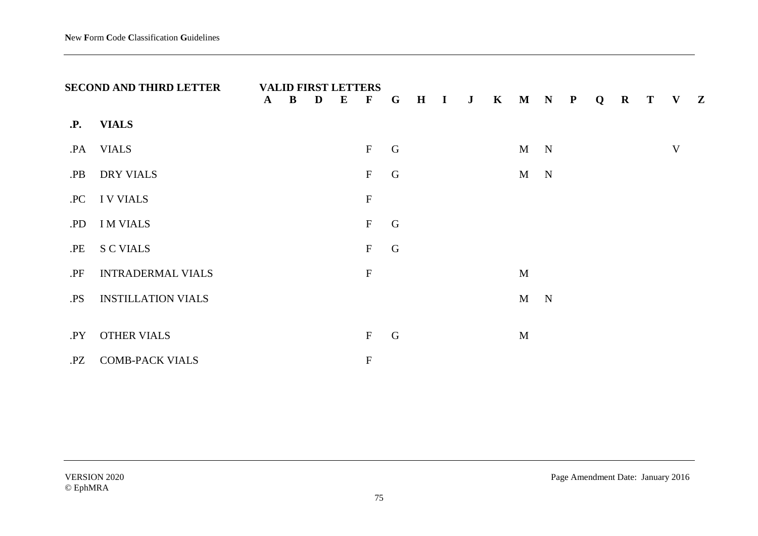|            | <b>SECOND AND THIRD LETTER</b> | <b>VALID FIRST LETTERS</b><br>$\mathbf{A}$ | $\bf{B}$ | D | $\bf{E}$ | $\mathbf{F}$              | $\mathbf{G}$ |  | H I J K M N P |              |             | Q | $\mathbf R$ | T V Z |   |  |
|------------|--------------------------------|--------------------------------------------|----------|---|----------|---------------------------|--------------|--|---------------|--------------|-------------|---|-------------|-------|---|--|
| <b>.P.</b> | <b>VIALS</b>                   |                                            |          |   |          |                           |              |  |               |              |             |   |             |       |   |  |
| .PA        | <b>VIALS</b>                   |                                            |          |   |          | $\mathbf F$               | G            |  |               | $M$ N        |             |   |             |       | V |  |
| .PB        | <b>DRY VIALS</b>               |                                            |          |   |          | $\mathbf F$               | G            |  |               | M            | $\mathbf N$ |   |             |       |   |  |
| .PC        | <b>IV VIALS</b>                |                                            |          |   |          | $\boldsymbol{\mathrm{F}}$ |              |  |               |              |             |   |             |       |   |  |
| .PD        | <b>IM VIALS</b>                |                                            |          |   |          | $\boldsymbol{\mathrm{F}}$ | $\mathsf G$  |  |               |              |             |   |             |       |   |  |
| .PE        | <b>S C VIALS</b>               |                                            |          |   |          | $\mathbf F$               | $\mathsf G$  |  |               |              |             |   |             |       |   |  |
| .PF        | <b>INTRADERMAL VIALS</b>       |                                            |          |   |          | ${\bf F}$                 |              |  |               | $\mathbf{M}$ |             |   |             |       |   |  |
| .PS        | <b>INSTILLATION VIALS</b>      |                                            |          |   |          |                           |              |  |               | $\mathbf{M}$ | $\mathbf N$ |   |             |       |   |  |
| .PY        | <b>OTHER VIALS</b>             |                                            |          |   |          | $\mathbf F$               | G            |  |               | M            |             |   |             |       |   |  |
| .PZ        | <b>COMB-PACK VIALS</b>         |                                            |          |   |          | ${\bf F}$                 |              |  |               |              |             |   |             |       |   |  |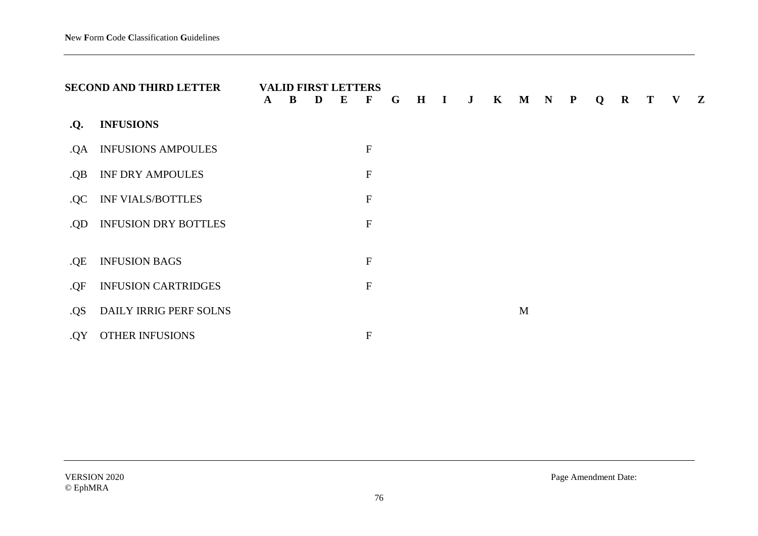|     | <b>SECOND AND THIRD LETTER</b> | $\mathbf{A}$ | B | D | <b>VALID FIRST LETTERS</b><br>$\bf{E}$ | $\mathbf{F}$              | G | $\mathbf H$ | $\mathbf{I}$ | $\mathbf{J}$ | $\mathbf{K}$ | $\mathbf M$ | $\mathbf N$ | $\mathbf{P}$ | Q | $\bf R$ | Т | V | $\mathbf{Z}$ |
|-----|--------------------------------|--------------|---|---|----------------------------------------|---------------------------|---|-------------|--------------|--------------|--------------|-------------|-------------|--------------|---|---------|---|---|--------------|
| .Q. | <b>INFUSIONS</b>               |              |   |   |                                        |                           |   |             |              |              |              |             |             |              |   |         |   |   |              |
| .QA | <b>INFUSIONS AMPOULES</b>      |              |   |   |                                        | $\mathbf{F}$              |   |             |              |              |              |             |             |              |   |         |   |   |              |
| .QB | <b>INF DRY AMPOULES</b>        |              |   |   |                                        | ${\bf F}$                 |   |             |              |              |              |             |             |              |   |         |   |   |              |
| .QC | <b>INF VIALS/BOTTLES</b>       |              |   |   |                                        | $\mathbf F$               |   |             |              |              |              |             |             |              |   |         |   |   |              |
| .QD | <b>INFUSION DRY BOTTLES</b>    |              |   |   |                                        | ${\bf F}$                 |   |             |              |              |              |             |             |              |   |         |   |   |              |
|     | <b>INFUSION BAGS</b>           |              |   |   |                                        | $\boldsymbol{\mathrm{F}}$ |   |             |              |              |              |             |             |              |   |         |   |   |              |
| .QE |                                |              |   |   |                                        |                           |   |             |              |              |              |             |             |              |   |         |   |   |              |
| .QF | <b>INFUSION CARTRIDGES</b>     |              |   |   |                                        | ${\bf F}$                 |   |             |              |              |              |             |             |              |   |         |   |   |              |
| QS. | DAILY IRRIG PERF SOLNS         |              |   |   |                                        |                           |   |             |              |              |              | M           |             |              |   |         |   |   |              |
| .QY | OTHER INFUSIONS                |              |   |   |                                        | ${\bf F}$                 |   |             |              |              |              |             |             |              |   |         |   |   |              |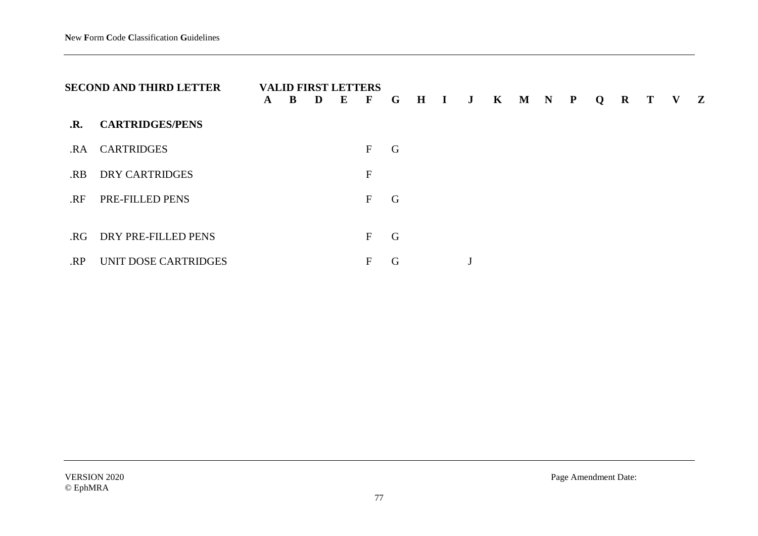|                | <b>SECOND AND THIRD LETTER</b> | $\mathbf{A}$ | <b>VALID FIRST LETTERS</b><br>B | D | $\bf{E}$ | $\mathbf{F}$ | $\mathbf G$ |  | $H$ $I$ $J$ $K$ $M$ $N$ $P$ |  |  |  | $Q$ R T V Z |  |
|----------------|--------------------------------|--------------|---------------------------------|---|----------|--------------|-------------|--|-----------------------------|--|--|--|-------------|--|
| $\mathbf{R}$ . | <b>CARTRIDGES/PENS</b>         |              |                                 |   |          |              |             |  |                             |  |  |  |             |  |
| .RA            | <b>CARTRIDGES</b>              |              |                                 |   |          | F            | G           |  |                             |  |  |  |             |  |
| .RB            | <b>DRY CARTRIDGES</b>          |              |                                 |   |          | $\mathbf F$  |             |  |                             |  |  |  |             |  |
| .RF            | PRE-FILLED PENS                |              |                                 |   |          | $\mathbf{F}$ | G           |  |                             |  |  |  |             |  |
|                |                                |              |                                 |   |          |              |             |  |                             |  |  |  |             |  |
| .RG            | DRY PRE-FILLED PENS            |              |                                 |   |          | F            | G           |  |                             |  |  |  |             |  |
| RP.            | UNIT DOSE CARTRIDGES           |              |                                 |   |          | F            | G           |  |                             |  |  |  |             |  |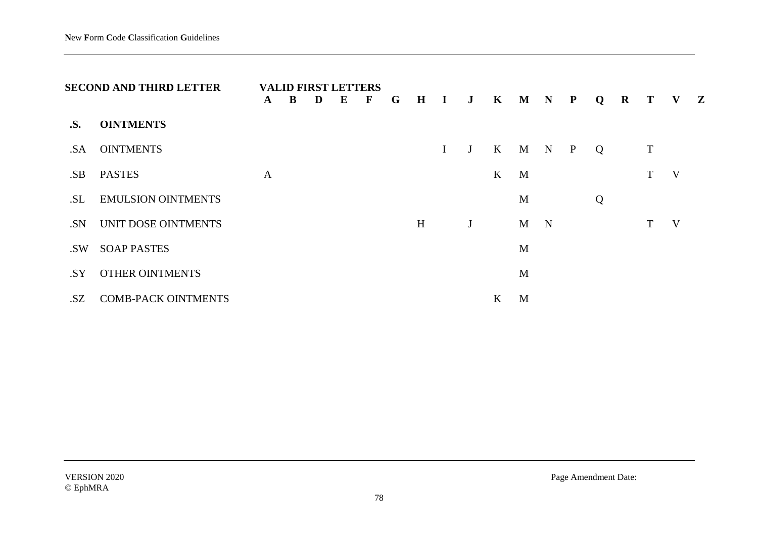|     | <b>SECOND AND THIRD LETTER</b> | $\mathbf{A}$ | B | <b>VALID FIRST LETTERS</b><br>D | $\bf{E}$ | $\mathbf{F}$ | G |   |             |   |         | H I J K M N P |   |              | Q | $\mathbf{R}$ |   | T V Z |  |
|-----|--------------------------------|--------------|---|---------------------------------|----------|--------------|---|---|-------------|---|---------|---------------|---|--------------|---|--------------|---|-------|--|
| .S. | <b>OINTMENTS</b>               |              |   |                                 |          |              |   |   |             |   |         |               |   |              |   |              |   |       |  |
| .SA | <b>OINTMENTS</b>               |              |   |                                 |          |              |   |   | $\mathbf I$ | J |         | K M N         |   | $\mathbf{P}$ | Q |              | T |       |  |
| .SB | <b>PASTES</b>                  | $\mathbf{A}$ |   |                                 |          |              |   |   |             |   | K       | M             |   |              |   |              | T | V     |  |
| .SL | <b>EMULSION OINTMENTS</b>      |              |   |                                 |          |              |   |   |             |   |         | M             |   |              | Q |              |   |       |  |
| .SN | UNIT DOSE OINTMENTS            |              |   |                                 |          |              |   | H |             | J |         | M             | N |              |   |              | T | V     |  |
| .SW | <b>SOAP PASTES</b>             |              |   |                                 |          |              |   |   |             |   |         | M             |   |              |   |              |   |       |  |
| .SY | <b>OTHER OINTMENTS</b>         |              |   |                                 |          |              |   |   |             |   |         | M             |   |              |   |              |   |       |  |
| .SZ | <b>COMB-PACK OINTMENTS</b>     |              |   |                                 |          |              |   |   |             |   | $\bf K$ | M             |   |              |   |              |   |       |  |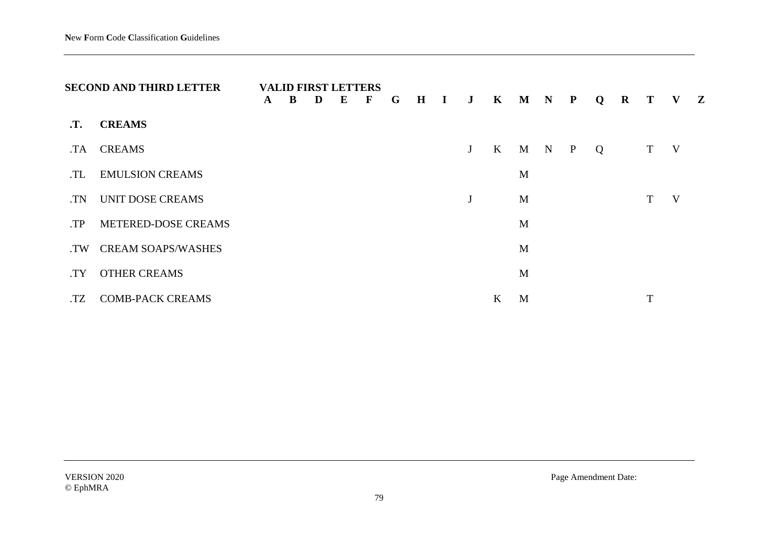|            | <b>SECOND AND THIRD LETTER</b> | $\mathbf{A}$ | B | D | <b>VALID FIRST LETTERS</b><br>E | $\mathbf F$ | G | $H$ I | J K          |                   | $M$ N | $\mathbf{P}$ | Q | $\mathbf{R}$ | <b>T</b> | $\mathbf{V}$ | $\mathbf{Z}$ |
|------------|--------------------------------|--------------|---|---|---------------------------------|-------------|---|-------|--------------|-------------------|-------|--------------|---|--------------|----------|--------------|--------------|
| $\cdot$ T. | <b>CREAMS</b>                  |              |   |   |                                 |             |   |       |              |                   |       |              |   |              |          |              |              |
| .TA        | <b>CREAMS</b>                  |              |   |   |                                 |             |   |       | $J_{\rm}$    | $K_{\mathcal{I}}$ | M N P |              | Q |              | T V      |              |              |
| .TL        | <b>EMULSION CREAMS</b>         |              |   |   |                                 |             |   |       |              |                   | M     |              |   |              |          |              |              |
| .TN        | <b>UNIT DOSE CREAMS</b>        |              |   |   |                                 |             |   |       | $\mathbf{J}$ |                   | M     |              |   |              |          | V            |              |
| TP.        | METERED-DOSE CREAMS            |              |   |   |                                 |             |   |       |              |                   | M     |              |   |              |          |              |              |
| .TW        | <b>CREAM SOAPS/WASHES</b>      |              |   |   |                                 |             |   |       |              |                   | M     |              |   |              |          |              |              |
| .TY        | <b>OTHER CREAMS</b>            |              |   |   |                                 |             |   |       |              |                   | M     |              |   |              |          |              |              |
| .TZ        | <b>COMB-PACK CREAMS</b>        |              |   |   |                                 |             |   |       |              | K                 | M     |              |   |              | m        |              |              |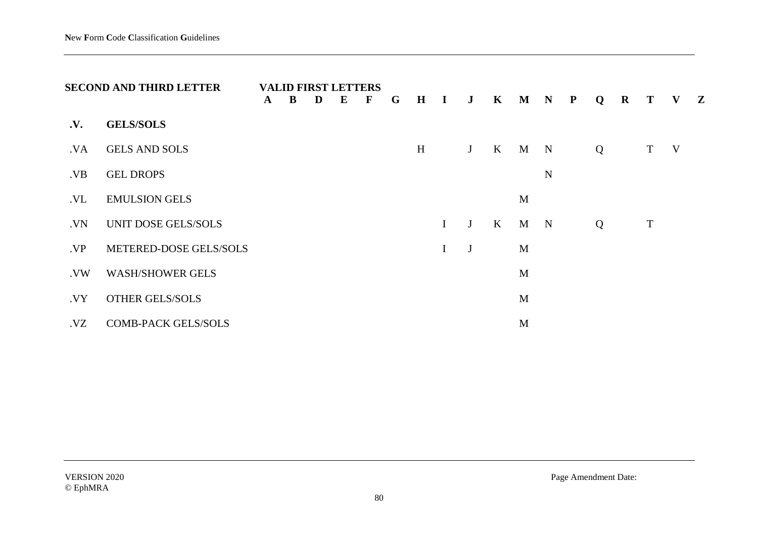|            | <b>SECOND AND THIRD LETTER</b> | $\mathbf{A}$ | B | <b>VALID FIRST LETTERS</b><br>D | $\bf{E}$ | $\mathbf F$ | G | $\mathbf{H}$ | $\mathbf{I}$ | $\mathbf{J}$ | $\mathbf K$  | M           | $\mathbf N$ | ${\bf P}$ | Q | $\bf R$ | $\bf{T}$    | $\mathbf{V}$ | $\mathbf{Z}$ |
|------------|--------------------------------|--------------|---|---------------------------------|----------|-------------|---|--------------|--------------|--------------|--------------|-------------|-------------|-----------|---|---------|-------------|--------------|--------------|
| <b>.V.</b> | <b>GELS/SOLS</b>               |              |   |                                 |          |             |   |              |              |              |              |             |             |           |   |         |             |              |              |
| .VA        | <b>GELS AND SOLS</b>           |              |   |                                 |          |             |   | H            |              | J            | K            | $\mathbf M$ | $\mathbf N$ |           | Q |         | T           | V            |              |
| .VB        | <b>GEL DROPS</b>               |              |   |                                 |          |             |   |              |              |              |              |             | $\mathbf N$ |           |   |         |             |              |              |
| .VL        | <b>EMULSION GELS</b>           |              |   |                                 |          |             |   |              |              |              |              | M           |             |           |   |         |             |              |              |
| .VN        | UNIT DOSE GELS/SOLS            |              |   |                                 |          |             |   |              | $\mathbf{I}$ | J            | $\mathbf{K}$ | M           | N           |           | Q |         | $\mathbf T$ |              |              |
| .VP        | METERED-DOSE GELS/SOLS         |              |   |                                 |          |             |   |              | $\mathbf I$  | J            |              | M           |             |           |   |         |             |              |              |
| .VW        | <b>WASH/SHOWER GELS</b>        |              |   |                                 |          |             |   |              |              |              |              | M           |             |           |   |         |             |              |              |
| VY.        | <b>OTHER GELS/SOLS</b>         |              |   |                                 |          |             |   |              |              |              |              | M           |             |           |   |         |             |              |              |
| VZ.        | <b>COMB-PACK GELS/SOLS</b>     |              |   |                                 |          |             |   |              |              |              |              | M           |             |           |   |         |             |              |              |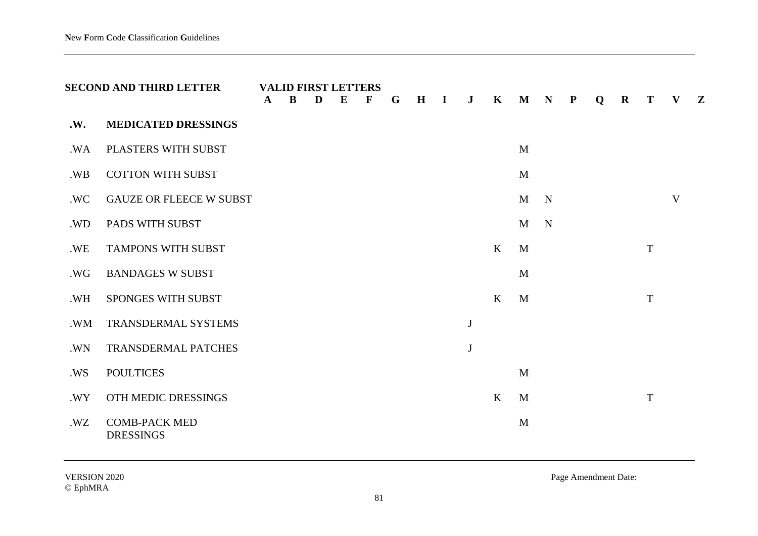|     | <b>SECOND AND THIRD LETTER</b>           | $\mathbf{A}$ | <b>VALID FIRST LETTERS</b><br>B | D | $\bf{E}$ | F | G | H | $\mathbf{I}$ | $\mathbf{J}$ | $\mathbf K$  | $\mathbf M$  | $\mathbf N$ | ${\bf P}$ | $\mathbf Q$ | $\mathbf R$ | T           | V            | $\mathbf{Z}$ |
|-----|------------------------------------------|--------------|---------------------------------|---|----------|---|---|---|--------------|--------------|--------------|--------------|-------------|-----------|-------------|-------------|-------------|--------------|--------------|
| .W. | <b>MEDICATED DRESSINGS</b>               |              |                                 |   |          |   |   |   |              |              |              |              |             |           |             |             |             |              |              |
| .WA | PLASTERS WITH SUBST                      |              |                                 |   |          |   |   |   |              |              |              | M            |             |           |             |             |             |              |              |
| .WB | <b>COTTON WITH SUBST</b>                 |              |                                 |   |          |   |   |   |              |              |              | M            |             |           |             |             |             |              |              |
| .WC | <b>GAUZE OR FLEECE W SUBST</b>           |              |                                 |   |          |   |   |   |              |              |              | $\mathbf{M}$ | $\mathbf N$ |           |             |             |             | $\mathbf{V}$ |              |
| .WD | PADS WITH SUBST                          |              |                                 |   |          |   |   |   |              |              |              | M            | $\mathbf N$ |           |             |             |             |              |              |
| .WE | <b>TAMPONS WITH SUBST</b>                |              |                                 |   |          |   |   |   |              |              | K            | M            |             |           |             |             | $\mathbf T$ |              |              |
| .WG | <b>BANDAGES W SUBST</b>                  |              |                                 |   |          |   |   |   |              |              |              | M            |             |           |             |             |             |              |              |
| .WH | SPONGES WITH SUBST                       |              |                                 |   |          |   |   |   |              |              | K            | M            |             |           |             |             | $\mathbf T$ |              |              |
| .WM | TRANSDERMAL SYSTEMS                      |              |                                 |   |          |   |   |   |              | $\bf J$      |              |              |             |           |             |             |             |              |              |
| .WN | TRANSDERMAL PATCHES                      |              |                                 |   |          |   |   |   |              | $\bf J$      |              |              |             |           |             |             |             |              |              |
| .WS | <b>POULTICES</b>                         |              |                                 |   |          |   |   |   |              |              |              | M            |             |           |             |             |             |              |              |
| .WY | OTH MEDIC DRESSINGS                      |              |                                 |   |          |   |   |   |              |              | $\mathbf{K}$ | M            |             |           |             |             | $\mathbf T$ |              |              |
| .WZ | <b>COMB-PACK MED</b><br><b>DRESSINGS</b> |              |                                 |   |          |   |   |   |              |              |              | M            |             |           |             |             |             |              |              |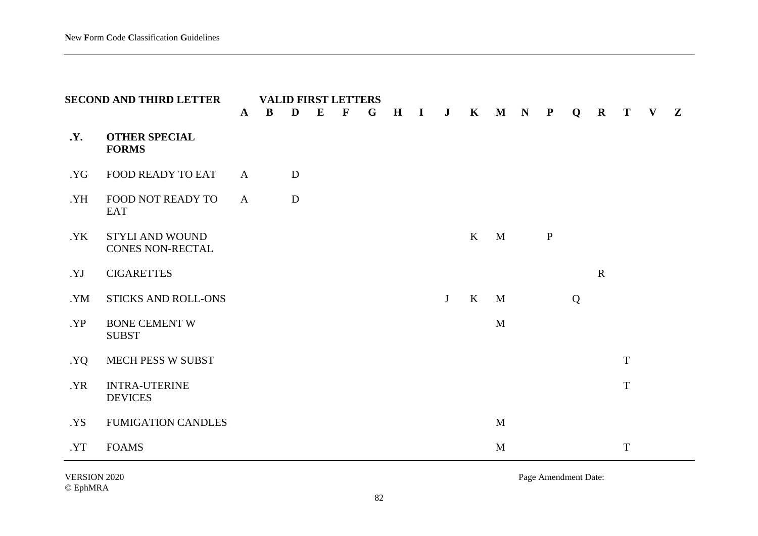|           | <b>SECOND AND THIRD LETTER</b>         |              | <b>VALID FIRST LETTERS</b> |   |          |              |   |             |              |         |              |              |             |              |   |             |             |              |              |
|-----------|----------------------------------------|--------------|----------------------------|---|----------|--------------|---|-------------|--------------|---------|--------------|--------------|-------------|--------------|---|-------------|-------------|--------------|--------------|
|           |                                        | $\mathbf{A}$ | $\mathbf{B}$               | D | $\bf{E}$ | $\mathbf{F}$ | G | $\mathbf H$ | $\mathbf{I}$ | $\bf J$ | $\mathbf K$  | $\mathbf M$  | $\mathbf N$ | $\mathbf{P}$ | Q | $\mathbf R$ | T           | $\mathbf{V}$ | $\mathbf{Z}$ |
| <b>Y.</b> | <b>OTHER SPECIAL</b><br><b>FORMS</b>   |              |                            |   |          |              |   |             |              |         |              |              |             |              |   |             |             |              |              |
| .YG       | <b>FOOD READY TO EAT</b>               | $\mathbf{A}$ |                            | D |          |              |   |             |              |         |              |              |             |              |   |             |             |              |              |
| .YH       | FOOD NOT READY TO<br>EAT               | $\mathbf{A}$ |                            | D |          |              |   |             |              |         |              |              |             |              |   |             |             |              |              |
| .YK       | STYLI AND WOUND<br>CONES NON-RECTAL    |              |                            |   |          |              |   |             |              |         | $\mathbf{K}$ | M            |             | $\mathbf{P}$ |   |             |             |              |              |
| YJ.       | <b>CIGARETTES</b>                      |              |                            |   |          |              |   |             |              |         |              |              |             |              |   | $\mathbf R$ |             |              |              |
| .YM       | <b>STICKS AND ROLL-ONS</b>             |              |                            |   |          |              |   |             |              | J       | $\mathbf{K}$ | M            |             |              | Q |             |             |              |              |
| .YP       | <b>BONE CEMENT W</b><br><b>SUBST</b>   |              |                            |   |          |              |   |             |              |         |              | M            |             |              |   |             |             |              |              |
| YQ.       | MECH PESS W SUBST                      |              |                            |   |          |              |   |             |              |         |              |              |             |              |   |             | T           |              |              |
| .YR       | <b>INTRA-UTERINE</b><br><b>DEVICES</b> |              |                            |   |          |              |   |             |              |         |              |              |             |              |   |             | $\mathbf T$ |              |              |
| .YS       | <b>FUMIGATION CANDLES</b>              |              |                            |   |          |              |   |             |              |         |              | $\mathbf{M}$ |             |              |   |             |             |              |              |
| .YT       | <b>FOAMS</b>                           |              |                            |   |          |              |   |             |              |         |              | $\mathbf M$  |             |              |   |             | $\mathbf T$ |              |              |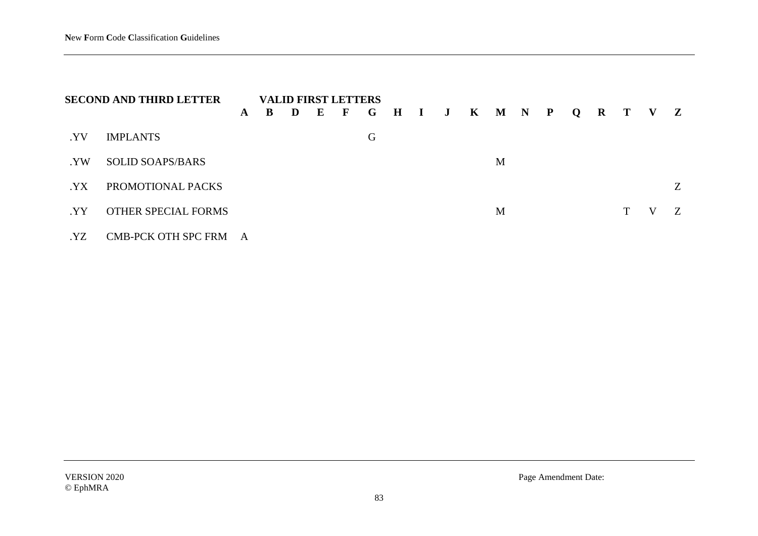|      | <b>SECOND AND THIRD LETTER</b> |              |   | <b>VALID FIRST LETTERS</b> |   |              |              |  |                         |   |  |  |   |   |   |
|------|--------------------------------|--------------|---|----------------------------|---|--------------|--------------|--|-------------------------|---|--|--|---|---|---|
|      |                                | $\mathbf{A}$ | B | D                          | E | $\mathbf{F}$ | $\mathbf{G}$ |  | H I J K M N P Q R T V Z |   |  |  |   |   |   |
| .YV  | <b>IMPLANTS</b>                |              |   |                            |   |              | G            |  |                         |   |  |  |   |   |   |
| . YW | <b>SOLID SOAPS/BARS</b>        |              |   |                            |   |              |              |  |                         | M |  |  |   |   |   |
| YX   | PROMOTIONAL PACKS              |              |   |                            |   |              |              |  |                         |   |  |  |   |   | Z |
| .YY  | <b>OTHER SPECIAL FORMS</b>     |              |   |                            |   |              |              |  |                         | M |  |  | T | V | Z |
| .YZ  | CMB-PCK OTH SPC FRM            | A            |   |                            |   |              |              |  |                         |   |  |  |   |   |   |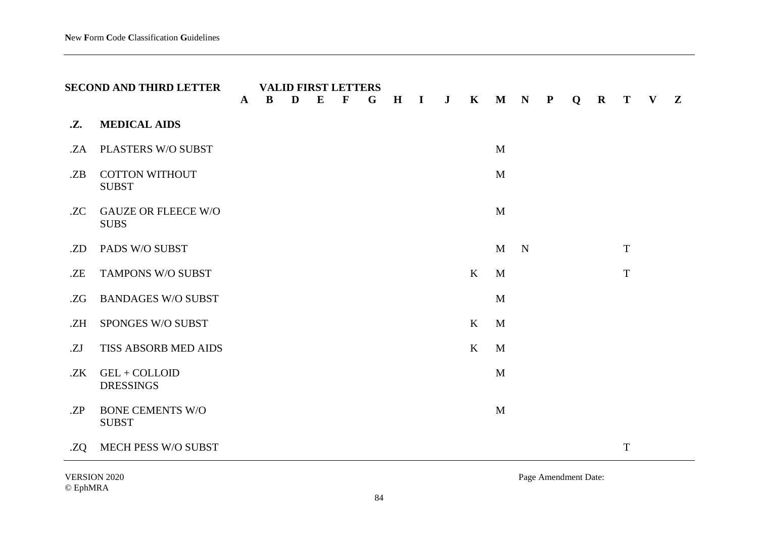|     | <b>SECOND AND THIRD LETTER</b>            | $\mathbf{A}$ | B | <b>VALID FIRST LETTERS</b><br>D | E | $\mathbf{F}$ | G | H | $\mathbf{I}$ | $\bf J$ | $\mathbf{K}$ | $\mathbf M$  | $\mathbf N$ | $\mathbf{P}$ | Q | $\mathbf R$ | T           | $\mathbf{V}$ | $\mathbf{Z}$ |
|-----|-------------------------------------------|--------------|---|---------------------------------|---|--------------|---|---|--------------|---------|--------------|--------------|-------------|--------------|---|-------------|-------------|--------------|--------------|
| .Z. | <b>MEDICAL AIDS</b>                       |              |   |                                 |   |              |   |   |              |         |              |              |             |              |   |             |             |              |              |
| .ZA | PLASTERS W/O SUBST                        |              |   |                                 |   |              |   |   |              |         |              | M            |             |              |   |             |             |              |              |
| .ZB | <b>COTTON WITHOUT</b><br><b>SUBST</b>     |              |   |                                 |   |              |   |   |              |         |              | M            |             |              |   |             |             |              |              |
| .ZC | <b>GAUZE OR FLEECE W/O</b><br><b>SUBS</b> |              |   |                                 |   |              |   |   |              |         |              | M            |             |              |   |             |             |              |              |
| .ZD | PADS W/O SUBST                            |              |   |                                 |   |              |   |   |              |         |              | $\mathbf{M}$ | N           |              |   |             | $\mathbf T$ |              |              |
| .ZE | TAMPONS W/O SUBST                         |              |   |                                 |   |              |   |   |              |         | K            | M            |             |              |   |             | $\mathbf T$ |              |              |
| .ZG | <b>BANDAGES W/O SUBST</b>                 |              |   |                                 |   |              |   |   |              |         |              | M            |             |              |   |             |             |              |              |
| .ZH | SPONGES W/O SUBST                         |              |   |                                 |   |              |   |   |              |         | K            | M            |             |              |   |             |             |              |              |
| .ZJ | TISS ABSORB MED AIDS                      |              |   |                                 |   |              |   |   |              |         | $\rm K$      | M            |             |              |   |             |             |              |              |
| .ZK | GEL + COLLOID<br><b>DRESSINGS</b>         |              |   |                                 |   |              |   |   |              |         |              | M            |             |              |   |             |             |              |              |
| ZP  | <b>BONE CEMENTS W/O</b><br><b>SUBST</b>   |              |   |                                 |   |              |   |   |              |         |              | M            |             |              |   |             |             |              |              |
| .ZQ | <b>MECH PESS W/O SUBST</b>                |              |   |                                 |   |              |   |   |              |         |              |              |             |              |   |             | $\mathbf T$ |              |              |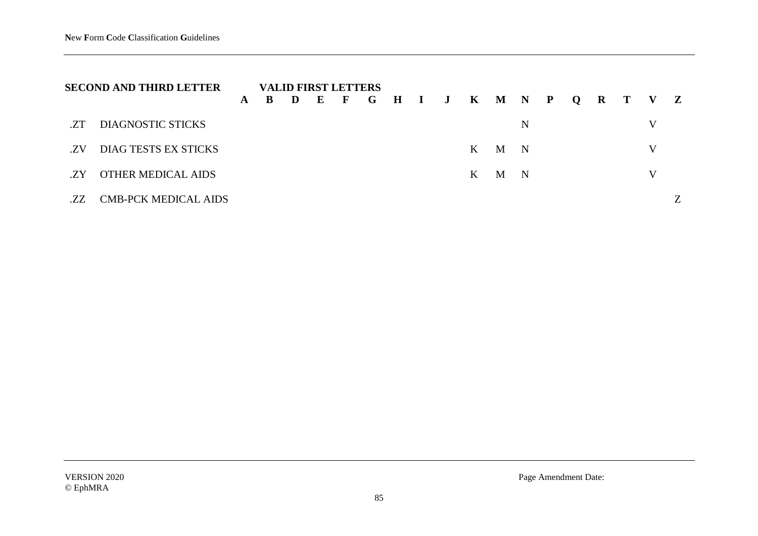| <b>SECOND AND THIRD LETTER</b> |                             | <b>VALID FIRST LETTERS</b> |  |  |  |  |                                   |  |  |  |       |   |  |  |   |   |
|--------------------------------|-----------------------------|----------------------------|--|--|--|--|-----------------------------------|--|--|--|-------|---|--|--|---|---|
|                                |                             | ${\bf A}$                  |  |  |  |  | B D E F G H I J K M N P Q R T V Z |  |  |  |       |   |  |  |   |   |
| .ZT                            | DIAGNOSTIC STICKS           |                            |  |  |  |  |                                   |  |  |  |       | N |  |  | V |   |
| .7.V                           | DIAG TESTS EX STICKS        |                            |  |  |  |  |                                   |  |  |  | K M N |   |  |  | V |   |
| .ZY                            | <b>OTHER MEDICAL AIDS</b>   |                            |  |  |  |  |                                   |  |  |  | K M N |   |  |  | V |   |
| .ZZ                            | <b>CMB-PCK MEDICAL AIDS</b> |                            |  |  |  |  |                                   |  |  |  |       |   |  |  |   | Ζ |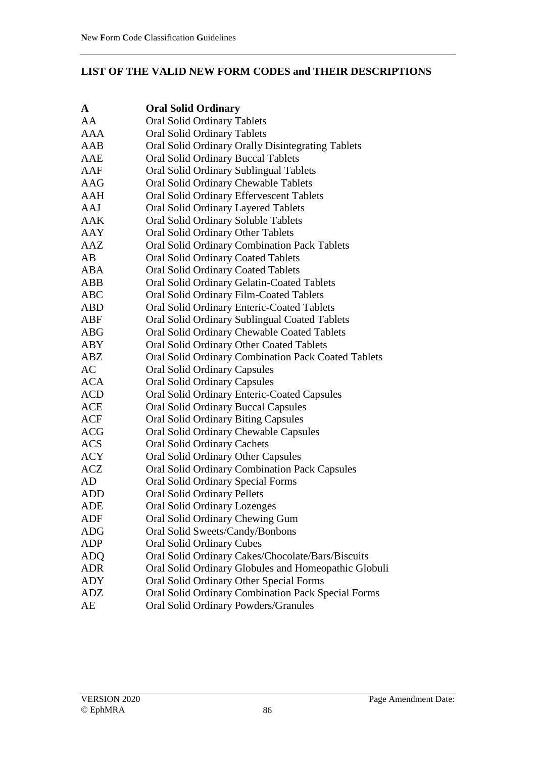## **LIST OF THE VALID NEW FORM CODES and THEIR DESCRIPTIONS**

| A          | <b>Oral Solid Ordinary</b>                                |
|------------|-----------------------------------------------------------|
| AA         | <b>Oral Solid Ordinary Tablets</b>                        |
| <b>AAA</b> | <b>Oral Solid Ordinary Tablets</b>                        |
| AAB        | Oral Solid Ordinary Orally Disintegrating Tablets         |
| AAE        | <b>Oral Solid Ordinary Buccal Tablets</b>                 |
| AAF        | <b>Oral Solid Ordinary Sublingual Tablets</b>             |
| AAG        | <b>Oral Solid Ordinary Chewable Tablets</b>               |
| AAH        | <b>Oral Solid Ordinary Effervescent Tablets</b>           |
| AAJ        | Oral Solid Ordinary Layered Tablets                       |
| AAK        | <b>Oral Solid Ordinary Soluble Tablets</b>                |
| <b>AAY</b> | <b>Oral Solid Ordinary Other Tablets</b>                  |
| AAZ        | <b>Oral Solid Ordinary Combination Pack Tablets</b>       |
| AB         | <b>Oral Solid Ordinary Coated Tablets</b>                 |
| <b>ABA</b> | <b>Oral Solid Ordinary Coated Tablets</b>                 |
| ABB        | Oral Solid Ordinary Gelatin-Coated Tablets                |
| <b>ABC</b> | Oral Solid Ordinary Film-Coated Tablets                   |
| <b>ABD</b> | <b>Oral Solid Ordinary Enteric-Coated Tablets</b>         |
| ABF        | Oral Solid Ordinary Sublingual Coated Tablets             |
| <b>ABG</b> | Oral Solid Ordinary Chewable Coated Tablets               |
| <b>ABY</b> | <b>Oral Solid Ordinary Other Coated Tablets</b>           |
| ABZ        | Oral Solid Ordinary Combination Pack Coated Tablets       |
| AC         | <b>Oral Solid Ordinary Capsules</b>                       |
| <b>ACA</b> | <b>Oral Solid Ordinary Capsules</b>                       |
| <b>ACD</b> | <b>Oral Solid Ordinary Enteric-Coated Capsules</b>        |
| <b>ACE</b> | <b>Oral Solid Ordinary Buccal Capsules</b>                |
| <b>ACF</b> | <b>Oral Solid Ordinary Biting Capsules</b>                |
| <b>ACG</b> | <b>Oral Solid Ordinary Chewable Capsules</b>              |
| <b>ACS</b> | <b>Oral Solid Ordinary Cachets</b>                        |
| <b>ACY</b> | <b>Oral Solid Ordinary Other Capsules</b>                 |
| <b>ACZ</b> | <b>Oral Solid Ordinary Combination Pack Capsules</b>      |
| AD         | <b>Oral Solid Ordinary Special Forms</b>                  |
| <b>ADD</b> | <b>Oral Solid Ordinary Pellets</b>                        |
| ADE        | <b>Oral Solid Ordinary Lozenges</b>                       |
| ADF        | Oral Solid Ordinary Chewing Gum                           |
| <b>ADG</b> | Oral Solid Sweets/Candy/Bonbons                           |
| <b>ADP</b> | <b>Oral Solid Ordinary Cubes</b>                          |
| <b>ADQ</b> | Oral Solid Ordinary Cakes/Chocolate/Bars/Biscuits         |
| <b>ADR</b> | Oral Solid Ordinary Globules and Homeopathic Globuli      |
| <b>ADY</b> | Oral Solid Ordinary Other Special Forms                   |
| <b>ADZ</b> | <b>Oral Solid Ordinary Combination Pack Special Forms</b> |
| AE         | Oral Solid Ordinary Powders/Granules                      |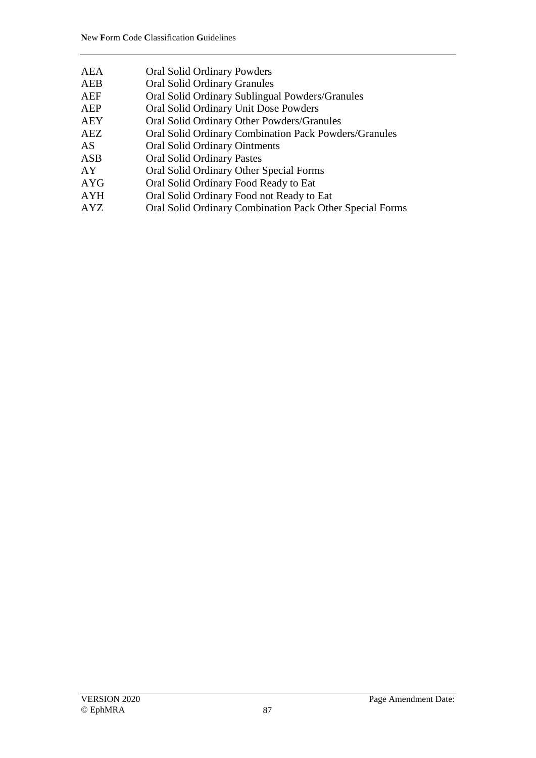| AEA | <b>Oral Solid Ordinary Powders</b>                           |
|-----|--------------------------------------------------------------|
| AEB | <b>Oral Solid Ordinary Granules</b>                          |
| AEF | Oral Solid Ordinary Sublingual Powders/Granules              |
| AEP | Oral Solid Ordinary Unit Dose Powders                        |
| AEY | Oral Solid Ordinary Other Powders/Granules                   |
| AEZ | <b>Oral Solid Ordinary Combination Pack Powders/Granules</b> |
| AS  | <b>Oral Solid Ordinary Ointments</b>                         |
| ASB | <b>Oral Solid Ordinary Pastes</b>                            |
| AY  | Oral Solid Ordinary Other Special Forms                      |
| AYG | Oral Solid Ordinary Food Ready to Eat                        |
| AYH | Oral Solid Ordinary Food not Ready to Eat                    |
| AYZ | Oral Solid Ordinary Combination Pack Other Special Forms     |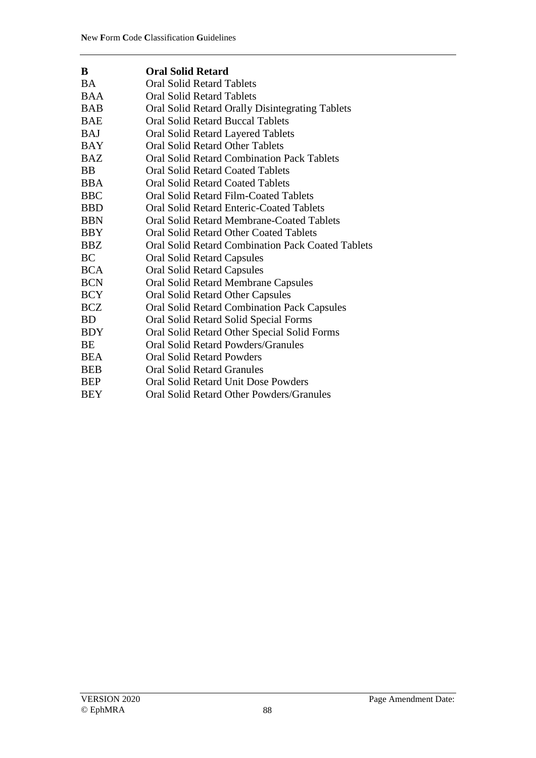| B          | <b>Oral Solid Retard</b>                                 |
|------------|----------------------------------------------------------|
| BA         | <b>Oral Solid Retard Tablets</b>                         |
| <b>BAA</b> | <b>Oral Solid Retard Tablets</b>                         |
| <b>BAB</b> | Oral Solid Retard Orally Disintegrating Tablets          |
| <b>BAE</b> | <b>Oral Solid Retard Buccal Tablets</b>                  |
| <b>BAJ</b> | Oral Solid Retard Layered Tablets                        |
| <b>BAY</b> | <b>Oral Solid Retard Other Tablets</b>                   |
| <b>BAZ</b> | <b>Oral Solid Retard Combination Pack Tablets</b>        |
| <b>BB</b>  | <b>Oral Solid Retard Coated Tablets</b>                  |
| <b>BBA</b> | <b>Oral Solid Retard Coated Tablets</b>                  |
| <b>BBC</b> | Oral Solid Retard Film-Coated Tablets                    |
| <b>BBD</b> | <b>Oral Solid Retard Enteric-Coated Tablets</b>          |
| <b>BBN</b> | <b>Oral Solid Retard Membrane-Coated Tablets</b>         |
| <b>BBY</b> | <b>Oral Solid Retard Other Coated Tablets</b>            |
| BBZ        | <b>Oral Solid Retard Combination Pack Coated Tablets</b> |
| <b>BC</b>  | <b>Oral Solid Retard Capsules</b>                        |
| <b>BCA</b> | <b>Oral Solid Retard Capsules</b>                        |
| <b>BCN</b> | <b>Oral Solid Retard Membrane Capsules</b>               |
| <b>BCY</b> | Oral Solid Retard Other Capsules                         |
| <b>BCZ</b> | Oral Solid Retard Combination Pack Capsules              |
| BD.        | Oral Solid Retard Solid Special Forms                    |
| <b>BDY</b> | Oral Solid Retard Other Special Solid Forms              |
| BE         | Oral Solid Retard Powders/Granules                       |
| <b>BEA</b> | <b>Oral Solid Retard Powders</b>                         |
| <b>BEB</b> | <b>Oral Solid Retard Granules</b>                        |
| <b>BEP</b> | Oral Solid Retard Unit Dose Powders                      |
| BEY        | Oral Solid Retard Other Powders/Granules                 |
|            |                                                          |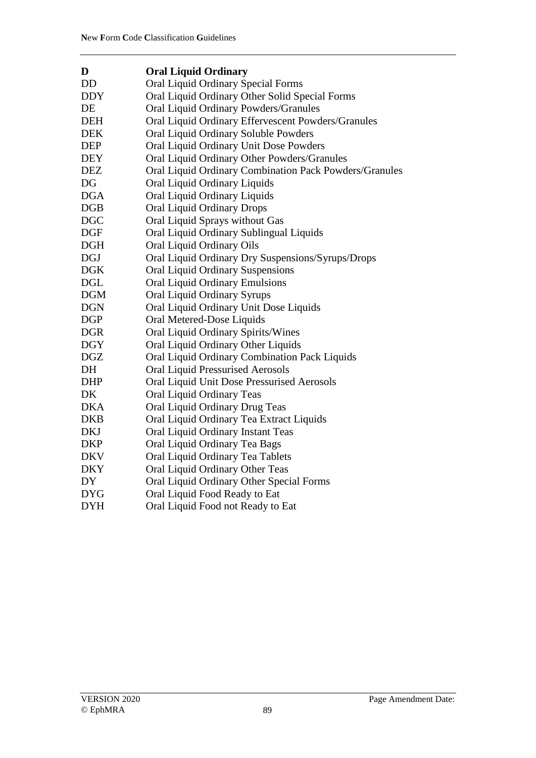| D          | <b>Oral Liquid Ordinary</b>                            |
|------------|--------------------------------------------------------|
| <b>DD</b>  | <b>Oral Liquid Ordinary Special Forms</b>              |
| <b>DDY</b> | Oral Liquid Ordinary Other Solid Special Forms         |
| DE         | Oral Liquid Ordinary Powders/Granules                  |
| <b>DEH</b> | Oral Liquid Ordinary Effervescent Powders/Granules     |
| <b>DEK</b> | Oral Liquid Ordinary Soluble Powders                   |
| <b>DEP</b> | Oral Liquid Ordinary Unit Dose Powders                 |
| <b>DEY</b> | Oral Liquid Ordinary Other Powders/Granules            |
| <b>DEZ</b> | Oral Liquid Ordinary Combination Pack Powders/Granules |
| DG         | Oral Liquid Ordinary Liquids                           |
| <b>DGA</b> | Oral Liquid Ordinary Liquids                           |
| <b>DGB</b> | Oral Liquid Ordinary Drops                             |
| <b>DGC</b> | Oral Liquid Sprays without Gas                         |
| <b>DGF</b> | Oral Liquid Ordinary Sublingual Liquids                |
| DGH        | Oral Liquid Ordinary Oils                              |
| <b>DGJ</b> | Oral Liquid Ordinary Dry Suspensions/Syrups/Drops      |
| <b>DGK</b> | <b>Oral Liquid Ordinary Suspensions</b>                |
| <b>DGL</b> | <b>Oral Liquid Ordinary Emulsions</b>                  |
| <b>DGM</b> | Oral Liquid Ordinary Syrups                            |
| <b>DGN</b> | Oral Liquid Ordinary Unit Dose Liquids                 |
| <b>DGP</b> | Oral Metered-Dose Liquids                              |
| <b>DGR</b> | Oral Liquid Ordinary Spirits/Wines                     |
| <b>DGY</b> | Oral Liquid Ordinary Other Liquids                     |
| <b>DGZ</b> | Oral Liquid Ordinary Combination Pack Liquids          |
| DH         | <b>Oral Liquid Pressurised Aerosols</b>                |
| <b>DHP</b> | Oral Liquid Unit Dose Pressurised Aerosols             |
| DK         | Oral Liquid Ordinary Teas                              |
| <b>DKA</b> | Oral Liquid Ordinary Drug Teas                         |
| <b>DKB</b> | Oral Liquid Ordinary Tea Extract Liquids               |
| <b>DKJ</b> | Oral Liquid Ordinary Instant Teas                      |
| <b>DKP</b> | Oral Liquid Ordinary Tea Bags                          |
| <b>DKV</b> | Oral Liquid Ordinary Tea Tablets                       |
| <b>DKY</b> | Oral Liquid Ordinary Other Teas                        |
| DY         | Oral Liquid Ordinary Other Special Forms               |
| <b>DYG</b> | Oral Liquid Food Ready to Eat                          |
| <b>DYH</b> | Oral Liquid Food not Ready to Eat                      |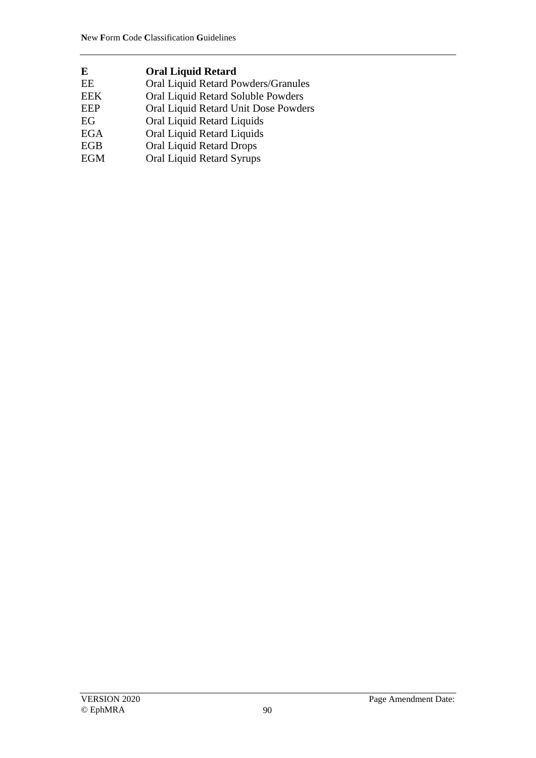| <b>Oral Liquid Retard</b>            |
|--------------------------------------|
| Oral Liquid Retard Powders/Granules  |
| Oral Liquid Retard Soluble Powders   |
| Oral Liquid Retard Unit Dose Powders |
| Oral Liquid Retard Liquids           |
| Oral Liquid Retard Liquids           |
| <b>Oral Liquid Retard Drops</b>      |
| Oral Liquid Retard Syrups            |
|                                      |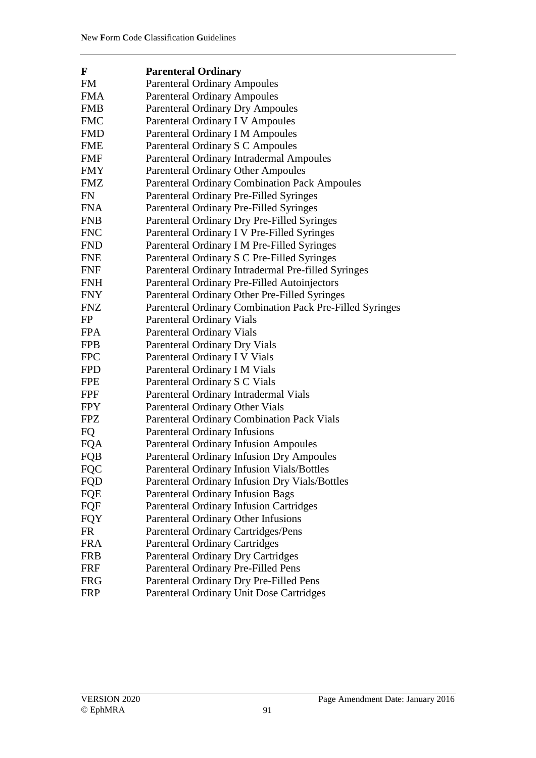| F          | <b>Parenteral Ordinary</b>                               |
|------------|----------------------------------------------------------|
| <b>FM</b>  | <b>Parenteral Ordinary Ampoules</b>                      |
| <b>FMA</b> | <b>Parenteral Ordinary Ampoules</b>                      |
| <b>FMB</b> | <b>Parenteral Ordinary Dry Ampoules</b>                  |
| <b>FMC</b> | Parenteral Ordinary I V Ampoules                         |
| <b>FMD</b> | Parenteral Ordinary I M Ampoules                         |
| <b>FME</b> | Parenteral Ordinary S C Ampoules                         |
| <b>FMF</b> | <b>Parenteral Ordinary Intradermal Ampoules</b>          |
| <b>FMY</b> | <b>Parenteral Ordinary Other Ampoules</b>                |
| <b>FMZ</b> | <b>Parenteral Ordinary Combination Pack Ampoules</b>     |
| FN         | Parenteral Ordinary Pre-Filled Syringes                  |
| <b>FNA</b> | Parenteral Ordinary Pre-Filled Syringes                  |
| <b>FNB</b> | Parenteral Ordinary Dry Pre-Filled Syringes              |
| <b>FNC</b> | Parenteral Ordinary I V Pre-Filled Syringes              |
| <b>FND</b> | Parenteral Ordinary I M Pre-Filled Syringes              |
| <b>FNE</b> | Parenteral Ordinary S C Pre-Filled Syringes              |
| <b>FNF</b> | Parenteral Ordinary Intradermal Pre-filled Syringes      |
| <b>FNH</b> | Parenteral Ordinary Pre-Filled Autoinjectors             |
| <b>FNY</b> | Parenteral Ordinary Other Pre-Filled Syringes            |
| <b>FNZ</b> | Parenteral Ordinary Combination Pack Pre-Filled Syringes |
| FP         | Parenteral Ordinary Vials                                |
| <b>FPA</b> | <b>Parenteral Ordinary Vials</b>                         |
| <b>FPB</b> | Parenteral Ordinary Dry Vials                            |
| <b>FPC</b> | Parenteral Ordinary I V Vials                            |
| <b>FPD</b> | Parenteral Ordinary I M Vials                            |
| <b>FPE</b> | Parenteral Ordinary S C Vials                            |
| FPF        | Parenteral Ordinary Intradermal Vials                    |
| <b>FPY</b> | Parenteral Ordinary Other Vials                          |
| <b>FPZ</b> | Parenteral Ordinary Combination Pack Vials               |
| FQ         | <b>Parenteral Ordinary Infusions</b>                     |
| <b>FQA</b> | <b>Parenteral Ordinary Infusion Ampoules</b>             |
| FQB        | <b>Parenteral Ordinary Infusion Dry Ampoules</b>         |
| <b>FQC</b> | <b>Parenteral Ordinary Infusion Vials/Bottles</b>        |
| FQD        | Parenteral Ordinary Infusion Dry Vials/Bottles           |
| <b>FQE</b> | Parenteral Ordinary Infusion Bags                        |
| FQF        | <b>Parenteral Ordinary Infusion Cartridges</b>           |
| <b>FQY</b> | Parenteral Ordinary Other Infusions                      |
| <b>FR</b>  | <b>Parenteral Ordinary Cartridges/Pens</b>               |
| <b>FRA</b> | <b>Parenteral Ordinary Cartridges</b>                    |
| <b>FRB</b> | <b>Parenteral Ordinary Dry Cartridges</b>                |
| <b>FRF</b> | Parenteral Ordinary Pre-Filled Pens                      |
| <b>FRG</b> | Parenteral Ordinary Dry Pre-Filled Pens                  |
| <b>FRP</b> | Parenteral Ordinary Unit Dose Cartridges                 |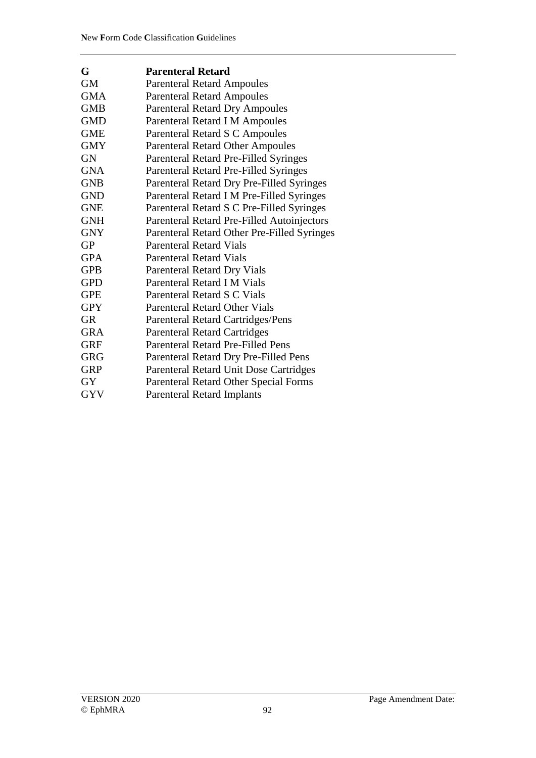| G          | <b>Parenteral Retard</b>                    |
|------------|---------------------------------------------|
| GM         | <b>Parenteral Retard Ampoules</b>           |
| <b>GMA</b> | <b>Parenteral Retard Ampoules</b>           |
| <b>GMB</b> | <b>Parenteral Retard Dry Ampoules</b>       |
| <b>GMD</b> | Parenteral Retard I M Ampoules              |
| <b>GME</b> | Parenteral Retard S C Ampoules              |
| <b>GMY</b> | <b>Parenteral Retard Other Ampoules</b>     |
| <b>GN</b>  | Parenteral Retard Pre-Filled Syringes       |
| <b>GNA</b> | Parenteral Retard Pre-Filled Syringes       |
| <b>GNB</b> | Parenteral Retard Dry Pre-Filled Syringes   |
| <b>GND</b> | Parenteral Retard I M Pre-Filled Syringes   |
| <b>GNE</b> | Parenteral Retard S C Pre-Filled Syringes   |
| <b>GNH</b> | Parenteral Retard Pre-Filled Autoinjectors  |
| <b>GNY</b> | Parenteral Retard Other Pre-Filled Syringes |
| <b>GP</b>  | <b>Parenteral Retard Vials</b>              |
| <b>GPA</b> | <b>Parenteral Retard Vials</b>              |
| <b>GPB</b> | <b>Parenteral Retard Dry Vials</b>          |
| <b>GPD</b> | Parenteral Retard I M Vials                 |
| <b>GPE</b> | Parenteral Retard S C Vials                 |
| <b>GPY</b> | Parenteral Retard Other Vials               |
| <b>GR</b>  | Parenteral Retard Cartridges/Pens           |
| <b>GRA</b> | <b>Parenteral Retard Cartridges</b>         |
| <b>GRF</b> | <b>Parenteral Retard Pre-Filled Pens</b>    |
| <b>GRG</b> | Parenteral Retard Dry Pre-Filled Pens       |
| <b>GRP</b> | Parenteral Retard Unit Dose Cartridges      |
| <b>GY</b>  | Parenteral Retard Other Special Forms       |
| <b>GYV</b> | <b>Parenteral Retard Implants</b>           |
|            |                                             |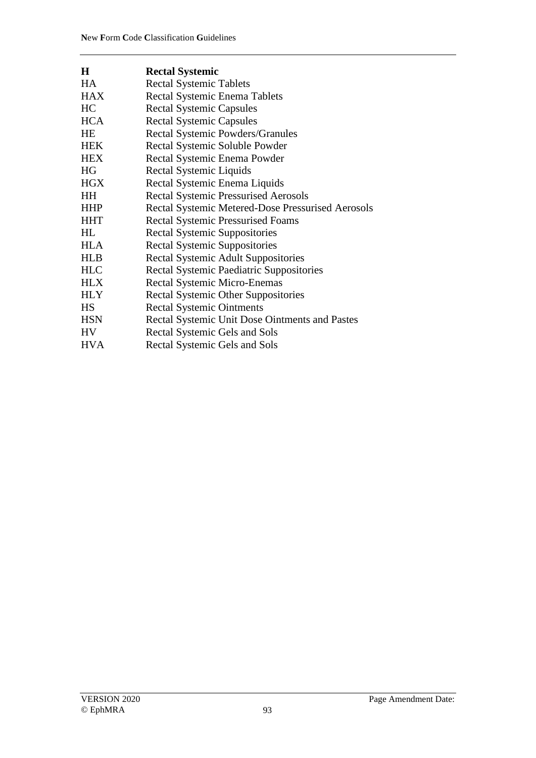| $\bf H$    | <b>Rectal Systemic</b>                            |
|------------|---------------------------------------------------|
| HA         | <b>Rectal Systemic Tablets</b>                    |
| <b>HAX</b> | Rectal Systemic Enema Tablets                     |
| HC         | <b>Rectal Systemic Capsules</b>                   |
| <b>HCA</b> | <b>Rectal Systemic Capsules</b>                   |
| <b>HE</b>  | Rectal Systemic Powders/Granules                  |
| <b>HEK</b> | Rectal Systemic Soluble Powder                    |
| <b>HEX</b> | Rectal Systemic Enema Powder                      |
| HG         | Rectal Systemic Liquids                           |
| <b>HGX</b> | Rectal Systemic Enema Liquids                     |
| <b>HH</b>  | <b>Rectal Systemic Pressurised Aerosols</b>       |
| <b>HHP</b> | Rectal Systemic Metered-Dose Pressurised Aerosols |
| <b>HHT</b> | <b>Rectal Systemic Pressurised Foams</b>          |
| HL         | <b>Rectal Systemic Suppositories</b>              |
| <b>HLA</b> | <b>Rectal Systemic Suppositories</b>              |
| <b>HLB</b> | <b>Rectal Systemic Adult Suppositories</b>        |
| <b>HLC</b> | <b>Rectal Systemic Paediatric Suppositories</b>   |
| <b>HLX</b> | <b>Rectal Systemic Micro-Enemas</b>               |
| <b>HLY</b> | <b>Rectal Systemic Other Suppositories</b>        |
| <b>HS</b>  | <b>Rectal Systemic Ointments</b>                  |
| <b>HSN</b> | Rectal Systemic Unit Dose Ointments and Pastes    |
| <b>HV</b>  | Rectal Systemic Gels and Sols                     |
| <b>HVA</b> | Rectal Systemic Gels and Sols                     |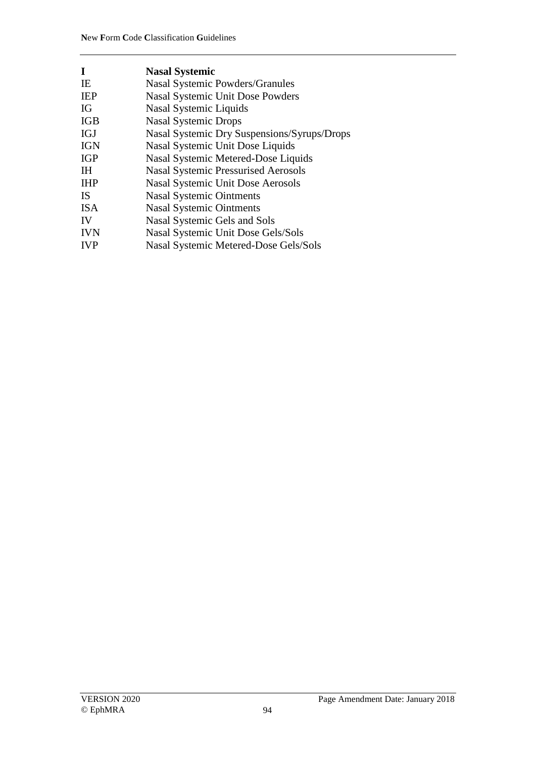| I          | <b>Nasal Systemic</b>                       |
|------------|---------------------------------------------|
| IE         | <b>Nasal Systemic Powders/Granules</b>      |
| <b>IEP</b> | <b>Nasal Systemic Unit Dose Powders</b>     |
| IG         | Nasal Systemic Liquids                      |
| <b>IGB</b> | <b>Nasal Systemic Drops</b>                 |
| <b>IGJ</b> | Nasal Systemic Dry Suspensions/Syrups/Drops |
| <b>IGN</b> | Nasal Systemic Unit Dose Liquids            |
| <b>IGP</b> | Nasal Systemic Metered-Dose Liquids         |
| <b>IH</b>  | <b>Nasal Systemic Pressurised Aerosols</b>  |
| <b>IHP</b> | <b>Nasal Systemic Unit Dose Aerosols</b>    |
| <b>IS</b>  | <b>Nasal Systemic Ointments</b>             |
| <b>ISA</b> | <b>Nasal Systemic Ointments</b>             |
| IV         | Nasal Systemic Gels and Sols                |
| <b>IVN</b> | Nasal Systemic Unit Dose Gels/Sols          |
| <b>IVP</b> | Nasal Systemic Metered-Dose Gels/Sols       |
|            |                                             |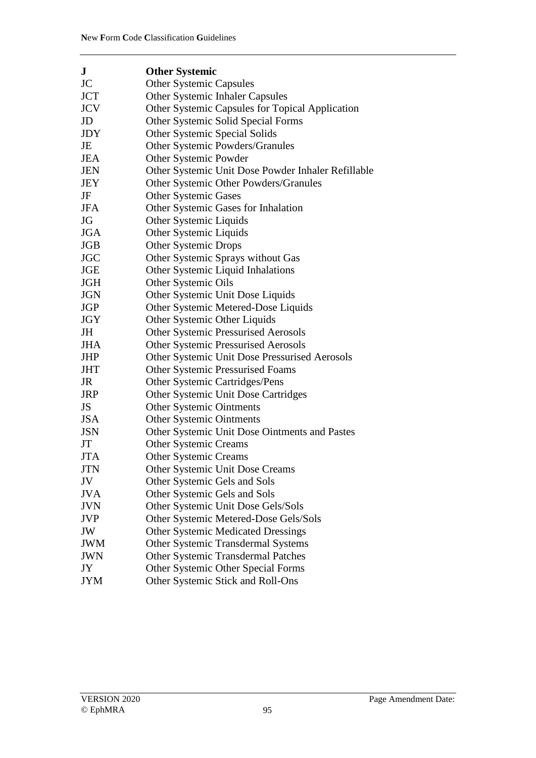| ${\bf J}$  | <b>Other Systemic</b>                              |
|------------|----------------------------------------------------|
| <b>JC</b>  | <b>Other Systemic Capsules</b>                     |
| <b>JCT</b> | <b>Other Systemic Inhaler Capsules</b>             |
| <b>JCV</b> | Other Systemic Capsules for Topical Application    |
| JD         | Other Systemic Solid Special Forms                 |
| <b>JDY</b> | Other Systemic Special Solids                      |
| JE         | Other Systemic Powders/Granules                    |
| <b>JEA</b> | Other Systemic Powder                              |
| <b>JEN</b> | Other Systemic Unit Dose Powder Inhaler Refillable |
| JEY        | Other Systemic Other Powders/Granules              |
| JF         | <b>Other Systemic Gases</b>                        |
| <b>JFA</b> | Other Systemic Gases for Inhalation                |
| JG         | Other Systemic Liquids                             |
| <b>JGA</b> | Other Systemic Liquids                             |
| <b>JGB</b> | <b>Other Systemic Drops</b>                        |
| <b>JGC</b> | Other Systemic Sprays without Gas                  |
| <b>JGE</b> | Other Systemic Liquid Inhalations                  |
| <b>JGH</b> | Other Systemic Oils                                |
| <b>JGN</b> | Other Systemic Unit Dose Liquids                   |
| <b>JGP</b> | Other Systemic Metered-Dose Liquids                |
| <b>JGY</b> | Other Systemic Other Liquids                       |
| JH         | <b>Other Systemic Pressurised Aerosols</b>         |
| <b>JHA</b> | <b>Other Systemic Pressurised Aerosols</b>         |
| <b>JHP</b> | Other Systemic Unit Dose Pressurised Aerosols      |
| <b>JHT</b> | Other Systemic Pressurised Foams                   |
| JR         | Other Systemic Cartridges/Pens                     |
| <b>JRP</b> | Other Systemic Unit Dose Cartridges                |
| <b>JS</b>  | <b>Other Systemic Ointments</b>                    |
| <b>JSA</b> | <b>Other Systemic Ointments</b>                    |
| <b>JSN</b> | Other Systemic Unit Dose Ointments and Pastes      |
| JT         | <b>Other Systemic Creams</b>                       |
| <b>JTA</b> | <b>Other Systemic Creams</b>                       |
| <b>JTN</b> | Other Systemic Unit Dose Creams                    |
| JV         | Other Systemic Gels and Sols                       |
| <b>JVA</b> | Other Systemic Gels and Sols                       |
| <b>JVN</b> | Other Systemic Unit Dose Gels/Sols                 |
| <b>JVP</b> | Other Systemic Metered-Dose Gels/Sols              |
| JW         | <b>Other Systemic Medicated Dressings</b>          |
| <b>JWM</b> | Other Systemic Transdermal Systems                 |
| <b>JWN</b> | <b>Other Systemic Transdermal Patches</b>          |
| JY         | Other Systemic Other Special Forms                 |
| <b>JYM</b> | Other Systemic Stick and Roll-Ons                  |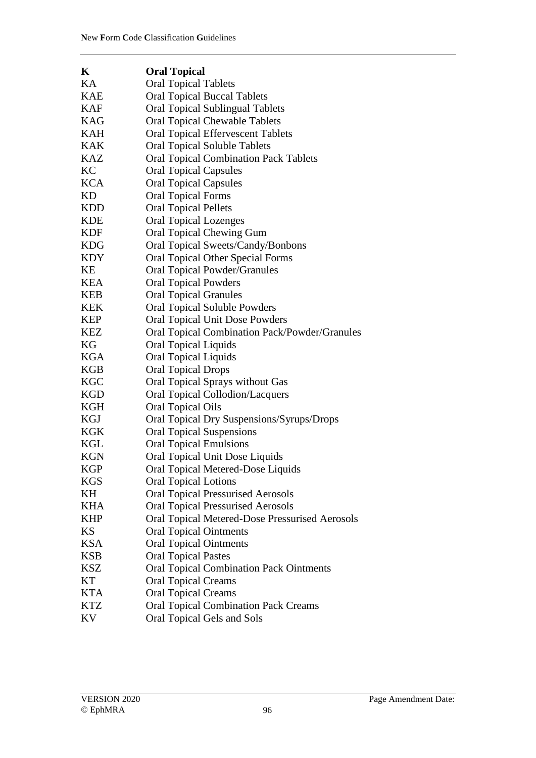| K          | <b>Oral Topical</b>                                  |
|------------|------------------------------------------------------|
| KA         | <b>Oral Topical Tablets</b>                          |
| <b>KAE</b> | <b>Oral Topical Buccal Tablets</b>                   |
| <b>KAF</b> | <b>Oral Topical Sublingual Tablets</b>               |
| <b>KAG</b> | <b>Oral Topical Chewable Tablets</b>                 |
| <b>KAH</b> | <b>Oral Topical Effervescent Tablets</b>             |
| <b>KAK</b> | <b>Oral Topical Soluble Tablets</b>                  |
| <b>KAZ</b> | <b>Oral Topical Combination Pack Tablets</b>         |
| KC         | <b>Oral Topical Capsules</b>                         |
| <b>KCA</b> | <b>Oral Topical Capsules</b>                         |
| <b>KD</b>  | <b>Oral Topical Forms</b>                            |
| <b>KDD</b> | <b>Oral Topical Pellets</b>                          |
| <b>KDE</b> | <b>Oral Topical Lozenges</b>                         |
| <b>KDF</b> | <b>Oral Topical Chewing Gum</b>                      |
| <b>KDG</b> | Oral Topical Sweets/Candy/Bonbons                    |
| <b>KDY</b> | <b>Oral Topical Other Special Forms</b>              |
| KE         | <b>Oral Topical Powder/Granules</b>                  |
| <b>KEA</b> | <b>Oral Topical Powders</b>                          |
| <b>KEB</b> | <b>Oral Topical Granules</b>                         |
| <b>KEK</b> | <b>Oral Topical Soluble Powders</b>                  |
| <b>KEP</b> | <b>Oral Topical Unit Dose Powders</b>                |
| <b>KEZ</b> | <b>Oral Topical Combination Pack/Powder/Granules</b> |
| KG         | <b>Oral Topical Liquids</b>                          |
| <b>KGA</b> | <b>Oral Topical Liquids</b>                          |
| <b>KGB</b> | <b>Oral Topical Drops</b>                            |
| <b>KGC</b> | Oral Topical Sprays without Gas                      |
| <b>KGD</b> | <b>Oral Topical Collodion/Lacquers</b>               |
| KGH        | <b>Oral Topical Oils</b>                             |
| KGJ        | Oral Topical Dry Suspensions/Syrups/Drops            |
| <b>KGK</b> | <b>Oral Topical Suspensions</b>                      |
| <b>KGL</b> | <b>Oral Topical Emulsions</b>                        |
| <b>KGN</b> | Oral Topical Unit Dose Liquids                       |
| <b>KGP</b> | Oral Topical Metered-Dose Liquids                    |
| <b>KGS</b> | <b>Oral Topical Lotions</b>                          |
| KH         | <b>Oral Topical Pressurised Aerosols</b>             |
| <b>KHA</b> | <b>Oral Topical Pressurised Aerosols</b>             |
| <b>KHP</b> | Oral Topical Metered-Dose Pressurised Aerosols       |
| <b>KS</b>  | <b>Oral Topical Ointments</b>                        |
| <b>KSA</b> | <b>Oral Topical Ointments</b>                        |
| <b>KSB</b> | <b>Oral Topical Pastes</b>                           |
| <b>KSZ</b> | <b>Oral Topical Combination Pack Ointments</b>       |
| KT         | <b>Oral Topical Creams</b>                           |
| <b>KTA</b> | <b>Oral Topical Creams</b>                           |
| <b>KTZ</b> | <b>Oral Topical Combination Pack Creams</b>          |
| KV         | Oral Topical Gels and Sols                           |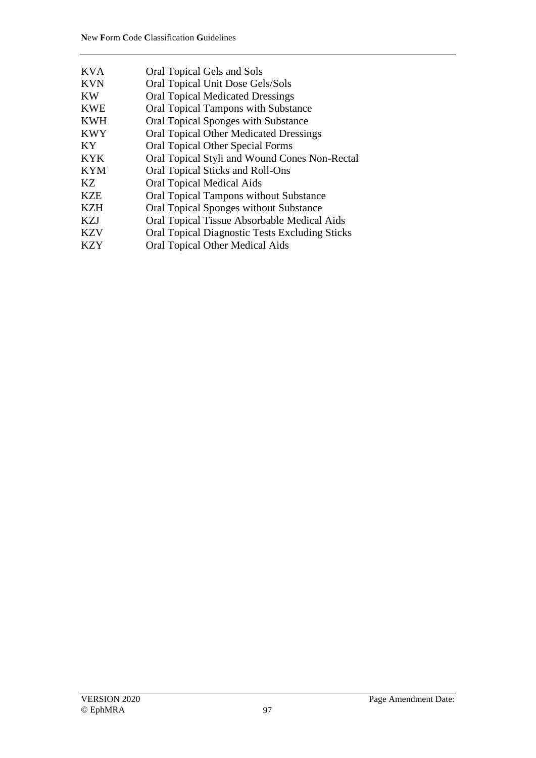| <b>KVA</b> | Oral Topical Gels and Sols                            |
|------------|-------------------------------------------------------|
| <b>KVN</b> | Oral Topical Unit Dose Gels/Sols                      |
| KW         | <b>Oral Topical Medicated Dressings</b>               |
| <b>KWE</b> | <b>Oral Topical Tampons with Substance</b>            |
| <b>KWH</b> | Oral Topical Sponges with Substance                   |
| <b>KWY</b> | <b>Oral Topical Other Medicated Dressings</b>         |
| KY         | Oral Topical Other Special Forms                      |
| <b>KYK</b> | Oral Topical Styli and Wound Cones Non-Rectal         |
| <b>KYM</b> | Oral Topical Sticks and Roll-Ons                      |
| KZ.        | <b>Oral Topical Medical Aids</b>                      |
| <b>KZE</b> | <b>Oral Topical Tampons without Substance</b>         |
| <b>KZH</b> | Oral Topical Sponges without Substance                |
| <b>KZJ</b> | Oral Topical Tissue Absorbable Medical Aids           |
| <b>KZV</b> | <b>Oral Topical Diagnostic Tests Excluding Sticks</b> |
| <b>KZY</b> | Oral Topical Other Medical Aids                       |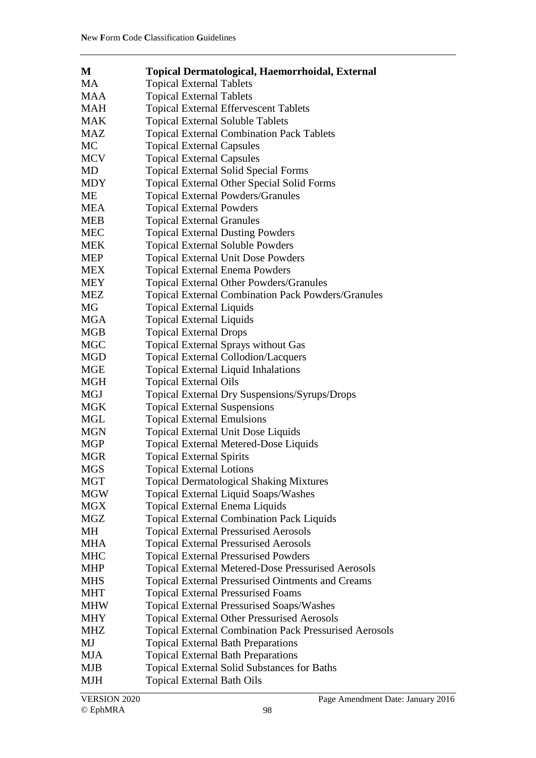| M          | <b>Topical Dermatological, Haemorrhoidal, External</b>        |
|------------|---------------------------------------------------------------|
| <b>MA</b>  | <b>Topical External Tablets</b>                               |
| MAA        | <b>Topical External Tablets</b>                               |
| <b>MAH</b> | <b>Topical External Effervescent Tablets</b>                  |
| MAK        | <b>Topical External Soluble Tablets</b>                       |
| MAZ        | <b>Topical External Combination Pack Tablets</b>              |
| <b>MC</b>  | <b>Topical External Capsules</b>                              |
| <b>MCV</b> | <b>Topical External Capsules</b>                              |
| MD         | <b>Topical External Solid Special Forms</b>                   |
| <b>MDY</b> | <b>Topical External Other Special Solid Forms</b>             |
| <b>ME</b>  | <b>Topical External Powders/Granules</b>                      |
| MEA        | <b>Topical External Powders</b>                               |
| <b>MEB</b> | <b>Topical External Granules</b>                              |
| <b>MEC</b> | <b>Topical External Dusting Powders</b>                       |
| <b>MEK</b> | <b>Topical External Soluble Powders</b>                       |
| <b>MEP</b> | <b>Topical External Unit Dose Powders</b>                     |
| <b>MEX</b> | <b>Topical External Enema Powders</b>                         |
| <b>MEY</b> | <b>Topical External Other Powders/Granules</b>                |
| <b>MEZ</b> | <b>Topical External Combination Pack Powders/Granules</b>     |
| MG         | <b>Topical External Liquids</b>                               |
| <b>MGA</b> | <b>Topical External Liquids</b>                               |
| MGB        | <b>Topical External Drops</b>                                 |
| <b>MGC</b> | <b>Topical External Sprays without Gas</b>                    |
| <b>MGD</b> | <b>Topical External Collodion/Lacquers</b>                    |
| MGE        | <b>Topical External Liquid Inhalations</b>                    |
| MGH        | <b>Topical External Oils</b>                                  |
| MGJ        | Topical External Dry Suspensions/Syrups/Drops                 |
| <b>MGK</b> | <b>Topical External Suspensions</b>                           |
| MGL        | <b>Topical External Emulsions</b>                             |
| <b>MGN</b> | <b>Topical External Unit Dose Liquids</b>                     |
| <b>MGP</b> | Topical External Metered-Dose Liquids                         |
| <b>MGR</b> | <b>Topical External Spirits</b>                               |
| <b>MGS</b> | <b>Topical External Lotions</b>                               |
| <b>MGT</b> | <b>Topical Dermatological Shaking Mixtures</b>                |
| <b>MGW</b> | Topical External Liquid Soaps/Washes                          |
| <b>MGX</b> | <b>Topical External Enema Liquids</b>                         |
| MGZ        | <b>Topical External Combination Pack Liquids</b>              |
| MH         | <b>Topical External Pressurised Aerosols</b>                  |
| MHA        | <b>Topical External Pressurised Aerosols</b>                  |
| <b>MHC</b> | <b>Topical External Pressurised Powders</b>                   |
| <b>MHP</b> | <b>Topical External Metered-Dose Pressurised Aerosols</b>     |
| <b>MHS</b> | <b>Topical External Pressurised Ointments and Creams</b>      |
| <b>MHT</b> | <b>Topical External Pressurised Foams</b>                     |
| <b>MHW</b> | <b>Topical External Pressurised Soaps/Washes</b>              |
| MHY        | <b>Topical External Other Pressurised Aerosols</b>            |
| <b>MHZ</b> | <b>Topical External Combination Pack Pressurised Aerosols</b> |
| MJ         | <b>Topical External Bath Preparations</b>                     |
| <b>MJA</b> | <b>Topical External Bath Preparations</b>                     |
| <b>MJB</b> | <b>Topical External Solid Substances for Baths</b>            |
| MJH        | <b>Topical External Bath Oils</b>                             |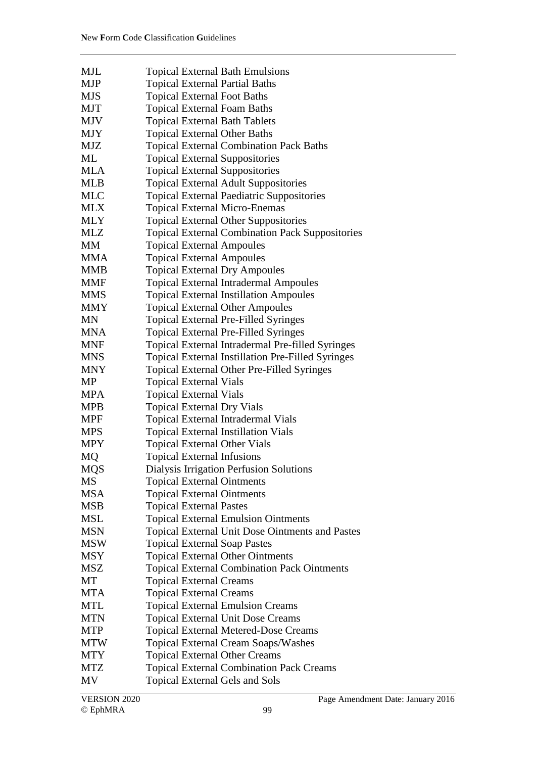| <b>MJL</b> | <b>Topical External Bath Emulsions</b>                   |
|------------|----------------------------------------------------------|
| <b>MJP</b> | <b>Topical External Partial Baths</b>                    |
| <b>MJS</b> | <b>Topical External Foot Baths</b>                       |
| <b>MJT</b> | <b>Topical External Foam Baths</b>                       |
| <b>MJV</b> | <b>Topical External Bath Tablets</b>                     |
| <b>MJY</b> | <b>Topical External Other Baths</b>                      |
| <b>MJZ</b> | <b>Topical External Combination Pack Baths</b>           |
| ML         | <b>Topical External Suppositories</b>                    |
| <b>MLA</b> | <b>Topical External Suppositories</b>                    |
| <b>MLB</b> |                                                          |
| <b>MLC</b> | <b>Topical External Adult Suppositories</b>              |
|            | <b>Topical External Paediatric Suppositories</b>         |
| <b>MLX</b> | <b>Topical External Micro-Enemas</b>                     |
| <b>MLY</b> | <b>Topical External Other Suppositories</b>              |
| <b>MLZ</b> | <b>Topical External Combination Pack Suppositories</b>   |
| MM         | <b>Topical External Ampoules</b>                         |
| <b>MMA</b> | <b>Topical External Ampoules</b>                         |
| <b>MMB</b> | <b>Topical External Dry Ampoules</b>                     |
| <b>MMF</b> | <b>Topical External Intradermal Ampoules</b>             |
| <b>MMS</b> | <b>Topical External Instillation Ampoules</b>            |
| <b>MMY</b> | <b>Topical External Other Ampoules</b>                   |
| <b>MN</b>  | <b>Topical External Pre-Filled Syringes</b>              |
| <b>MNA</b> | <b>Topical External Pre-Filled Syringes</b>              |
| <b>MNF</b> | Topical External Intradermal Pre-filled Syringes         |
| <b>MNS</b> | <b>Topical External Instillation Pre-Filled Syringes</b> |
| <b>MNY</b> | <b>Topical External Other Pre-Filled Syringes</b>        |
| MP         | <b>Topical External Vials</b>                            |
| <b>MPA</b> | <b>Topical External Vials</b>                            |
| <b>MPB</b> | <b>Topical External Dry Vials</b>                        |
| <b>MPF</b> | <b>Topical External Intradermal Vials</b>                |
| <b>MPS</b> | <b>Topical External Instillation Vials</b>               |
| <b>MPY</b> | <b>Topical External Other Vials</b>                      |
| MQ         | <b>Topical External Infusions</b>                        |
| <b>MQS</b> | Dialysis Irrigation Perfusion Solutions                  |
| <b>MS</b>  | <b>Topical External Ointments</b>                        |
| <b>MSA</b> | <b>Topical External Ointments</b>                        |
| <b>MSB</b> | <b>Topical External Pastes</b>                           |
| <b>MSL</b> | <b>Topical External Emulsion Ointments</b>               |
| <b>MSN</b> | <b>Topical External Unit Dose Ointments and Pastes</b>   |
| <b>MSW</b> | <b>Topical External Soap Pastes</b>                      |
| MSY        | <b>Topical External Other Ointments</b>                  |
| <b>MSZ</b> | <b>Topical External Combination Pack Ointments</b>       |
| МT         | <b>Topical External Creams</b>                           |
| <b>MTA</b> | <b>Topical External Creams</b>                           |
| <b>MTL</b> | <b>Topical External Emulsion Creams</b>                  |
| <b>MTN</b> | <b>Topical External Unit Dose Creams</b>                 |
| <b>MTP</b> | <b>Topical External Metered-Dose Creams</b>              |
| <b>MTW</b> | <b>Topical External Cream Soaps/Washes</b>               |
| MTY        | <b>Topical External Other Creams</b>                     |
| <b>MTZ</b> | <b>Topical External Combination Pack Creams</b>          |
| MV         | <b>Topical External Gels and Sols</b>                    |
|            |                                                          |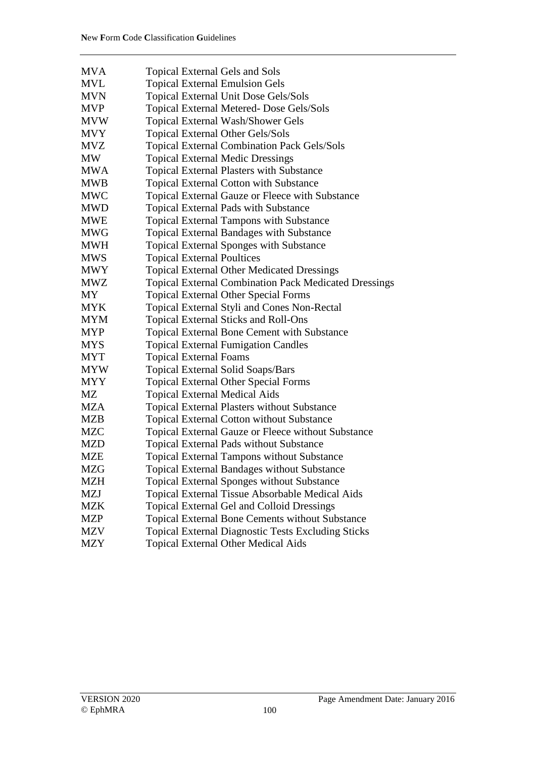| <b>MVA</b> | <b>Topical External Gels and Sols</b>                                                                             |
|------------|-------------------------------------------------------------------------------------------------------------------|
| <b>MVL</b> | <b>Topical External Emulsion Gels</b>                                                                             |
| <b>MVN</b> | Topical External Unit Dose Gels/Sols                                                                              |
| <b>MVP</b> | Topical External Metered- Dose Gels/Sols                                                                          |
| <b>MVW</b> | <b>Topical External Wash/Shower Gels</b>                                                                          |
| <b>MVY</b> | Topical External Other Gels/Sols                                                                                  |
| <b>MVZ</b> | <b>Topical External Combination Pack Gels/Sols</b>                                                                |
| <b>MW</b>  | <b>Topical External Medic Dressings</b>                                                                           |
| <b>MWA</b> | <b>Topical External Plasters with Substance</b>                                                                   |
| <b>MWB</b> | <b>Topical External Cotton with Substance</b>                                                                     |
| <b>MWC</b> | Topical External Gauze or Fleece with Substance                                                                   |
| <b>MWD</b> | Topical External Pads with Substance                                                                              |
| <b>MWE</b> |                                                                                                                   |
| <b>MWG</b> | <b>Topical External Tampons with Substance</b><br><b>Topical External Bandages with Substance</b>                 |
| <b>MWH</b> |                                                                                                                   |
| <b>MWS</b> | <b>Topical External Sponges with Substance</b>                                                                    |
| <b>MWY</b> | <b>Topical External Poultices</b>                                                                                 |
| <b>MWZ</b> | <b>Topical External Other Medicated Dressings</b><br><b>Topical External Combination Pack Medicated Dressings</b> |
| MY.        | <b>Topical External Other Special Forms</b>                                                                       |
| <b>MYK</b> | Topical External Styli and Cones Non-Rectal                                                                       |
| <b>MYM</b> | <b>Topical External Sticks and Roll-Ons</b>                                                                       |
| <b>MYP</b> | <b>Topical External Bone Cement with Substance</b>                                                                |
| <b>MYS</b> | <b>Topical External Fumigation Candles</b>                                                                        |
| MYT        | <b>Topical External Foams</b>                                                                                     |
| <b>MYW</b> | <b>Topical External Solid Soaps/Bars</b>                                                                          |
| <b>MYY</b> | <b>Topical External Other Special Forms</b>                                                                       |
| MZ         | <b>Topical External Medical Aids</b>                                                                              |
| <b>MZA</b> | <b>Topical External Plasters without Substance</b>                                                                |
| <b>MZB</b> | Topical External Cotton without Substance                                                                         |
| <b>MZC</b> | Topical External Gauze or Fleece without Substance                                                                |
| <b>MZD</b> | <b>Topical External Pads without Substance</b>                                                                    |
| <b>MZE</b> | <b>Topical External Tampons without Substance</b>                                                                 |
| MZG        | <b>Topical External Bandages without Substance</b>                                                                |
| MZH        | <b>Topical External Sponges without Substance</b>                                                                 |
| <b>MZJ</b> | Topical External Tissue Absorbable Medical Aids                                                                   |
| MZK        | <b>Topical External Gel and Colloid Dressings</b>                                                                 |
| MZP        | Topical External Bone Cements without Substance                                                                   |
| MZV        | <b>Topical External Diagnostic Tests Excluding Sticks</b>                                                         |
| <b>MZY</b> |                                                                                                                   |
|            | <b>Topical External Other Medical Aids</b>                                                                        |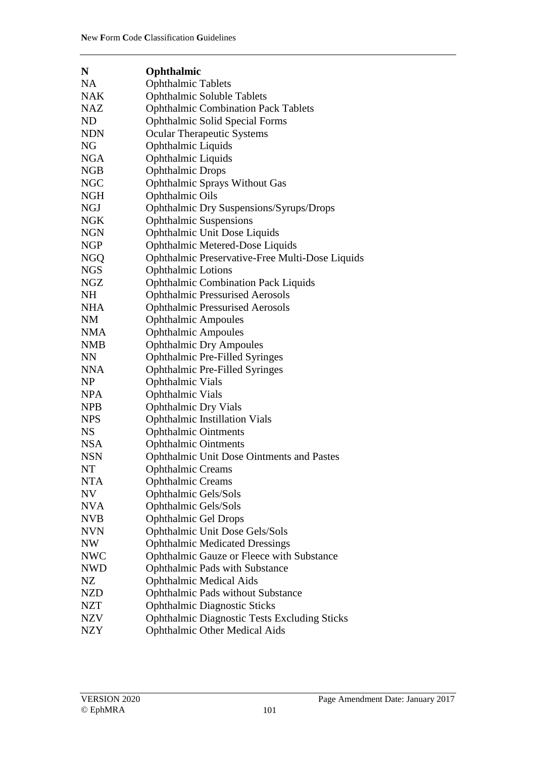| N          | Ophthalmic                                          |
|------------|-----------------------------------------------------|
| <b>NA</b>  | <b>Ophthalmic Tablets</b>                           |
| <b>NAK</b> | Ophthalmic Soluble Tablets                          |
| <b>NAZ</b> | <b>Ophthalmic Combination Pack Tablets</b>          |
| <b>ND</b>  | <b>Ophthalmic Solid Special Forms</b>               |
| <b>NDN</b> | <b>Ocular Therapeutic Systems</b>                   |
| <b>NG</b>  | Ophthalmic Liquids                                  |
| <b>NGA</b> | Ophthalmic Liquids                                  |
| NGB        | <b>Ophthalmic Drops</b>                             |
| <b>NGC</b> | Ophthalmic Sprays Without Gas                       |
| <b>NGH</b> | <b>Ophthalmic Oils</b>                              |
| NGJ        | Ophthalmic Dry Suspensions/Syrups/Drops             |
| NGK        | <b>Ophthalmic Suspensions</b>                       |
| <b>NGN</b> | Ophthalmic Unit Dose Liquids                        |
| NGP        | Ophthalmic Metered-Dose Liquids                     |
| <b>NGQ</b> | Ophthalmic Preservative-Free Multi-Dose Liquids     |
| NGS        | <b>Ophthalmic Lotions</b>                           |
| <b>NGZ</b> | <b>Ophthalmic Combination Pack Liquids</b>          |
| <b>NH</b>  | <b>Ophthalmic Pressurised Aerosols</b>              |
| <b>NHA</b> | <b>Ophthalmic Pressurised Aerosols</b>              |
| <b>NM</b>  | <b>Ophthalmic Ampoules</b>                          |
| <b>NMA</b> | <b>Ophthalmic Ampoules</b>                          |
| <b>NMB</b> | <b>Ophthalmic Dry Ampoules</b>                      |
| <b>NN</b>  | <b>Ophthalmic Pre-Filled Syringes</b>               |
| <b>NNA</b> | Ophthalmic Pre-Filled Syringes                      |
| <b>NP</b>  | <b>Ophthalmic Vials</b>                             |
| <b>NPA</b> | <b>Ophthalmic Vials</b>                             |
| <b>NPB</b> | <b>Ophthalmic Dry Vials</b>                         |
| <b>NPS</b> | <b>Ophthalmic Instillation Vials</b>                |
| <b>NS</b>  | <b>Ophthalmic Ointments</b>                         |
| <b>NSA</b> | <b>Ophthalmic Ointments</b>                         |
| <b>NSN</b> | <b>Ophthalmic Unit Dose Ointments and Pastes</b>    |
| <b>NT</b>  | <b>Ophthalmic Creams</b>                            |
| <b>NTA</b> | <b>Ophthalmic Creams</b>                            |
| <b>NV</b>  | Ophthalmic Gels/Sols                                |
| <b>NVA</b> | Ophthalmic Gels/Sols                                |
| <b>NVB</b> | <b>Ophthalmic Gel Drops</b>                         |
| <b>NVN</b> | Ophthalmic Unit Dose Gels/Sols                      |
| NW         | <b>Ophthalmic Medicated Dressings</b>               |
| <b>NWC</b> | Ophthalmic Gauze or Fleece with Substance           |
| <b>NWD</b> | <b>Ophthalmic Pads with Substance</b>               |
| NZ         | <b>Ophthalmic Medical Aids</b>                      |
| <b>NZD</b> | <b>Ophthalmic Pads without Substance</b>            |
| <b>NZT</b> | <b>Ophthalmic Diagnostic Sticks</b>                 |
| <b>NZV</b> | <b>Ophthalmic Diagnostic Tests Excluding Sticks</b> |
| <b>NZY</b> | <b>Ophthalmic Other Medical Aids</b>                |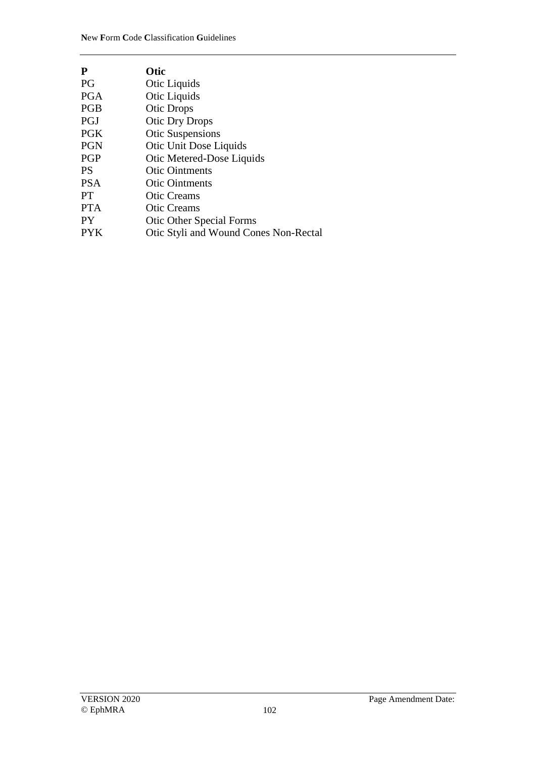| P          | Otic                                  |
|------------|---------------------------------------|
| PG         | Otic Liquids                          |
| <b>PGA</b> | Otic Liquids                          |
| <b>PGB</b> | <b>Otic Drops</b>                     |
| <b>PGJ</b> | <b>Otic Dry Drops</b>                 |
| <b>PGK</b> | <b>Otic Suspensions</b>               |
| <b>PGN</b> | <b>Otic Unit Dose Liquids</b>         |
| <b>PGP</b> | Otic Metered-Dose Liquids             |
| <b>PS</b>  | <b>Otic Ointments</b>                 |
| <b>PSA</b> | <b>Otic Ointments</b>                 |
| <b>PT</b>  | <b>Otic Creams</b>                    |
| <b>PTA</b> | <b>Otic Creams</b>                    |
| <b>PY</b>  | <b>Otic Other Special Forms</b>       |
| <b>PYK</b> | Otic Styli and Wound Cones Non-Rectal |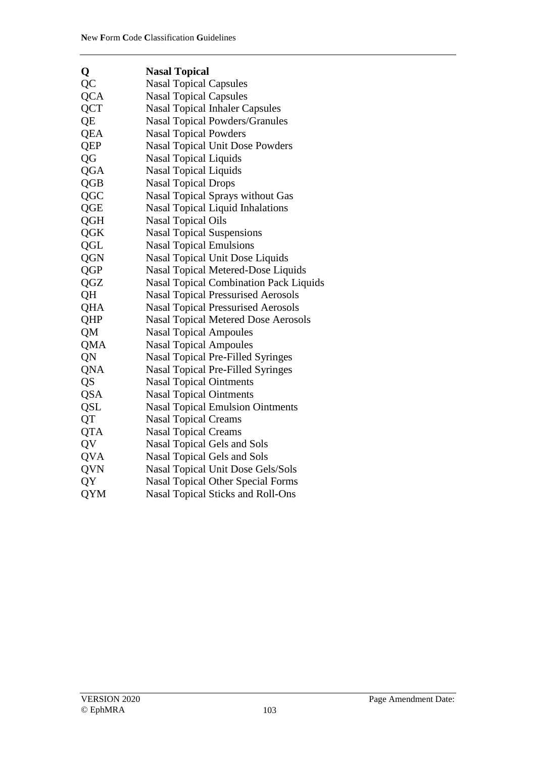| Q          | <b>Nasal Topical</b>                          |
|------------|-----------------------------------------------|
| QC         | <b>Nasal Topical Capsules</b>                 |
| <b>QCA</b> | <b>Nasal Topical Capsules</b>                 |
| <b>QCT</b> | <b>Nasal Topical Inhaler Capsules</b>         |
| QE         | <b>Nasal Topical Powders/Granules</b>         |
| <b>QEA</b> | <b>Nasal Topical Powders</b>                  |
| <b>QEP</b> | Nasal Topical Unit Dose Powders               |
| QG         | <b>Nasal Topical Liquids</b>                  |
| QGA        | <b>Nasal Topical Liquids</b>                  |
| QGB        | <b>Nasal Topical Drops</b>                    |
| QGC        | <b>Nasal Topical Sprays without Gas</b>       |
| QGE        | <b>Nasal Topical Liquid Inhalations</b>       |
| <b>QGH</b> | <b>Nasal Topical Oils</b>                     |
| <b>QGK</b> | <b>Nasal Topical Suspensions</b>              |
| QGL        | <b>Nasal Topical Emulsions</b>                |
| <b>QGN</b> | Nasal Topical Unit Dose Liquids               |
| QGP        | Nasal Topical Metered-Dose Liquids            |
| QGZ        | <b>Nasal Topical Combination Pack Liquids</b> |
| QH         | <b>Nasal Topical Pressurised Aerosols</b>     |
| QHA        | <b>Nasal Topical Pressurised Aerosols</b>     |
| QHP        | <b>Nasal Topical Metered Dose Aerosols</b>    |
| QM         | <b>Nasal Topical Ampoules</b>                 |
| QMA        | <b>Nasal Topical Ampoules</b>                 |
| QN         | <b>Nasal Topical Pre-Filled Syringes</b>      |
| QNA        | Nasal Topical Pre-Filled Syringes             |
| QS         | <b>Nasal Topical Ointments</b>                |
| <b>QSA</b> | <b>Nasal Topical Ointments</b>                |
| QSL        | <b>Nasal Topical Emulsion Ointments</b>       |
| QT         | <b>Nasal Topical Creams</b>                   |
| <b>QTA</b> | <b>Nasal Topical Creams</b>                   |
| QV         | Nasal Topical Gels and Sols                   |
| <b>QVA</b> | Nasal Topical Gels and Sols                   |
| QVN        | Nasal Topical Unit Dose Gels/Sols             |
| QY         | <b>Nasal Topical Other Special Forms</b>      |
| QYM        | Nasal Topical Sticks and Roll-Ons             |
|            |                                               |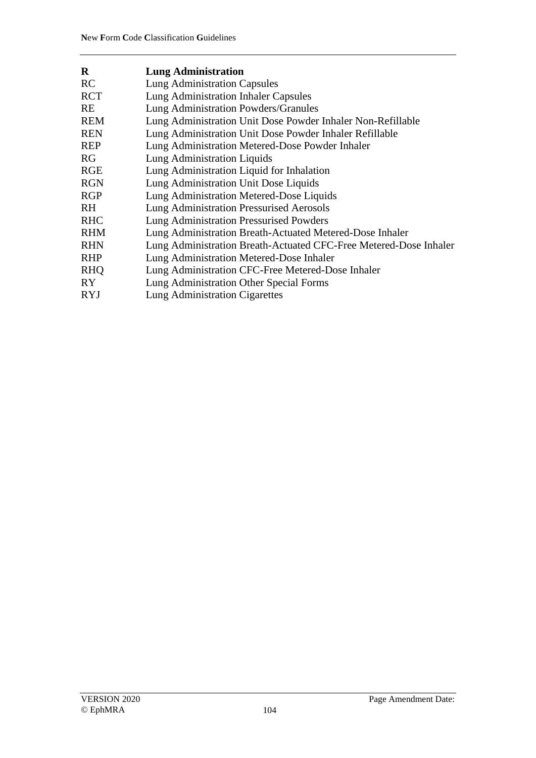| $\mathbf R$ | <b>Lung Administration</b>                                        |
|-------------|-------------------------------------------------------------------|
| RC          | <b>Lung Administration Capsules</b>                               |
| <b>RCT</b>  | <b>Lung Administration Inhaler Capsules</b>                       |
| <b>RE</b>   | Lung Administration Powders/Granules                              |
| <b>REM</b>  | Lung Administration Unit Dose Powder Inhaler Non-Refillable       |
| <b>REN</b>  | Lung Administration Unit Dose Powder Inhaler Refillable           |
| <b>REP</b>  | Lung Administration Metered-Dose Powder Inhaler                   |
| <b>RG</b>   | <b>Lung Administration Liquids</b>                                |
| <b>RGE</b>  | Lung Administration Liquid for Inhalation                         |
| <b>RGN</b>  | Lung Administration Unit Dose Liquids                             |
| <b>RGP</b>  | Lung Administration Metered-Dose Liquids                          |
| RH.         | Lung Administration Pressurised Aerosols                          |
| <b>RHC</b>  | <b>Lung Administration Pressurised Powders</b>                    |
| <b>RHM</b>  | Lung Administration Breath-Actuated Metered-Dose Inhaler          |
| <b>RHN</b>  | Lung Administration Breath-Actuated CFC-Free Metered-Dose Inhaler |
| <b>RHP</b>  | Lung Administration Metered-Dose Inhaler                          |
| <b>RHQ</b>  | Lung Administration CFC-Free Metered-Dose Inhaler                 |
| RY.         | Lung Administration Other Special Forms                           |
| <b>RYJ</b>  | Lung Administration Cigarettes                                    |
|             |                                                                   |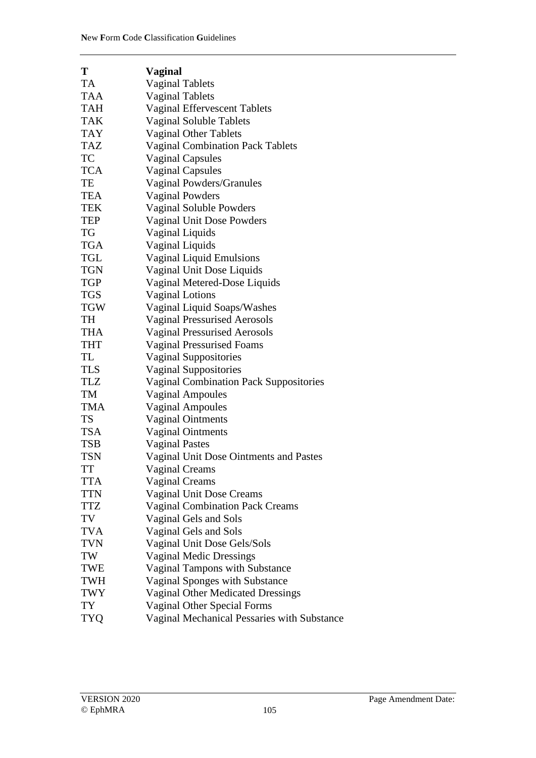| T          | <b>Vaginal</b>                                |
|------------|-----------------------------------------------|
| <b>TA</b>  | <b>Vaginal Tablets</b>                        |
| <b>TAA</b> | <b>Vaginal Tablets</b>                        |
| <b>TAH</b> | <b>Vaginal Effervescent Tablets</b>           |
| <b>TAK</b> | Vaginal Soluble Tablets                       |
| <b>TAY</b> | <b>Vaginal Other Tablets</b>                  |
| <b>TAZ</b> | <b>Vaginal Combination Pack Tablets</b>       |
| <b>TC</b>  | <b>Vaginal Capsules</b>                       |
| <b>TCA</b> | <b>Vaginal Capsules</b>                       |
| TE         | Vaginal Powders/Granules                      |
| <b>TEA</b> | <b>Vaginal Powders</b>                        |
| TEK        | Vaginal Soluble Powders                       |
| <b>TEP</b> | <b>Vaginal Unit Dose Powders</b>              |
| <b>TG</b>  | Vaginal Liquids                               |
| <b>TGA</b> | Vaginal Liquids                               |
| <b>TGL</b> | <b>Vaginal Liquid Emulsions</b>               |
| <b>TGN</b> | Vaginal Unit Dose Liquids                     |
| <b>TGP</b> | Vaginal Metered-Dose Liquids                  |
| <b>TGS</b> | <b>Vaginal Lotions</b>                        |
| <b>TGW</b> | Vaginal Liquid Soaps/Washes                   |
| <b>TH</b>  | <b>Vaginal Pressurised Aerosols</b>           |
| <b>THA</b> | <b>Vaginal Pressurised Aerosols</b>           |
| <b>THT</b> | <b>Vaginal Pressurised Foams</b>              |
| TL         | <b>Vaginal Suppositories</b>                  |
| <b>TLS</b> | <b>Vaginal Suppositories</b>                  |
| <b>TLZ</b> | <b>Vaginal Combination Pack Suppositories</b> |
| TM         | <b>Vaginal Ampoules</b>                       |
| <b>TMA</b> | <b>Vaginal Ampoules</b>                       |
| <b>TS</b>  | <b>Vaginal Ointments</b>                      |
| <b>TSA</b> | <b>Vaginal Ointments</b>                      |
| <b>TSB</b> | <b>Vaginal Pastes</b>                         |
| <b>TSN</b> | Vaginal Unit Dose Ointments and Pastes        |
| <b>TT</b>  | <b>Vaginal Creams</b>                         |
| <b>TTA</b> | <b>Vaginal Creams</b>                         |
| <b>TTN</b> | Vaginal Unit Dose Creams                      |
| <b>TTZ</b> | <b>Vaginal Combination Pack Creams</b>        |
| TV         | Vaginal Gels and Sols                         |
| <b>TVA</b> | Vaginal Gels and Sols                         |
| <b>TVN</b> | Vaginal Unit Dose Gels/Sols                   |
| TW         | <b>Vaginal Medic Dressings</b>                |
| <b>TWE</b> | Vaginal Tampons with Substance                |
| <b>TWH</b> | Vaginal Sponges with Substance                |
| <b>TWY</b> | <b>Vaginal Other Medicated Dressings</b>      |
| TY         | Vaginal Other Special Forms                   |
| <b>TYQ</b> | Vaginal Mechanical Pessaries with Substance   |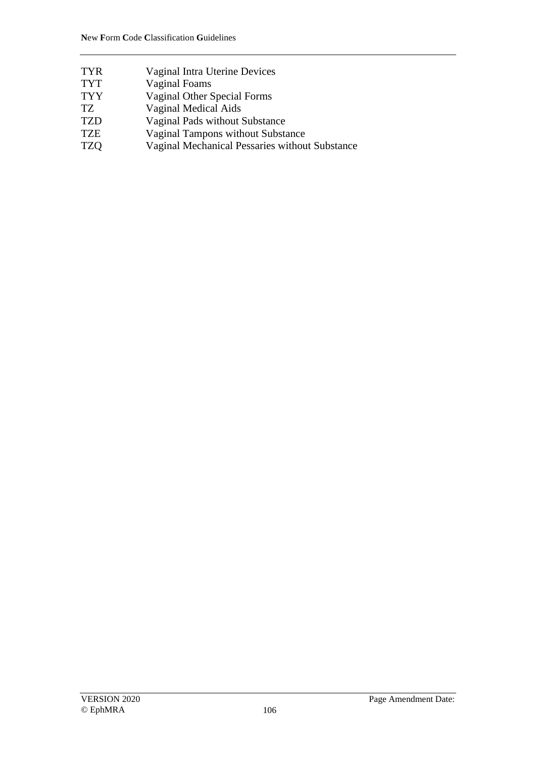- TYR Vaginal Intra Uterine Devices
- TYT Vaginal Foams<br>TYY Vaginal Other S
- Vaginal Other Special Forms
- TZ Vaginal Medical Aids
- TZD Vaginal Pads without Substance
- TZE Vaginal Tampons without Substance<br>TZO Vaginal Mechanical Pessaries withou
- Vaginal Mechanical Pessaries without Substance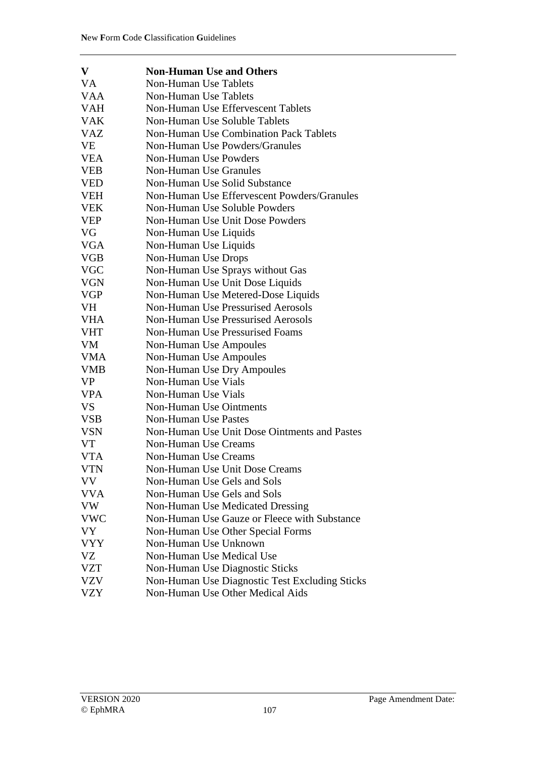| V          | <b>Non-Human Use and Others</b>                |
|------------|------------------------------------------------|
| <b>VA</b>  | <b>Non-Human Use Tablets</b>                   |
| <b>VAA</b> | <b>Non-Human Use Tablets</b>                   |
| <b>VAH</b> | Non-Human Use Effervescent Tablets             |
| <b>VAK</b> | Non-Human Use Soluble Tablets                  |
| VAZ        | <b>Non-Human Use Combination Pack Tablets</b>  |
| VE         | Non-Human Use Powders/Granules                 |
| <b>VEA</b> | Non-Human Use Powders                          |
| VEB        | <b>Non-Human Use Granules</b>                  |
| <b>VED</b> | Non-Human Use Solid Substance                  |
| <b>VEH</b> | Non-Human Use Effervescent Powders/Granules    |
| VEK        | Non-Human Use Soluble Powders                  |
| <b>VEP</b> | <b>Non-Human Use Unit Dose Powders</b>         |
| VG         | Non-Human Use Liquids                          |
| <b>VGA</b> | Non-Human Use Liquids                          |
| <b>VGB</b> | Non-Human Use Drops                            |
| <b>VGC</b> | Non-Human Use Sprays without Gas               |
| VGN        | Non-Human Use Unit Dose Liquids                |
| <b>VGP</b> | Non-Human Use Metered-Dose Liquids             |
| VH         | <b>Non-Human Use Pressurised Aerosols</b>      |
| <b>VHA</b> | <b>Non-Human Use Pressurised Aerosols</b>      |
| VHT        | <b>Non-Human Use Pressurised Foams</b>         |
| VM         | <b>Non-Human Use Ampoules</b>                  |
| <b>VMA</b> | Non-Human Use Ampoules                         |
| <b>VMB</b> | Non-Human Use Dry Ampoules                     |
| <b>VP</b>  | Non-Human Use Vials                            |
| <b>VPA</b> | Non-Human Use Vials                            |
| <b>VS</b>  | <b>Non-Human Use Ointments</b>                 |
| <b>VSB</b> | <b>Non-Human Use Pastes</b>                    |
| <b>VSN</b> | Non-Human Use Unit Dose Ointments and Pastes   |
| VT         | <b>Non-Human Use Creams</b>                    |
| <b>VTA</b> | <b>Non-Human Use Creams</b>                    |
| <b>VTN</b> | Non-Human Use Unit Dose Creams                 |
| VV         | Non-Human Use Gels and Sols                    |
| <b>VVA</b> | Non-Human Use Gels and Sols                    |
| <b>VW</b>  | <b>Non-Human Use Medicated Dressing</b>        |
| <b>VWC</b> | Non-Human Use Gauze or Fleece with Substance   |
| VY         | Non-Human Use Other Special Forms              |
| <b>VYY</b> | Non-Human Use Unknown                          |
| VZ         | Non-Human Use Medical Use                      |
| <b>VZT</b> | Non-Human Use Diagnostic Sticks                |
| <b>VZV</b> | Non-Human Use Diagnostic Test Excluding Sticks |
| <b>VZY</b> | Non-Human Use Other Medical Aids               |